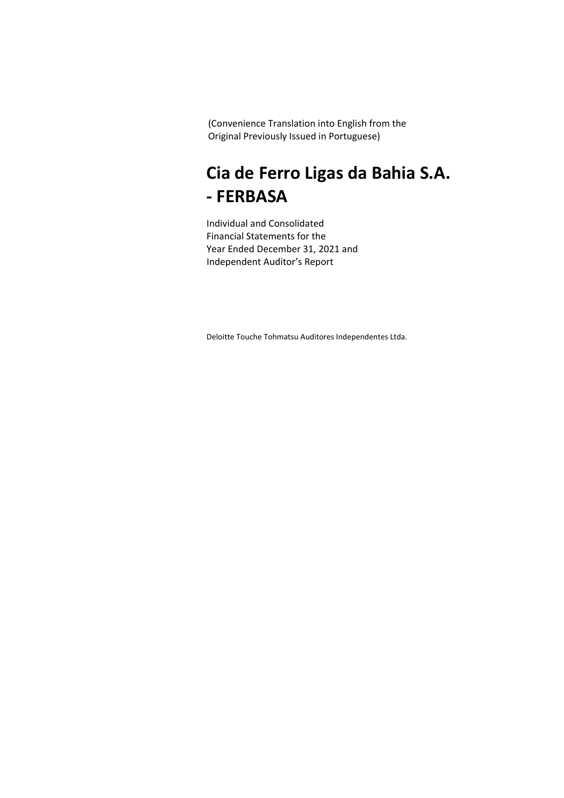### **Cia de Ferro Ligas da Bahia S.A. - FERBASA**

Individual and Consolidated Financial Statements for the Year Ended December 31, 2021 and Independent Auditor's Report

Deloitte Touche Tohmatsu Auditores Independentes Ltda.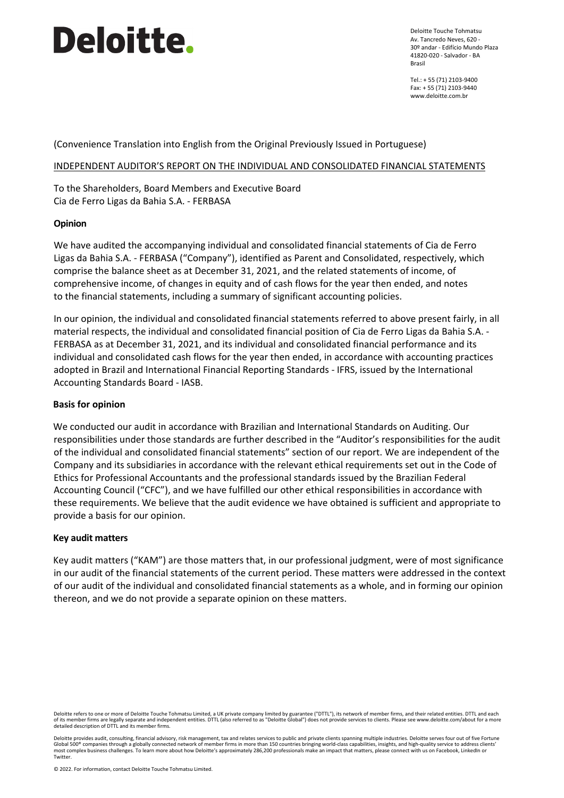Deloitte Touche Tohmatsu Av. Tancredo Neves, 620 - 30º andar - Edifício Mundo Plaza 41820-020 - Salvador - BA Brasil

Tel.: + 55 (71) 2103-9400 Fax: + 55 (71) 2103-9440 www.deloitte.com.br

(Convenience Translation into English from the Original Previously Issued in Portuguese)

#### INDEPENDENT AUDITOR'S REPORT ON THE INDIVIDUAL AND CONSOLIDATED FINANCIAL STATEMENTS

To the Shareholders, Board Members and Executive Board Cia de Ferro Ligas da Bahia S.A. - FERBASA

#### **Opinion**

We have audited the accompanying individual and consolidated financial statements of Cia de Ferro Ligas da Bahia S.A. - FERBASA ("Company"), identified as Parent and Consolidated, respectively, which comprise the balance sheet as at December 31, 2021, and the related statements of income, of comprehensive income, of changes in equity and of cash flows for the year then ended, and notes to the financial statements, including a summary of significant accounting policies.

In our opinion, the individual and consolidated financial statements referred to above present fairly, in all material respects, the individual and consolidated financial position of Cia de Ferro Ligas da Bahia S.A. - FERBASA as at December 31, 2021, and its individual and consolidated financial performance and its individual and consolidated cash flows for the year then ended, in accordance with accounting practices adopted in Brazil and International Financial Reporting Standards - IFRS, issued by the International Accounting Standards Board - IASB.

#### **Basis for opinion**

We conducted our audit in accordance with Brazilian and International Standards on Auditing. Our responsibilities under those standards are further described in the "Auditor's responsibilities for the audit of the individual and consolidated financial statements" section of our report. We are independent of the Company and its subsidiaries in accordance with the relevant ethical requirements set out in the Code of Ethics for Professional Accountants and the professional standards issued by the Brazilian Federal Accounting Council ("CFC"), and we have fulfilled our other ethical responsibilities in accordance with these requirements. We believe that the audit evidence we have obtained is sufficient and appropriate to provide a basis for our opinion.

#### **Key audit matters**

Key audit matters ("KAM") are those matters that, in our professional judgment, were of most significance in our audit of the financial statements of the current period. These matters were addressed in the context of our audit of the individual and consolidated financial statements as a whole, and in forming our opinion thereon, and we do not provide a separate opinion on these matters.

Deloitte refers to one or more of Deloitte Touche Tohmatsu Limited, a UK private company limited by guarantee ("DTTL"), its network of member firms, and their related entities. DTTL and each<br>of its member firms are legally

Deloitte provides audit, consulting, financial advisory, risk management, tax and relates services to public and private clients spanning multiple industries. Deloitte serves four out of five Fortune<br>Global 500® companies Twitter.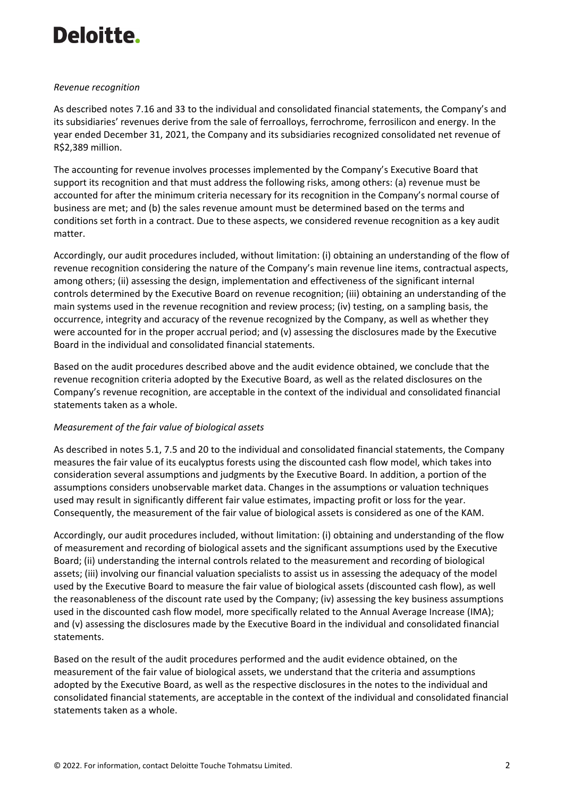#### *Revenue recognition*

As described notes 7.16 and 33 to the individual and consolidated financial statements, the Company's and its subsidiaries' revenues derive from the sale of ferroalloys, ferrochrome, ferrosilicon and energy. In the year ended December 31, 2021, the Company and its subsidiaries recognized consolidated net revenue of R\$2,389 million.

The accounting for revenue involves processes implemented by the Company's Executive Board that support its recognition and that must address the following risks, among others: (a) revenue must be accounted for after the minimum criteria necessary for its recognition in the Company's normal course of business are met; and (b) the sales revenue amount must be determined based on the terms and conditions set forth in a contract. Due to these aspects, we considered revenue recognition as a key audit matter.

Accordingly, our audit procedures included, without limitation: (i) obtaining an understanding of the flow of revenue recognition considering the nature of the Company's main revenue line items, contractual aspects, among others; (ii) assessing the design, implementation and effectiveness of the significant internal controls determined by the Executive Board on revenue recognition; (iii) obtaining an understanding of the main systems used in the revenue recognition and review process; (iv) testing, on a sampling basis, the occurrence, integrity and accuracy of the revenue recognized by the Company, as well as whether they were accounted for in the proper accrual period; and (v) assessing the disclosures made by the Executive Board in the individual and consolidated financial statements.

Based on the audit procedures described above and the audit evidence obtained, we conclude that the revenue recognition criteria adopted by the Executive Board, as well as the related disclosures on the Company's revenue recognition, are acceptable in the context of the individual and consolidated financial statements taken as a whole.

#### *Measurement of the fair value of biological assets*

As described in notes 5.1, 7.5 and 20 to the individual and consolidated financial statements, the Company measures the fair value of its eucalyptus forests using the discounted cash flow model, which takes into consideration several assumptions and judgments by the Executive Board. In addition, a portion of the assumptions considers unobservable market data. Changes in the assumptions or valuation techniques used may result in significantly different fair value estimates, impacting profit or loss for the year. Consequently, the measurement of the fair value of biological assets is considered as one of the KAM.

Accordingly, our audit procedures included, without limitation: (i) obtaining and understanding of the flow of measurement and recording of biological assets and the significant assumptions used by the Executive Board; (ii) understanding the internal controls related to the measurement and recording of biological assets; (iii) involving our financial valuation specialists to assist us in assessing the adequacy of the model used by the Executive Board to measure the fair value of biological assets (discounted cash flow), as well the reasonableness of the discount rate used by the Company; (iv) assessing the key business assumptions used in the discounted cash flow model, more specifically related to the Annual Average Increase (IMA); and (v) assessing the disclosures made by the Executive Board in the individual and consolidated financial statements.

Based on the result of the audit procedures performed and the audit evidence obtained, on the measurement of the fair value of biological assets, we understand that the criteria and assumptions adopted by the Executive Board, as well as the respective disclosures in the notes to the individual and consolidated financial statements, are acceptable in the context of the individual and consolidated financial statements taken as a whole.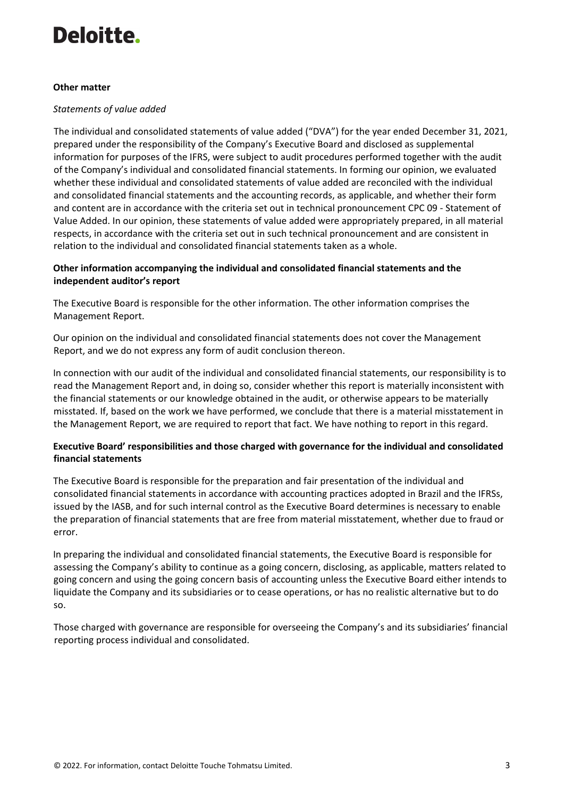#### **Other matter**

#### *Statements of value added*

The individual and consolidated statements of value added ("DVA") for the year ended December 31, 2021, prepared under the responsibility of the Company's Executive Board and disclosed as supplemental information for purposes of the IFRS, were subject to audit procedures performed together with the audit of the Company's individual and consolidated financial statements. In forming our opinion, we evaluated whether these individual and consolidated statements of value added are reconciled with the individual and consolidated financial statements and the accounting records, as applicable, and whether their form and content are in accordance with the criteria set out in technical pronouncement CPC 09 - Statement of Value Added. In our opinion, these statements of value added were appropriately prepared, in all material respects, in accordance with the criteria set out in such technical pronouncement and are consistent in relation to the individual and consolidated financial statements taken as a whole.

### **Other information accompanying the individual and consolidated financial statements and the independent auditor's report**

The Executive Board is responsible for the other information. The other information comprises the Management Report.

Our opinion on the individual and consolidated financial statements does not cover the Management Report, and we do not express any form of audit conclusion thereon.

In connection with our audit of the individual and consolidated financial statements, our responsibility is to read the Management Report and, in doing so, consider whether this report is materially inconsistent with the financial statements or our knowledge obtained in the audit, or otherwise appears to be materially misstated. If, based on the work we have performed, we conclude that there is a material misstatement in the Management Report, we are required to report that fact. We have nothing to report in this regard.

### **Executive Board' responsibilities and those charged with governance for the individual and consolidated financial statements**

The Executive Board is responsible for the preparation and fair presentation of the individual and consolidated financial statements in accordance with accounting practices adopted in Brazil and the IFRSs, issued by the IASB, and for such internal control as the Executive Board determines is necessary to enable the preparation of financial statements that are free from material misstatement, whether due to fraud or error.

In preparing the individual and consolidated financial statements, the Executive Board is responsible for assessing the Company's ability to continue as a going concern, disclosing, as applicable, matters related to going concern and using the going concern basis of accounting unless the Executive Board either intends to liquidate the Company and its subsidiaries or to cease operations, or has no realistic alternative but to do so.

Those charged with governance are responsible for overseeing the Company's and its subsidiaries' financial reporting process individual and consolidated.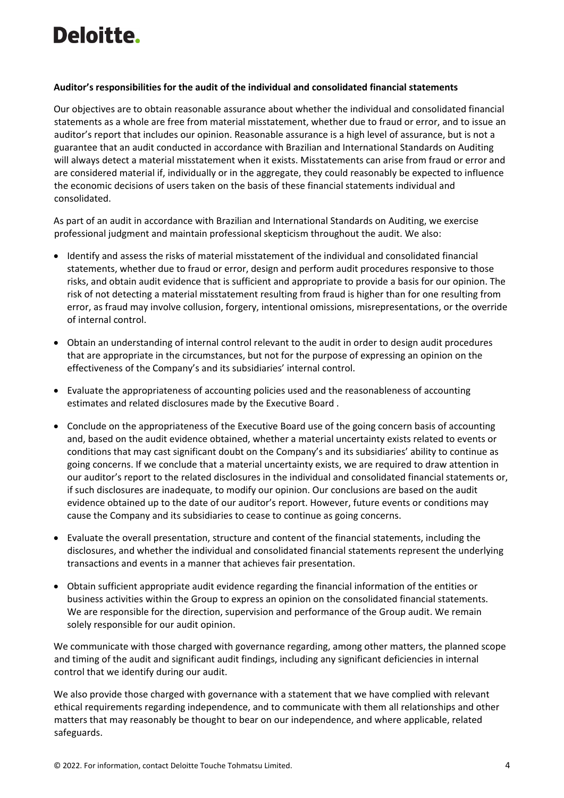#### **Auditor's responsibilities for the audit of the individual and consolidated financial statements**

Our objectives are to obtain reasonable assurance about whether the individual and consolidated financial statements as a whole are free from material misstatement, whether due to fraud or error, and to issue an auditor's report that includes our opinion. Reasonable assurance is a high level of assurance, but is not a guarantee that an audit conducted in accordance with Brazilian and International Standards on Auditing will always detect a material misstatement when it exists. Misstatements can arise from fraud or error and are considered material if, individually or in the aggregate, they could reasonably be expected to influence the economic decisions of users taken on the basis of these financial statements individual and consolidated.

As part of an audit in accordance with Brazilian and International Standards on Auditing, we exercise professional judgment and maintain professional skepticism throughout the audit. We also:

- Identify and assess the risks of material misstatement of the individual and consolidated financial statements, whether due to fraud or error, design and perform audit procedures responsive to those risks, and obtain audit evidence that is sufficient and appropriate to provide a basis for our opinion. The risk of not detecting a material misstatement resulting from fraud is higher than for one resulting from error, as fraud may involve collusion, forgery, intentional omissions, misrepresentations, or the override of internal control.
- Obtain an understanding of internal control relevant to the audit in order to design audit procedures that are appropriate in the circumstances, but not for the purpose of expressing an opinion on the effectiveness of the Company's and its subsidiaries' internal control.
- Evaluate the appropriateness of accounting policies used and the reasonableness of accounting estimates and related disclosures made by the Executive Board .
- Conclude on the appropriateness of the Executive Board use of the going concern basis of accounting and, based on the audit evidence obtained, whether a material uncertainty exists related to events or conditions that may cast significant doubt on the Company's and its subsidiaries' ability to continue as going concerns. If we conclude that a material uncertainty exists, we are required to draw attention in our auditor's report to the related disclosures in the individual and consolidated financial statements or, if such disclosures are inadequate, to modify our opinion. Our conclusions are based on the audit evidence obtained up to the date of our auditor's report. However, future events or conditions may cause the Company and its subsidiaries to cease to continue as going concerns.
- Evaluate the overall presentation, structure and content of the financial statements, including the disclosures, and whether the individual and consolidated financial statements represent the underlying transactions and events in a manner that achieves fair presentation.
- Obtain sufficient appropriate audit evidence regarding the financial information of the entities or business activities within the Group to express an opinion on the consolidated financial statements. We are responsible for the direction, supervision and performance of the Group audit. We remain solely responsible for our audit opinion.

We communicate with those charged with governance regarding, among other matters, the planned scope and timing of the audit and significant audit findings, including any significant deficiencies in internal control that we identify during our audit.

We also provide those charged with governance with a statement that we have complied with relevant ethical requirements regarding independence, and to communicate with them all relationships and other matters that may reasonably be thought to bear on our independence, and where applicable, related safeguards.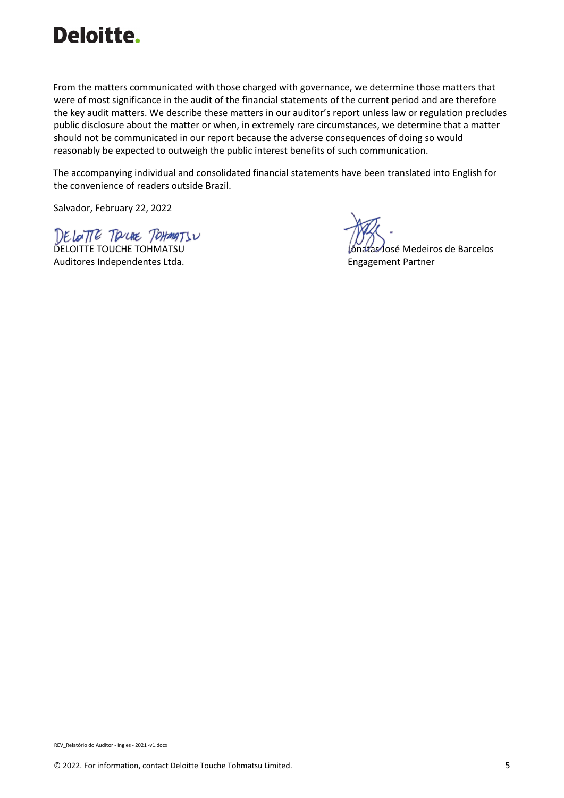

From the matters communicated with those charged with governance, we determine those matters that were of most significance in the audit of the financial statements of the current period and are therefore the key audit matters. We describe these matters in our auditor's report unless law or regulation precludes public disclosure about the matter or when, in extremely rare circumstances, we determine that a matter should not be communicated in our report because the adverse consequences of doing so would reasonably be expected to outweigh the public interest benefits of such communication.

The accompanying individual and consolidated financial statements have been translated into English for the convenience of readers outside Brazil.

Salvador, February 22, 2022

DE LOTTE TOUCHE TOHMATSU Auditores Independentes Ltda. Engagement Partner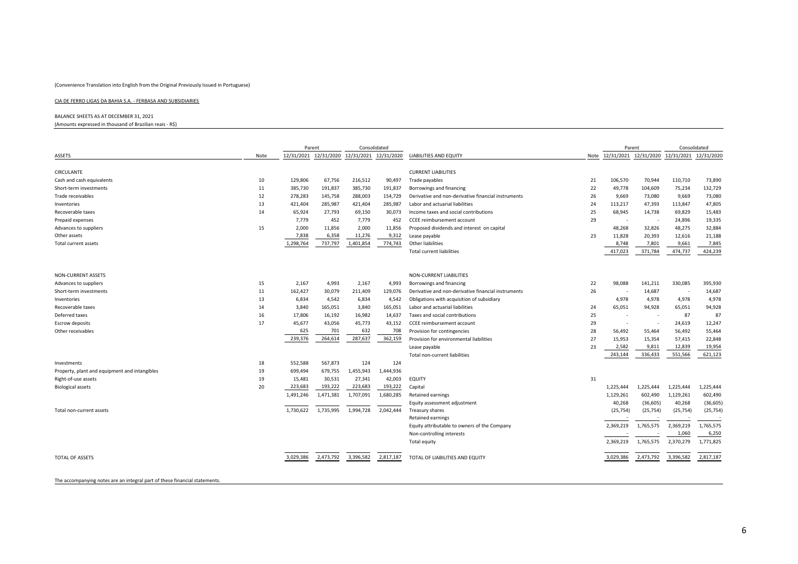#### CIA DE FERRO LIGAS DA BAHIA S.A. ‐ FERBASA AND SUBSIDIARIES

BALANCE SHEETS AS AT DECEMBER 31, 2021

(Amounts expressed in thousand of Brazilian reais ‐ R\$)

|                                               |      | Parent    |           | Consolidated                                |           |                                                     |    | Parent                                           |                          | Consolidated |           |
|-----------------------------------------------|------|-----------|-----------|---------------------------------------------|-----------|-----------------------------------------------------|----|--------------------------------------------------|--------------------------|--------------|-----------|
| ASSETS                                        | Note |           |           | 12/31/2021 12/31/2020 12/31/2021 12/31/2020 |           | LIABILITIES AND EQUITY                              |    | Note 12/31/2021 12/31/2020 12/31/2021 12/31/2020 |                          |              |           |
|                                               |      |           |           |                                             |           |                                                     |    |                                                  |                          |              |           |
| CIRCULANTE                                    |      |           |           |                                             |           | <b>CURRENT LIABILITIES</b>                          |    |                                                  |                          |              |           |
| Cash and cash equivalents                     | 10   | 129,806   | 67,756    | 216,512                                     | 90,497    | Trade payables                                      | 21 | 106,570                                          | 70,944                   | 110,710      | 73,890    |
| Short-term investments                        | 11   | 385,730   | 191,837   | 385,730                                     | 191,837   | Borrowings and financing                            | 22 | 49,778                                           | 104,609                  | 75,234       | 132,729   |
| Trade receivables                             | 12   | 278,283   | 145,758   | 288,003                                     | 154,729   | Derivative and non-derivative financial instruments | 26 | 9,669                                            | 73,080                   | 9,669        | 73,080    |
| Inventories                                   | 13   | 421,404   | 285,987   | 421,404                                     | 285,987   | Labor and actuarial liabilities                     | 24 | 113,217                                          | 47,393                   | 113,847      | 47,805    |
| Recoverable taxes                             | 14   | 65,924    | 27,793    | 69,150                                      | 30,073    | Income taxes and social contributions               | 25 | 68,945                                           | 14,738                   | 69,829       | 15,483    |
| Prepaid expenses                              |      | 7,779     | 452       | 7,779                                       | 452       | CCEE reimbursement account                          | 29 |                                                  | $\overline{\phantom{a}}$ | 24,896       | 19,335    |
| Advances to suppliers                         | 15   | 2,000     | 11,856    | 2,000                                       | 11,856    | Proposed dividends and interest on capital          |    | 48,268                                           | 32,826                   | 48,275       | 32,884    |
| Other assets                                  |      | 7,838     | 6,358     | 11,276                                      | 9,312     | Lease payable                                       | 23 | 11,828                                           | 20,393                   | 12,616       | 21,188    |
| <b>Total current assets</b>                   |      | 1,298,764 | 737,797   | 1,401,854                                   | 774,743   | Other liabilities                                   |    | 8,748                                            | 7,801                    | 9,661        | 7,845     |
|                                               |      |           |           |                                             |           | <b>Total current liabilities</b>                    |    | 417,023                                          | 371,784                  | 474,737      | 424,239   |
|                                               |      |           |           |                                             |           |                                                     |    |                                                  |                          |              |           |
| <b>NON-CURRENT ASSETS</b>                     |      |           |           |                                             |           | <b>NON-CURRENT LIABILITIES</b>                      |    |                                                  |                          |              |           |
| Advances to suppliers                         | 15   | 2,167     | 4,993     | 2,167                                       | 4,993     | Borrowings and financing                            | 22 | 98,088                                           | 141,211                  | 330,085      | 395,930   |
| Short-term investments                        | 11   | 162,427   | 30,079    | 211,409                                     | 129,076   | Derivative and non-derivative financial instruments | 26 |                                                  | 14,687                   |              | 14,687    |
| Inventories                                   | 13   | 6,834     | 4,542     | 6,834                                       | 4,542     | Obligations with acquisition of subsidiary          |    | 4,978                                            | 4,978                    | 4,978        | 4,978     |
| Recoverable taxes                             | 14   | 3,840     | 165,051   | 3,840                                       | 165,051   | Labor and actuarial liabilities                     | 24 | 65,051                                           | 94,928                   | 65,051       | 94,928    |
| Deferred taxes                                | 16   | 17,806    | 16,192    | 16,982                                      | 14,637    | Taxes and social contributions                      | 25 |                                                  |                          | 87           | 87        |
| <b>Escrow deposits</b>                        | 17   | 45,677    | 43,056    | 45,773                                      | 43,152    | CCEE reimbursement account                          | 29 |                                                  |                          | 24,619       | 12,247    |
| Other receivables                             |      | 625       | 701       | 632                                         | 708       | Provision for contingencies                         | 28 | 56,492                                           | 55,464                   | 56,492       | 55,464    |
|                                               |      | 239,376   | 264,614   | 287,637                                     | 362,159   | Provision for environmental liabilities             | 27 | 15,953                                           | 15,354                   | 57,415       | 22,848    |
|                                               |      |           |           |                                             |           | Lease payable                                       | 23 | 2,582                                            | 9,811                    | 12,839       | 19,954    |
|                                               |      |           |           |                                             |           | Total non-current liabilities                       |    | 243,144                                          | 336,433                  | 551,566      | 621,123   |
| Investments                                   | 18   | 552,588   | 567,873   | 124                                         | 124       |                                                     |    |                                                  |                          |              |           |
| Property, plant and equipment and intangibles | 19   | 699,494   | 679,755   | 1,455,943                                   | 1,444,936 |                                                     |    |                                                  |                          |              |           |
| Right-of-use assets                           | 19   | 15,481    | 30,531    | 27,341                                      | 42,003    | <b>EQUITY</b>                                       | 31 |                                                  |                          |              |           |
| <b>Biological assets</b>                      | 20   | 223,683   | 193,222   | 223,683                                     | 193,222   | Capital                                             |    | 1,225,444                                        | 1,225,444                | 1,225,444    | 1,225,444 |
|                                               |      | 1,491,246 | 1,471,381 | 1,707,091                                   | 1,680,285 | <b>Retained earnings</b>                            |    | 1,129,261                                        | 602,490                  | 1,129,261    | 602,490   |
|                                               |      |           |           |                                             |           | Equity assessment adjustment                        |    | 40,268                                           | (36, 605)                | 40,268       | (36, 605) |
| Total non-current assets                      |      | 1,730,622 | 1,735,995 | 1,994,728                                   | 2,042,444 | Treasury shares                                     |    | (25, 754)                                        | (25, 754)                | (25, 754)    | (25, 754) |
|                                               |      |           |           |                                             |           | <b>Retained earnings</b>                            |    |                                                  |                          |              |           |
|                                               |      |           |           |                                             |           | Equity attributable to owners of the Company        |    | 2,369,219                                        | 1,765,575                | 2,369,219    | 1,765,575 |
|                                               |      |           |           |                                             |           | Non-controlling interests                           |    |                                                  |                          | 1,060        | 6,250     |
|                                               |      |           |           |                                             |           | <b>Total equity</b>                                 |    | 2,369,219                                        | 1,765,575                | 2,370,279    | 1,771,825 |
|                                               |      |           |           |                                             |           |                                                     |    |                                                  |                          |              |           |
| TOTAL OF ASSETS                               |      | 3,029,386 | 2,473,792 | 3,396,582                                   | 2,817,187 | TOTAL OF LIABILITIES AND EQUITY                     |    | 3,029,386                                        | 2,473,792                | 3,396,582    | 2,817,187 |
|                                               |      |           |           |                                             |           |                                                     |    |                                                  |                          |              |           |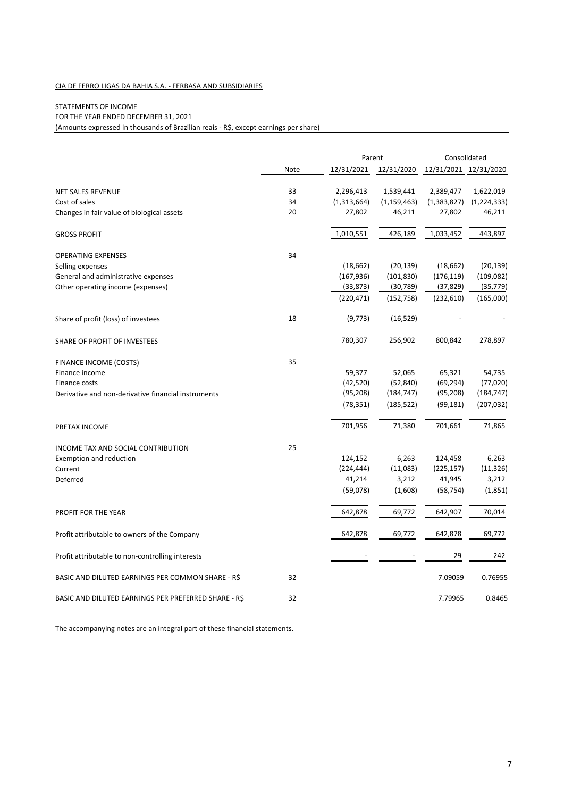#### CIA DE FERRO LIGAS DA BAHIA S.A. ‐ FERBASA AND SUBSIDIARIES

#### STATEMENTS OF INCOME

FOR THE YEAR ENDED DECEMBER 31, 2021

(Amounts expressed in thousands of Brazilian reais ‐ R\$, except earnings per share)

|                                                      |      | Parent      |               | Consolidated          |               |  |
|------------------------------------------------------|------|-------------|---------------|-----------------------|---------------|--|
|                                                      | Note | 12/31/2021  | 12/31/2020    | 12/31/2021 12/31/2020 |               |  |
| <b>NET SALES REVENUE</b>                             | 33   | 2,296,413   | 1,539,441     | 2,389,477             | 1,622,019     |  |
| Cost of sales                                        | 34   | (1,313,664) | (1, 159, 463) | (1,383,827)           | (1, 224, 333) |  |
| Changes in fair value of biological assets           | 20   | 27,802      | 46,211        | 27,802                | 46,211        |  |
| <b>GROSS PROFIT</b>                                  |      | 1,010,551   | 426,189       | 1,033,452             | 443,897       |  |
| <b>OPERATING EXPENSES</b>                            | 34   |             |               |                       |               |  |
| Selling expenses                                     |      | (18, 662)   | (20, 139)     | (18, 662)             | (20, 139)     |  |
| General and administrative expenses                  |      | (167, 936)  | (101, 830)    | (176, 119)            | (109, 082)    |  |
| Other operating income (expenses)                    |      | (33, 873)   | (30, 789)     | (37, 829)             | (35, 779)     |  |
|                                                      |      | (220, 471)  | (152, 758)    | (232,610)             | (165,000)     |  |
| Share of profit (loss) of investees                  | 18   | (9, 773)    | (16, 529)     |                       |               |  |
| SHARE OF PROFIT OF INVESTEES                         |      | 780,307     | 256,902       | 800,842               | 278,897       |  |
| FINANCE INCOME (COSTS)                               | 35   |             |               |                       |               |  |
| Finance income                                       |      | 59,377      | 52,065        | 65,321                | 54,735        |  |
| Finance costs                                        |      | (42, 520)   | (52, 840)     | (69, 294)             | (77, 020)     |  |
| Derivative and non-derivative financial instruments  |      | (95, 208)   | (184, 747)    | (95, 208)             | (184, 747)    |  |
|                                                      |      | (78, 351)   | (185, 522)    | (99, 181)             | (207, 032)    |  |
| PRETAX INCOME                                        |      | 701,956     | 71,380        | 701,661               | 71,865        |  |
| INCOME TAX AND SOCIAL CONTRIBUTION                   | 25   |             |               |                       |               |  |
| Exemption and reduction                              |      | 124,152     | 6,263         | 124,458               | 6,263         |  |
| Current                                              |      | (224, 444)  | (11,083)      | (225, 157)            | (11, 326)     |  |
| Deferred                                             |      | 41,214      | 3,212         | 41,945                | 3,212         |  |
|                                                      |      | (59,078)    | (1,608)       | (58, 754)             | (1,851)       |  |
| PROFIT FOR THE YEAR                                  |      | 642,878     | 69,772        | 642,907               | 70,014        |  |
| Profit attributable to owners of the Company         |      | 642,878     | 69,772        | 642,878               | 69,772        |  |
| Profit attributable to non-controlling interests     |      |             |               | 29                    | 242           |  |
| BASIC AND DILUTED EARNINGS PER COMMON SHARE - R\$    | 32   |             |               | 7.09059               | 0.76955       |  |
| BASIC AND DILUTED EARNINGS PER PREFERRED SHARE - R\$ | 32   |             |               | 7.79965               | 0.8465        |  |
|                                                      |      |             |               |                       |               |  |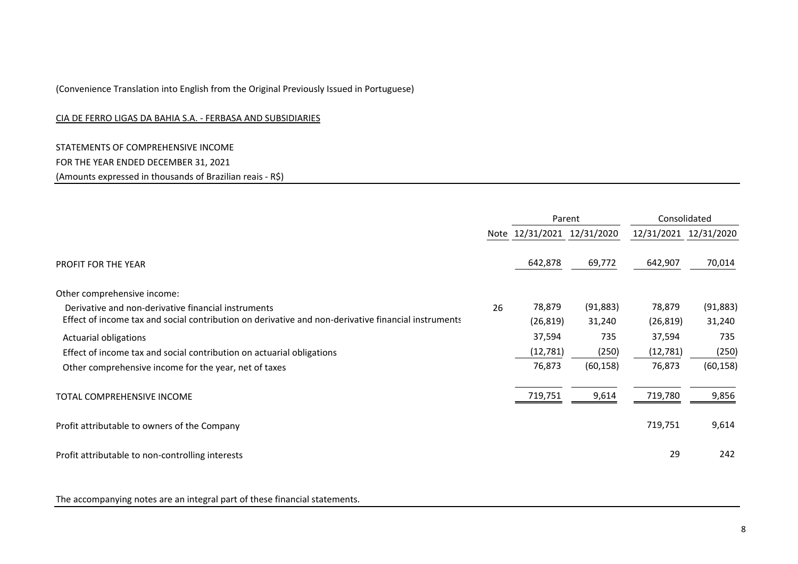#### CIA DE FERRO LIGAS DA BAHIA S.A. ‐ FERBASA AND SUBSIDIARIES

STATEMENTS OF COMPREHENSIVE INCOME FOR THE YEAR ENDED DECEMBER 31, 2021 (Amounts expressed in thousands of Brazilian reais ‐ R\$)

|                                                                                                     |    | Parent                     |           |           | Consolidated          |
|-----------------------------------------------------------------------------------------------------|----|----------------------------|-----------|-----------|-----------------------|
|                                                                                                     |    | Note 12/31/2021 12/31/2020 |           |           | 12/31/2021 12/31/2020 |
| <b>PROFIT FOR THE YEAR</b>                                                                          |    | 642,878                    | 69,772    | 642,907   | 70,014                |
| Other comprehensive income:                                                                         |    |                            |           |           |                       |
| Derivative and non-derivative financial instruments                                                 | 26 | 78,879                     | (91, 883) | 78,879    | (91, 883)             |
| Effect of income tax and social contribution on derivative and non-derivative financial instruments |    | (26, 819)                  | 31,240    | (26, 819) | 31,240                |
| <b>Actuarial obligations</b>                                                                        |    | 37,594                     | 735       | 37,594    | 735                   |
| Effect of income tax and social contribution on actuarial obligations                               |    | (12, 781)                  | (250)     | (12,781)  | (250)                 |
| Other comprehensive income for the year, net of taxes                                               |    | 76,873                     | (60, 158) | 76,873    | (60, 158)             |
| TOTAL COMPREHENSIVE INCOME                                                                          |    | 719,751                    | 9,614     | 719,780   | 9,856                 |
| Profit attributable to owners of the Company                                                        |    |                            |           | 719,751   | 9,614                 |
| Profit attributable to non-controlling interests                                                    |    |                            |           | 29        | 242                   |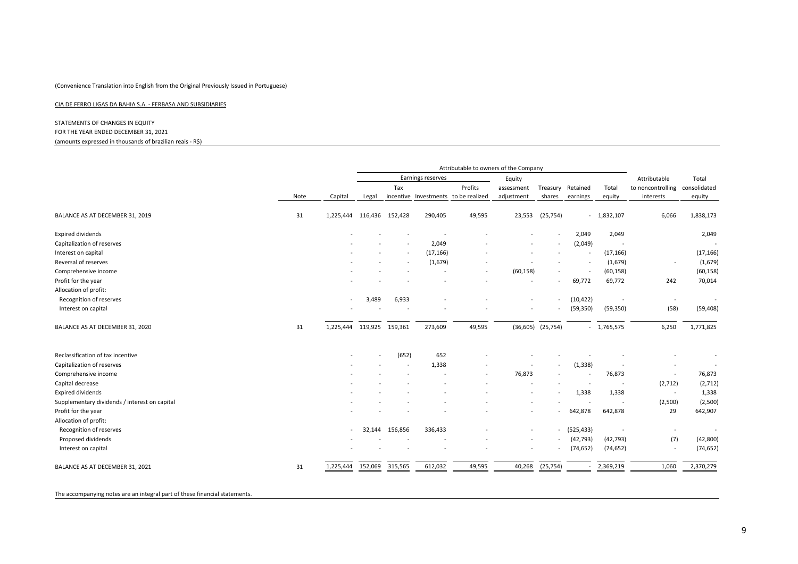#### CIA DE FERRO LIGAS DA BAHIA S.A. ‐ FERBASA AND SUBSIDIARIES

#### STATEMENTS OF CHANGES IN EQUITY FOR THE YEAR ENDED DECEMBER 31, 2021 (amounts expressed in thousands of brazilian reais ‐ R\$)

|                                               |      |                          |         |                |                   |                                      | Attributable to owners of the Company |                          |            |              |                   |                          |
|-----------------------------------------------|------|--------------------------|---------|----------------|-------------------|--------------------------------------|---------------------------------------|--------------------------|------------|--------------|-------------------|--------------------------|
|                                               |      |                          |         |                | Earnings reserves |                                      | Equity                                |                          |            |              | Attributable      | Total                    |
|                                               |      |                          |         | Tax            |                   | Profits                              | assessment                            | Treasury                 | Retained   | Total        | to noncontrolling | consolidated             |
|                                               | Note | Capital                  | Legal   |                |                   | incentive Investments to be realized | adjustment                            | shares                   | earnings   | equity       | interests         | equity                   |
| BALANCE AS AT DECEMBER 31, 2019               | 31   | 1,225,444                | 116,436 | 152,428        | 290,405           | 49,595                               | 23,553                                | (25, 754)                |            | $-1,832,107$ | 6,066             | 1,838,173                |
| Expired dividends                             |      |                          |         |                |                   |                                      |                                       |                          | 2,049      | 2,049        |                   | 2,049                    |
| Capitalization of reserves                    |      |                          |         |                | 2,049             |                                      |                                       |                          | (2,049)    |              |                   |                          |
| Interest on capital                           |      |                          |         |                | (17, 166)         |                                      |                                       |                          |            | (17, 166)    |                   | (17, 166)                |
| Reversal of reserves                          |      |                          |         |                | (1,679)           |                                      |                                       |                          |            | (1,679)      |                   | (1,679)                  |
| Comprehensive income                          |      |                          |         |                |                   | $\overline{\phantom{a}}$             | (60, 158)                             |                          |            | (60, 158)    |                   | (60, 158)                |
| Profit for the year                           |      |                          |         |                |                   |                                      |                                       | $\overline{\phantom{a}}$ | 69,772     | 69,772       | 242               | 70,014                   |
| Allocation of profit:                         |      |                          |         |                |                   |                                      |                                       |                          |            |              |                   |                          |
| Recognition of reserves                       |      | $\overline{\phantom{a}}$ | 3,489   | 6,933          |                   |                                      |                                       |                          | (10, 422)  |              |                   | $\overline{\phantom{a}}$ |
| Interest on capital                           |      |                          |         |                |                   |                                      |                                       |                          | (59, 350)  | (59, 350)    | (58)              | (59, 408)                |
| BALANCE AS AT DECEMBER 31, 2020               | 31   | 1,225,444                | 119,925 | 159,361        | 273,609           | 49,595                               |                                       | $(36,605)$ $(25,754)$    |            | $-1,765,575$ | 6,250             | 1,771,825                |
| Reclassification of tax incentive             |      |                          |         | (652)          | 652               |                                      |                                       |                          |            |              |                   |                          |
| Capitalization of reserves                    |      |                          |         |                | 1,338             |                                      |                                       | $\overline{\phantom{a}}$ | (1, 338)   |              |                   |                          |
| Comprehensive income                          |      |                          |         |                |                   |                                      | 76,873                                |                          |            | 76,873       | $\sim$            | 76,873                   |
| Capital decrease                              |      |                          |         |                |                   |                                      |                                       |                          |            |              | (2,712)           | (2, 712)                 |
| Expired dividends                             |      |                          |         |                |                   |                                      |                                       |                          | 1,338      | 1,338        | $\sim$            | 1,338                    |
| Supplementary dividends / interest on capital |      |                          |         |                |                   |                                      |                                       |                          |            |              | (2,500)           | (2,500)                  |
| Profit for the year                           |      |                          |         |                |                   |                                      |                                       |                          | 642,878    | 642,878      | 29                | 642,907                  |
| Allocation of profit:                         |      |                          |         |                |                   |                                      |                                       |                          |            |              |                   |                          |
| Recognition of reserves                       |      | $\overline{a}$           |         | 32,144 156,856 | 336,433           |                                      |                                       | $\overline{\phantom{0}}$ | (525, 433) |              |                   |                          |
| Proposed dividends                            |      |                          |         |                |                   |                                      |                                       |                          | (42, 793)  | (42, 793)    | (7)               | (42, 800)                |
| Interest on capital                           |      |                          |         |                |                   |                                      |                                       |                          | (74, 652)  | (74, 652)    |                   | (74, 652)                |
| BALANCE AS AT DECEMBER 31, 2021               | 31   | 1,225,444                | 152,069 | 315,565        | 612,032           | 49,595                               | 40,268                                | (25, 754)                |            | 2,369,219    | 1,060             | 2,370,279                |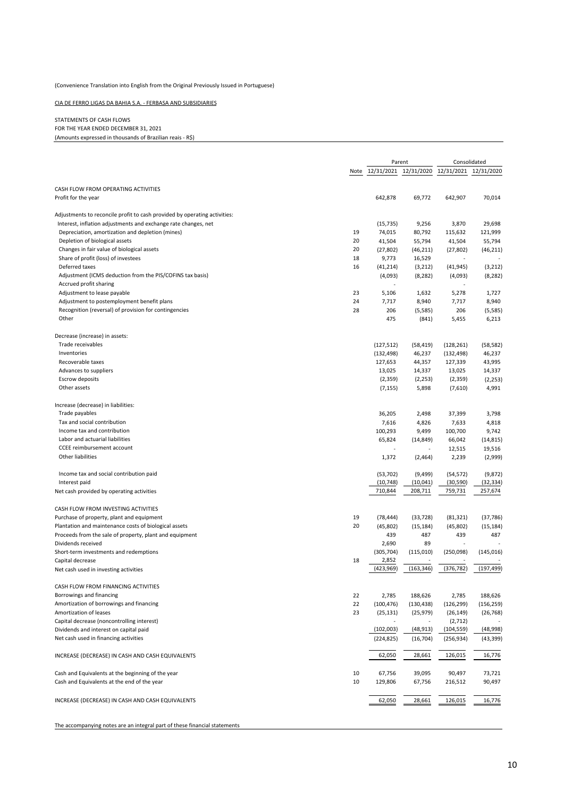#### CIA DE FERRO LIGAS DA BAHIA S.A. ‐ FERBASA AND SUBSIDIARIES

#### STATEMENTS OF CASH FLOWS FOR THE YEAR ENDED DECEMBER 31, 2021 (Amounts expressed in thousands of Brazilian reais ‐ R\$)

|                                                                           |      |                       | Parent     |                       | Consolidated |
|---------------------------------------------------------------------------|------|-----------------------|------------|-----------------------|--------------|
|                                                                           | Note | 12/31/2021 12/31/2020 |            | 12/31/2021 12/31/2020 |              |
|                                                                           |      |                       |            |                       |              |
| CASH FLOW FROM OPERATING ACTIVITIES                                       |      |                       |            |                       |              |
| Profit for the year                                                       |      | 642,878               | 69,772     | 642,907               | 70,014       |
| Adjustments to reconcile profit to cash provided by operating activities: |      |                       |            |                       |              |
| Interest, inflation adjustments and exchange rate changes, net            |      | (15, 735)             | 9,256      | 3,870                 | 29,698       |
| Depreciation, amortization and depletion (mines)                          | 19   | 74,015                | 80,792     | 115,632               | 121,999      |
| Depletion of biological assets                                            | 20   | 41,504                | 55,794     | 41,504                | 55,794       |
| Changes in fair value of biological assets                                | 20   | (27, 802)             | (46, 211)  | (27, 802)             | (46, 211)    |
| Share of profit (loss) of investees                                       | 18   | 9,773                 | 16,529     | ä,                    |              |
| Deferred taxes                                                            | 16   | (41, 214)             | (3, 212)   | (41, 945)             | (3, 212)     |
| Adjustment (ICMS deduction from the PIS/COFINS tax basis)                 |      | (4,093)               | (8, 282)   | (4,093)               | (8, 282)     |
| Accrued profit sharing                                                    |      |                       |            |                       |              |
| Adjustment to lease payable                                               | 23   | 5,106                 | 1,632      | 5,278                 | 1,727        |
| Adjustment to postemployment benefit plans                                | 24   | 7,717                 | 8,940      | 7,717                 | 8,940        |
| Recognition (reversal) of provision for contingencies                     | 28   | 206<br>475            | (5,585)    | 206                   | (5, 585)     |
| Other                                                                     |      |                       | (841)      | 5,455                 | 6,213        |
| Decrease (increase) in assets:                                            |      |                       |            |                       |              |
| Trade receivables                                                         |      | (127, 512)            | (58, 419)  | (128, 261)            | (58, 582)    |
| Inventories                                                               |      | (132, 498)            | 46,237     | (132, 498)            | 46,237       |
| Recoverable taxes                                                         |      | 127,653               | 44,357     | 127,339               | 43,995       |
| Advances to suppliers                                                     |      | 13,025                | 14,337     | 13,025                | 14,337       |
| <b>Escrow deposits</b>                                                    |      | (2, 359)              | (2, 253)   | (2, 359)              | (2, 253)     |
| Other assets                                                              |      | (7, 155)              | 5,898      | (7,610)               | 4,991        |
| Increase (decrease) in liabilities:                                       |      |                       |            |                       |              |
| Trade payables                                                            |      | 36,205                | 2,498      | 37,399                | 3,798        |
| Tax and social contribution                                               |      | 7,616                 | 4,826      | 7,633                 | 4,818        |
| Income tax and contribution                                               |      | 100,293               | 9,499      | 100,700               | 9,742        |
| Labor and actuarial liabilities                                           |      | 65,824                | (14, 849)  | 66,042                | (14, 815)    |
| CCEE reimbursement account                                                |      |                       |            | 12,515                | 19,516       |
| Other liabilities                                                         |      | 1,372                 | (2,464)    | 2,239                 | (2,999)      |
| Income tax and social contribution paid                                   |      | (53, 702)             | (9,499)    | (54, 572)             | (9, 872)     |
| Interest paid                                                             |      | (10, 748)             | (10, 041)  | (30, 590)             | (32, 334)    |
| Net cash provided by operating activities                                 |      | 710,844               | 208,711    | 759,731               | 257,674      |
|                                                                           |      |                       |            |                       |              |
| CASH FLOW FROM INVESTING ACTIVITIES                                       |      |                       |            |                       |              |
| Purchase of property, plant and equipment                                 | 19   | (78, 444)             | (33, 728)  | (81, 321)             | (37, 786)    |
| Plantation and maintenance costs of biological assets                     | 20   | (45, 802)             | (15, 184)  | (45, 802)             | (15, 184)    |
| Proceeds from the sale of property, plant and equipment                   |      | 439                   | 487        | 439                   | 487          |
| Dividends received<br>Short-term investments and redemptions              |      | 2,690                 | 89         |                       | (145, 016)   |
| Capital decrease                                                          | 18   | (305, 704)<br>2,852   | (115,010)  | (250,098)             |              |
| Net cash used in investing activities                                     |      | (423, 969)            | (163, 346) | (376, 782)            | (197, 499)   |
|                                                                           |      |                       |            |                       |              |
| CASH FLOW FROM FINANCING ACTIVITIES                                       |      |                       |            |                       |              |
| Borrowings and financing                                                  | 22   | 2,785                 | 188,626    | 2,785                 | 188,626      |
| Amortization of borrowings and financing                                  | 22   | (100, 476)            | (130, 438) | (126, 299)            | (156, 259)   |
| Amortization of leases                                                    | 23   | (25, 131)             | (25, 979)  | (26, 149)             | (26, 768)    |
| Capital decrease (noncontrolling interest)                                |      |                       |            | (2, 712)              |              |
| Dividends and interest on capital paid                                    |      | (102,003)             | (48, 913)  | (104, 559)            | (48,998)     |
| Net cash used in financing activities                                     |      | (224, 825)            | (16, 704)  | (256, 934)            | (43, 399)    |
| INCREASE (DECREASE) IN CASH AND CASH EQUIVALENTS                          |      | 62,050                | 28,661     | 126,015               | 16,776       |
| Cash and Equivalents at the beginning of the year                         | 10   | 67,756                | 39,095     | 90,497                | 73,721       |
| Cash and Equivalents at the end of the year                               | 10   | 129,806               | 67,756     | 216,512               | 90,497       |
| INCREASE (DECREASE) IN CASH AND CASH EQUIVALENTS                          |      | 62,050                | 28,661     | 126,015               | 16,776       |
|                                                                           |      |                       |            |                       |              |
|                                                                           |      |                       |            |                       |              |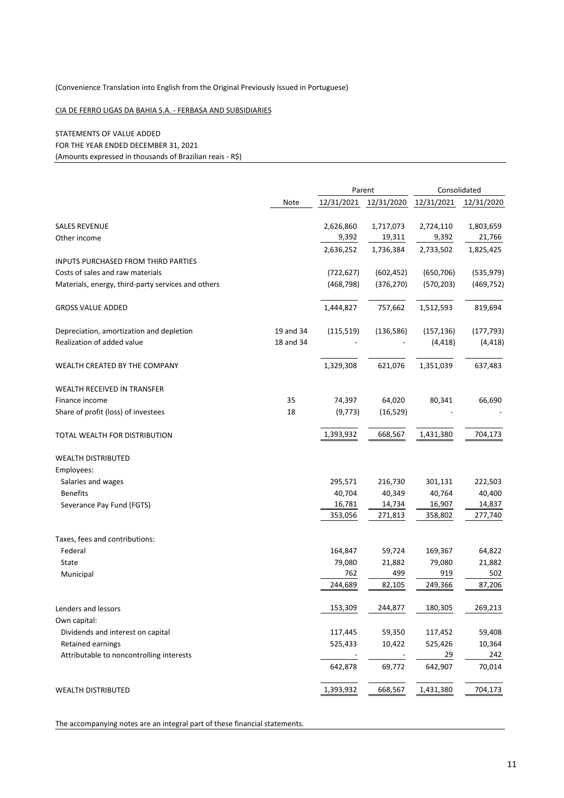#### CIA DE FERRO LIGAS DA BAHIA S.A. ‐ FERBASA AND SUBSIDIARIES

#### STATEMENTS OF VALUE ADDED FOR THE YEAR ENDED DECEMBER 31, 2021 (Amounts expressed in thousands of Brazilian reais ‐ R\$)

|                                                    |           | Parent     |            | Consolidated |            |  |
|----------------------------------------------------|-----------|------------|------------|--------------|------------|--|
|                                                    | Note      | 12/31/2021 | 12/31/2020 | 12/31/2021   | 12/31/2020 |  |
| <b>SALES REVENUE</b>                               |           | 2,626,860  | 1,717,073  | 2,724,110    | 1,803,659  |  |
| Other income                                       |           | 9,392      | 19,311     | 9,392        | 21,766     |  |
|                                                    |           | 2,636,252  | 1,736,384  | 2,733,502    | 1,825,425  |  |
| <b>INPUTS PURCHASED FROM THIRD PARTIES</b>         |           |            |            |              |            |  |
| Costs of sales and raw materials                   |           | (722, 627) | (602, 452) | (650, 706)   | (535, 979) |  |
| Materials, energy, third-party services and others |           | (468, 798) | (376, 270) | (570, 203)   | (469, 752) |  |
|                                                    |           |            |            |              |            |  |
| <b>GROSS VALUE ADDED</b>                           |           | 1,444,827  | 757,662    | 1,512,593    | 819,694    |  |
| Depreciation, amortization and depletion           | 19 and 34 | (115,519)  | (136, 586) | (157, 136)   | (177, 793) |  |
| Realization of added value                         | 18 and 34 |            |            | (4, 418)     | (4, 418)   |  |
| WEALTH CREATED BY THE COMPANY                      |           | 1,329,308  | 621,076    | 1,351,039    | 637,483    |  |
| <b>WEALTH RECEIVED IN TRANSFER</b>                 |           |            |            |              |            |  |
| Finance income                                     | 35        | 74,397     | 64,020     | 80,341       | 66,690     |  |
| Share of profit (loss) of investees                | 18        | (9, 773)   | (16, 529)  |              |            |  |
| TOTAL WEALTH FOR DISTRIBUTION                      |           | 1,393,932  | 668,567    | 1,431,380    | 704,173    |  |
| <b>WEALTH DISTRIBUTED</b>                          |           |            |            |              |            |  |
| Employees:                                         |           |            |            |              |            |  |
| Salaries and wages                                 |           | 295,571    | 216,730    | 301,131      | 222,503    |  |
| <b>Benefits</b>                                    |           | 40,704     | 40,349     | 40,764       | 40,400     |  |
| Severance Pay Fund (FGTS)                          |           | 16,781     | 14,734     | 16,907       | 14,837     |  |
|                                                    |           | 353,056    | 271,813    | 358,802      | 277,740    |  |
| Taxes, fees and contributions:                     |           |            |            |              |            |  |
| Federal                                            |           | 164,847    | 59,724     | 169,367      | 64,822     |  |
| State                                              |           | 79,080     | 21,882     | 79,080       | 21,882     |  |
| Municipal                                          |           | 762        | 499        | 919          | 502        |  |
|                                                    |           | 244,689    | 82,105     | 249,366      | 87,206     |  |
| Lenders and lessors                                |           | 153,309    | 244,877    | 180,305      | 269,213    |  |
| Own capital:                                       |           |            |            |              |            |  |
| Dividends and interest on capital                  |           | 117,445    | 59,350     | 117,452      | 59,408     |  |
| Retained earnings                                  |           | 525,433    | 10,422     | 525,426      | 10,364     |  |
| Attributable to noncontrolling interests           |           |            |            | 29           | 242        |  |
|                                                    |           | 642,878    | 69,772     | 642,907      | 70,014     |  |
| <b>WEALTH DISTRIBUTED</b>                          |           | 1,393,932  | 668,567    | 1,431,380    | 704,173    |  |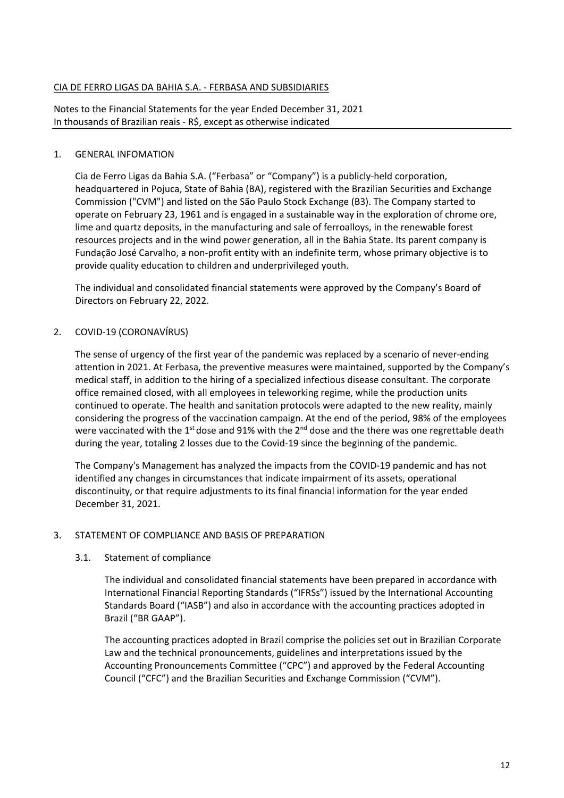### CIA DE FERRO LIGAS DA BAHIA S.A. ‐ FERBASA AND SUBSIDIARIES

Notes to the Financial Statements for the year Ended December 31, 2021 In thousands of Brazilian reais ‐ R\$, except as otherwise indicated

#### 1. GENERAL INFOMATION

Cia de Ferro Ligas da Bahia S.A. ("Ferbasa" or "Company") is a publicly‐held corporation, headquartered in Pojuca, State of Bahia (BA), registered with the Brazilian Securities and Exchange Commission ("CVM") and listed on the São Paulo Stock Exchange (B3). The Company started to operate on February 23, 1961 and is engaged in a sustainable way in the exploration of chrome ore, lime and quartz deposits, in the manufacturing and sale of ferroalloys, in the renewable forest resources projects and in the wind power generation, all in the Bahia State. Its parent company is Fundação José Carvalho, a non‐profit entity with an indefinite term, whose primary objective is to provide quality education to children and underprivileged youth.

The individual and consolidated financial statements were approved by the Company's Board of Directors on February 22, 2022.

#### 2. COVID‐19 (CORONAVÍRUS)

The sense of urgency of the first year of the pandemic was replaced by a scenario of never-ending attention in 2021. At Ferbasa, the preventive measures were maintained, supported by the Company's medical staff, in addition to the hiring of a specialized infectious disease consultant. The corporate office remained closed, with all employees in teleworking regime, while the production units continued to operate. The health and sanitation protocols were adapted to the new reality, mainly considering the progress of the vaccination campaign. At the end of the period, 98% of the employees were vaccinated with the 1<sup>st</sup> dose and 91% with the 2<sup>nd</sup> dose and the there was one regrettable death during the year, totaling 2 losses due to the Covid‐19 since the beginning of the pandemic.

The Company's Management has analyzed the impacts from the COVID‐19 pandemic and has not identified any changes in circumstances that indicate impairment of its assets, operational discontinuity, or that require adjustments to its final financial information for the year ended December 31, 2021.

#### 3. STATEMENT OF COMPLIANCE AND BASIS OF PREPARATION

#### 3.1. Statement of compliance

The individual and consolidated financial statements have been prepared in accordance with International Financial Reporting Standards ("IFRSs") issued by the International Accounting Standards Board ("IASB") and also in accordance with the accounting practices adopted in Brazil ("BR GAAP").

The accounting practices adopted in Brazil comprise the policies set out in Brazilian Corporate Law and the technical pronouncements, guidelines and interpretations issued by the Accounting Pronouncements Committee ("CPC") and approved by the Federal Accounting Council ("CFC") and the Brazilian Securities and Exchange Commission ("CVM").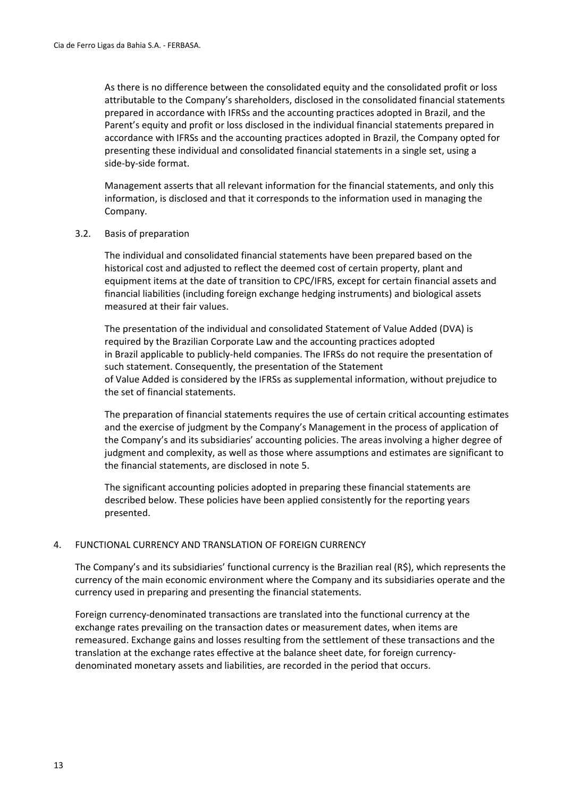As there is no difference between the consolidated equity and the consolidated profit or loss attributable to the Company's shareholders, disclosed in the consolidated financial statements prepared in accordance with IFRSs and the accounting practices adopted in Brazil, and the Parent's equity and profit or loss disclosed in the individual financial statements prepared in accordance with IFRSs and the accounting practices adopted in Brazil, the Company opted for presenting these individual and consolidated financial statements in a single set, using a side‐by‐side format.

Management asserts that all relevant information for the financial statements, and only this information, is disclosed and that it corresponds to the information used in managing the Company.

#### 3.2. Basis of preparation

The individual and consolidated financial statements have been prepared based on the historical cost and adjusted to reflect the deemed cost of certain property, plant and equipment items at the date of transition to CPC/IFRS, except for certain financial assets and financial liabilities (including foreign exchange hedging instruments) and biological assets measured at their fair values.

The presentation of the individual and consolidated Statement of Value Added (DVA) is required by the Brazilian Corporate Law and the accounting practices adopted in Brazil applicable to publicly-held companies. The IFRSs do not require the presentation of such statement. Consequently, the presentation of the Statement of Value Added is considered by the IFRSs as supplemental information, without prejudice to the set of financial statements.

The preparation of financial statements requires the use of certain critical accounting estimates and the exercise of judgment by the Company's Management in the process of application of the Company's and its subsidiaries' accounting policies. The areas involving a higher degree of judgment and complexity, as well as those where assumptions and estimates are significant to the financial statements, are disclosed in note 5.

The significant accounting policies adopted in preparing these financial statements are described below. These policies have been applied consistently for the reporting years presented.

#### 4. FUNCTIONAL CURRENCY AND TRANSLATION OF FOREIGN CURRENCY

The Company's and its subsidiaries' functional currency is the Brazilian real (R\$), which represents the currency of the main economic environment where the Company and its subsidiaries operate and the currency used in preparing and presenting the financial statements.

Foreign currency‐denominated transactions are translated into the functional currency at the exchange rates prevailing on the transaction dates or measurement dates, when items are remeasured. Exchange gains and losses resulting from the settlement of these transactions and the translation at the exchange rates effective at the balance sheet date, for foreign currency‐ denominated monetary assets and liabilities, are recorded in the period that occurs.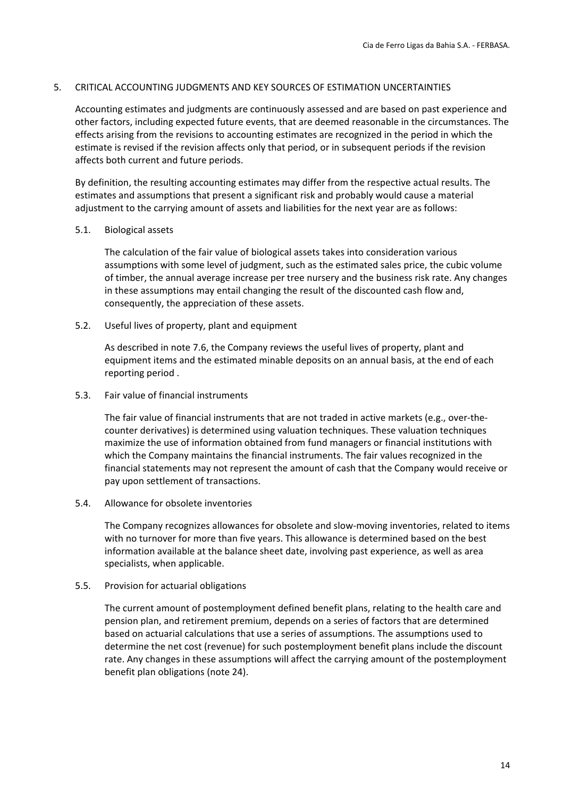#### 5. CRITICAL ACCOUNTING JUDGMENTS AND KEY SOURCES OF ESTIMATION UNCERTAINTIES

Accounting estimates and judgments are continuously assessed and are based on past experience and other factors, including expected future events, that are deemed reasonable in the circumstances. The effects arising from the revisions to accounting estimates are recognized in the period in which the estimate is revised if the revision affects only that period, or in subsequent periods if the revision affects both current and future periods.

By definition, the resulting accounting estimates may differ from the respective actual results. The estimates and assumptions that present a significant risk and probably would cause a material adjustment to the carrying amount of assets and liabilities for the next year are as follows:

#### 5.1. Biological assets

The calculation of the fair value of biological assets takes into consideration various assumptions with some level of judgment, such as the estimated sales price, the cubic volume of timber, the annual average increase per tree nursery and the business risk rate. Any changes in these assumptions may entail changing the result of the discounted cash flow and, consequently, the appreciation of these assets.

5.2. Useful lives of property, plant and equipment

As described in note 7.6, the Company reviews the useful lives of property, plant and equipment items and the estimated minable deposits on an annual basis, at the end of each reporting period .

5.3. Fair value of financial instruments

The fair value of financial instruments that are not traded in active markets (e.g., over-thecounter derivatives) is determined using valuation techniques. These valuation techniques maximize the use of information obtained from fund managers or financial institutions with which the Company maintains the financial instruments. The fair values recognized in the financial statements may not represent the amount of cash that the Company would receive or pay upon settlement of transactions.

5.4. Allowance for obsolete inventories

The Company recognizes allowances for obsolete and slow‐moving inventories, related to items with no turnover for more than five years. This allowance is determined based on the best information available at the balance sheet date, involving past experience, as well as area specialists, when applicable.

5.5. Provision for actuarial obligations

The current amount of postemployment defined benefit plans, relating to the health care and pension plan, and retirement premium, depends on a series of factors that are determined based on actuarial calculations that use a series of assumptions. The assumptions used to determine the net cost (revenue) for such postemployment benefit plans include the discount rate. Any changes in these assumptions will affect the carrying amount of the postemployment benefit plan obligations (note 24).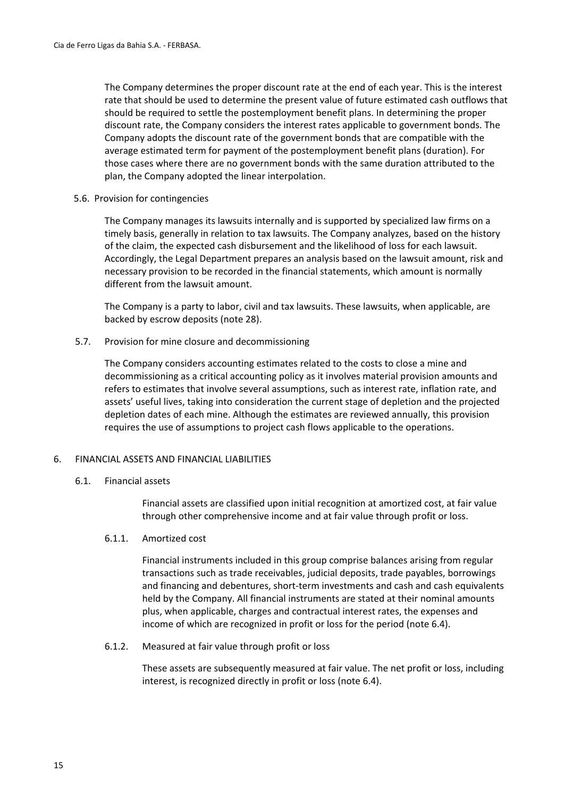The Company determines the proper discount rate at the end of each year. This is the interest rate that should be used to determine the present value of future estimated cash outflows that should be required to settle the postemployment benefit plans. In determining the proper discount rate, the Company considers the interest rates applicable to government bonds. The Company adopts the discount rate of the government bonds that are compatible with the average estimated term for payment of the postemployment benefit plans (duration). For those cases where there are no government bonds with the same duration attributed to the plan, the Company adopted the linear interpolation.

#### 5.6. Provision for contingencies

The Company manages its lawsuits internally and is supported by specialized law firms on a timely basis, generally in relation to tax lawsuits. The Company analyzes, based on the history of the claim, the expected cash disbursement and the likelihood of loss for each lawsuit. Accordingly, the Legal Department prepares an analysis based on the lawsuit amount, risk and necessary provision to be recorded in the financial statements, which amount is normally different from the lawsuit amount.

The Company is a party to labor, civil and tax lawsuits. These lawsuits, when applicable, are backed by escrow deposits (note 28).

#### 5.7. Provision for mine closure and decommissioning

The Company considers accounting estimates related to the costs to close a mine and decommissioning as a critical accounting policy as it involves material provision amounts and refers to estimates that involve several assumptions, such as interest rate, inflation rate, and assets' useful lives, taking into consideration the current stage of depletion and the projected depletion dates of each mine. Although the estimates are reviewed annually, this provision requires the use of assumptions to project cash flows applicable to the operations.

#### 6. FINANCIAL ASSETS AND FINANCIAL LIABILITIES

#### 6.1. Financial assets

Financial assets are classified upon initial recognition at amortized cost, at fair value through other comprehensive income and at fair value through profit or loss.

#### 6.1.1. Amortized cost

Financial instruments included in this group comprise balances arising from regular transactions such as trade receivables, judicial deposits, trade payables, borrowings and financing and debentures, short‐term investments and cash and cash equivalents held by the Company. All financial instruments are stated at their nominal amounts plus, when applicable, charges and contractual interest rates, the expenses and income of which are recognized in profit or loss for the period (note 6.4).

#### 6.1.2. Measured at fair value through profit or loss

These assets are subsequently measured at fair value. The net profit or loss, including interest, is recognized directly in profit or loss (note 6.4).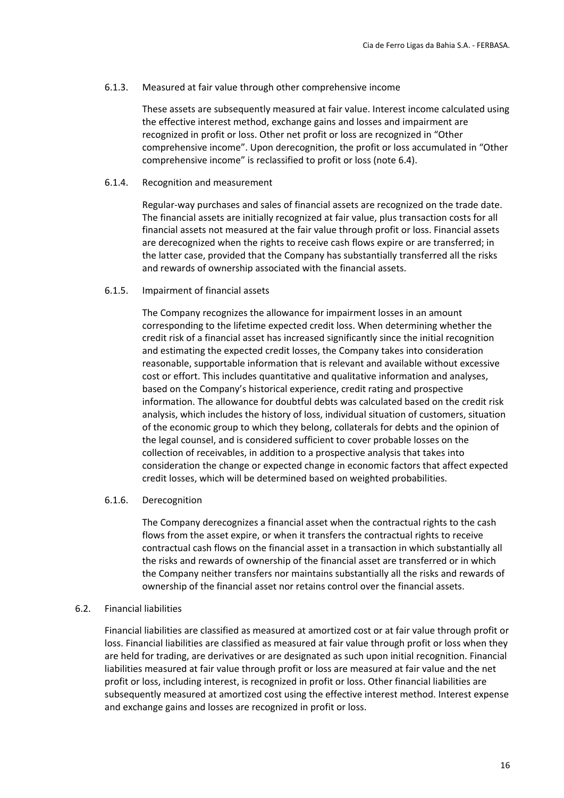#### 6.1.3. Measured at fair value through other comprehensive income

These assets are subsequently measured at fair value. Interest income calculated using the effective interest method, exchange gains and losses and impairment are recognized in profit or loss. Other net profit or loss are recognized in "Other comprehensive income". Upon derecognition, the profit or loss accumulated in "Other comprehensive income" is reclassified to profit or loss (note 6.4).

#### 6.1.4. Recognition and measurement

Regular‐way purchases and sales of financial assets are recognized on the trade date. The financial assets are initially recognized at fair value, plus transaction costs for all financial assets not measured at the fair value through profit or loss. Financial assets are derecognized when the rights to receive cash flows expire or are transferred; in the latter case, provided that the Company has substantially transferred all the risks and rewards of ownership associated with the financial assets.

#### 6.1.5. Impairment of financial assets

The Company recognizes the allowance for impairment losses in an amount corresponding to the lifetime expected credit loss. When determining whether the credit risk of a financial asset has increased significantly since the initial recognition and estimating the expected credit losses, the Company takes into consideration reasonable, supportable information that is relevant and available without excessive cost or effort. This includes quantitative and qualitative information and analyses, based on the Company's historical experience, credit rating and prospective information. The allowance for doubtful debts was calculated based on the credit risk analysis, which includes the history of loss, individual situation of customers, situation of the economic group to which they belong, collaterals for debts and the opinion of the legal counsel, and is considered sufficient to cover probable losses on the collection of receivables, in addition to a prospective analysis that takes into consideration the change or expected change in economic factors that affect expected credit losses, which will be determined based on weighted probabilities.

#### 6.1.6. Derecognition

The Company derecognizes a financial asset when the contractual rights to the cash flows from the asset expire, or when it transfers the contractual rights to receive contractual cash flows on the financial asset in a transaction in which substantially all the risks and rewards of ownership of the financial asset are transferred or in which the Company neither transfers nor maintains substantially all the risks and rewards of ownership of the financial asset nor retains control over the financial assets.

#### 6.2. Financial liabilities

Financial liabilities are classified as measured at amortized cost or at fair value through profit or loss. Financial liabilities are classified as measured at fair value through profit or loss when they are held for trading, are derivatives or are designated as such upon initial recognition. Financial liabilities measured at fair value through profit or loss are measured at fair value and the net profit or loss, including interest, is recognized in profit or loss. Other financial liabilities are subsequently measured at amortized cost using the effective interest method. Interest expense and exchange gains and losses are recognized in profit or loss.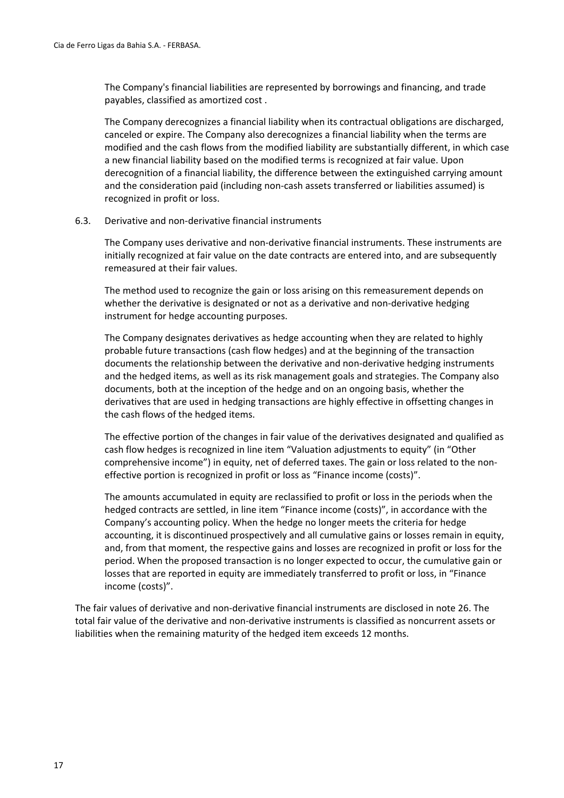The Company's financial liabilities are represented by borrowings and financing, and trade payables, classified as amortized cost .

The Company derecognizes a financial liability when its contractual obligations are discharged, canceled or expire. The Company also derecognizes a financial liability when the terms are modified and the cash flows from the modified liability are substantially different, in which case a new financial liability based on the modified terms is recognized at fair value. Upon derecognition of a financial liability, the difference between the extinguished carrying amount and the consideration paid (including non‐cash assets transferred or liabilities assumed) is recognized in profit or loss.

#### 6.3. Derivative and non‐derivative financial instruments

The Company uses derivative and non‐derivative financial instruments. These instruments are initially recognized at fair value on the date contracts are entered into, and are subsequently remeasured at their fair values.

The method used to recognize the gain or loss arising on this remeasurement depends on whether the derivative is designated or not as a derivative and non-derivative hedging instrument for hedge accounting purposes.

The Company designates derivatives as hedge accounting when they are related to highly probable future transactions (cash flow hedges) and at the beginning of the transaction documents the relationship between the derivative and non-derivative hedging instruments and the hedged items, as well as its risk management goals and strategies. The Company also documents, both at the inception of the hedge and on an ongoing basis, whether the derivatives that are used in hedging transactions are highly effective in offsetting changes in the cash flows of the hedged items.

The effective portion of the changes in fair value of the derivatives designated and qualified as cash flow hedges is recognized in line item "Valuation adjustments to equity" (in "Other comprehensive income") in equity, net of deferred taxes. The gain or loss related to the non‐ effective portion is recognized in profit or loss as "Finance income (costs)".

The amounts accumulated in equity are reclassified to profit or loss in the periods when the hedged contracts are settled, in line item "Finance income (costs)", in accordance with the Company's accounting policy. When the hedge no longer meets the criteria for hedge accounting, it is discontinued prospectively and all cumulative gains or losses remain in equity, and, from that moment, the respective gains and losses are recognized in profit or loss for the period. When the proposed transaction is no longer expected to occur, the cumulative gain or losses that are reported in equity are immediately transferred to profit or loss, in "Finance income (costs)".

The fair values of derivative and non‐derivative financial instruments are disclosed in note 26. The total fair value of the derivative and non‐derivative instruments is classified as noncurrent assets or liabilities when the remaining maturity of the hedged item exceeds 12 months.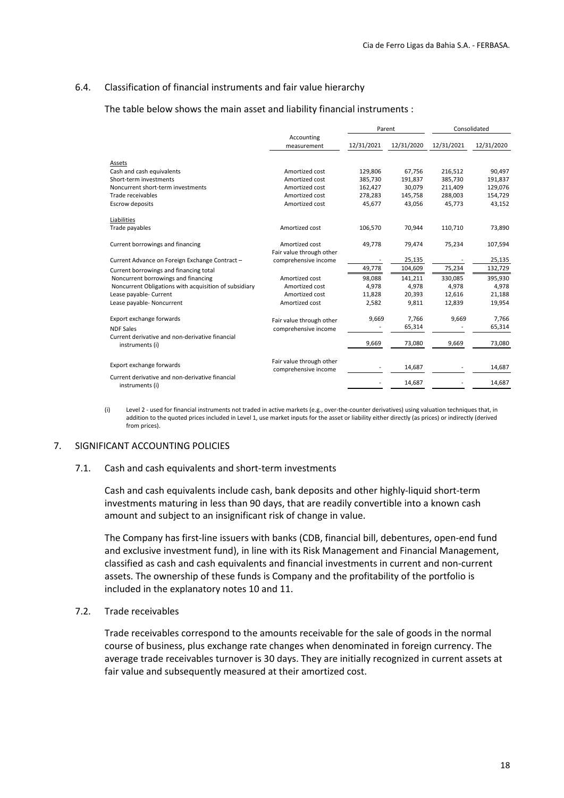#### 6.4. Classification of financial instruments and fair value hierarchy

The table below shows the main asset and liability financial instruments :

|                                                                    |                                                  | Parent     |            | Consolidated |            |  |
|--------------------------------------------------------------------|--------------------------------------------------|------------|------------|--------------|------------|--|
|                                                                    | Accounting<br>measurement                        | 12/31/2021 | 12/31/2020 | 12/31/2021   | 12/31/2020 |  |
| <b>Assets</b>                                                      |                                                  |            |            |              |            |  |
| Cash and cash equivalents                                          | Amortized cost                                   | 129,806    | 67,756     | 216,512      | 90,497     |  |
| Short-term investments                                             | Amortized cost                                   | 385,730    | 191,837    | 385,730      | 191,837    |  |
| Noncurrent short-term investments                                  | Amortized cost                                   | 162,427    | 30,079     | 211,409      | 129,076    |  |
| Trade receivables                                                  | Amortized cost                                   | 278,283    | 145,758    | 288,003      | 154,729    |  |
| Escrow deposits                                                    | Amortized cost                                   | 45,677     | 43,056     | 45,773       | 43,152     |  |
| Liabilities                                                        |                                                  |            |            |              |            |  |
| Trade payables                                                     | Amortized cost                                   | 106,570    | 70,944     | 110.710      | 73,890     |  |
| Current borrowings and financing                                   | Amortized cost<br>Fair value through other       | 49,778     | 79,474     | 75,234       | 107,594    |  |
| Current Advance on Foreign Exchange Contract -                     | comprehensive income                             |            | 25,135     |              | 25,135     |  |
| Current borrowings and financing total                             |                                                  | 49,778     | 104,609    | 75,234       | 132,729    |  |
| Noncurrent borrowings and financing                                | Amortized cost                                   | 98,088     | 141,211    | 330,085      | 395,930    |  |
| Noncurrent Obligations with acquisition of subsidiary              | Amortized cost                                   | 4,978      | 4,978      | 4,978        | 4,978      |  |
| Lease payable- Current                                             | Amortized cost                                   | 11,828     | 20,393     | 12,616       | 21,188     |  |
| Lease payable- Noncurrent                                          | Amortized cost                                   | 2,582      | 9,811      | 12,839       | 19,954     |  |
| Export exchange forwards                                           | Fair value through other                         | 9,669      | 7,766      | 9,669        | 7,766      |  |
| <b>NDF Sales</b>                                                   | comprehensive income                             |            | 65,314     |              | 65,314     |  |
| Current derivative and non-derivative financial<br>instruments (i) |                                                  | 9,669      | 73,080     | 9,669        | 73,080     |  |
| Export exchange forwards                                           | Fair value through other<br>comprehensive income |            | 14,687     |              | 14,687     |  |
| Current derivative and non-derivative financial<br>instruments (i) |                                                  |            | 14,687     |              | 14,687     |  |

(i) Level 2 - used for financial instruments not traded in active markets (e.g., over-the-counter derivatives) using valuation techniques that, in addition to the quoted prices included in Level 1, use market inputs for the asset or liability either directly (as prices) or indirectly (derived from prices).

#### 7. SIGNIFICANT ACCOUNTING POLICIES

#### 7.1. Cash and cash equivalents and short‐term investments

Cash and cash equivalents include cash, bank deposits and other highly‐liquid short‐term investments maturing in less than 90 days, that are readily convertible into a known cash amount and subject to an insignificant risk of change in value.

The Company has first‐line issuers with banks (CDB, financial bill, debentures, open‐end fund and exclusive investment fund), in line with its Risk Management and Financial Management, classified as cash and cash equivalents and financial investments in current and non‐current assets. The ownership of these funds is Company and the profitability of the portfolio is included in the explanatory notes 10 and 11.

#### 7.2. Trade receivables

Trade receivables correspond to the amounts receivable for the sale of goods in the normal course of business, plus exchange rate changes when denominated in foreign currency. The average trade receivables turnover is 30 days. They are initially recognized in current assets at fair value and subsequently measured at their amortized cost.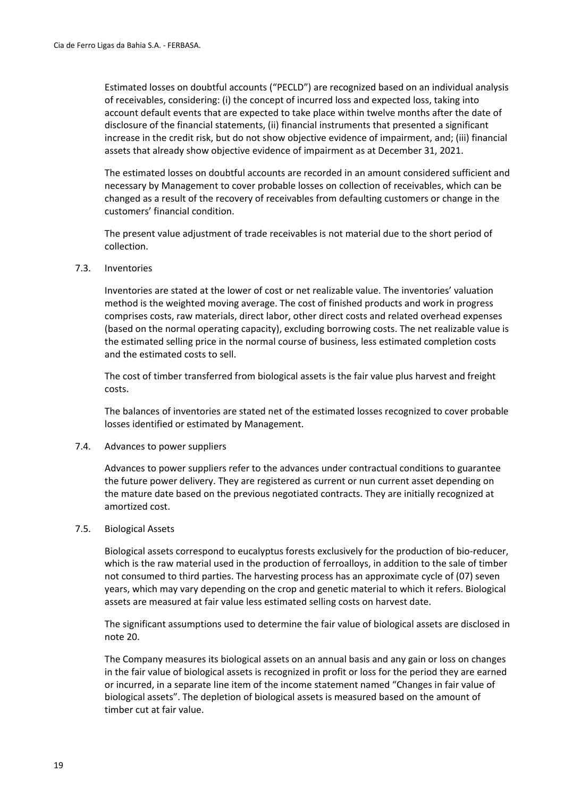Estimated losses on doubtful accounts ("PECLD") are recognized based on an individual analysis of receivables, considering: (i) the concept of incurred loss and expected loss, taking into account default events that are expected to take place within twelve months after the date of disclosure of the financial statements, (ii) financial instruments that presented a significant increase in the credit risk, but do not show objective evidence of impairment, and; (iii) financial assets that already show objective evidence of impairment as at December 31, 2021.

The estimated losses on doubtful accounts are recorded in an amount considered sufficient and necessary by Management to cover probable losses on collection of receivables, which can be changed as a result of the recovery of receivables from defaulting customers or change in the customers' financial condition.

The present value adjustment of trade receivables is not material due to the short period of collection.

#### 7.3. Inventories

Inventories are stated at the lower of cost or net realizable value. The inventories' valuation method is the weighted moving average. The cost of finished products and work in progress comprises costs, raw materials, direct labor, other direct costs and related overhead expenses (based on the normal operating capacity), excluding borrowing costs. The net realizable value is the estimated selling price in the normal course of business, less estimated completion costs and the estimated costs to sell.

The cost of timber transferred from biological assets is the fair value plus harvest and freight costs.

The balances of inventories are stated net of the estimated losses recognized to cover probable losses identified or estimated by Management.

#### 7.4. Advances to power suppliers

Advances to power suppliers refer to the advances under contractual conditions to guarantee the future power delivery. They are registered as current or nun current asset depending on the mature date based on the previous negotiated contracts. They are initially recognized at amortized cost.

#### 7.5. Biological Assets

Biological assets correspond to eucalyptus forests exclusively for the production of bio-reducer, which is the raw material used in the production of ferroalloys, in addition to the sale of timber not consumed to third parties. The harvesting process has an approximate cycle of (07) seven years, which may vary depending on the crop and genetic material to which it refers. Biological assets are measured at fair value less estimated selling costs on harvest date.

The significant assumptions used to determine the fair value of biological assets are disclosed in note 20.

The Company measures its biological assets on an annual basis and any gain or loss on changes in the fair value of biological assets is recognized in profit or loss for the period they are earned or incurred, in a separate line item of the income statement named "Changes in fair value of biological assets". The depletion of biological assets is measured based on the amount of timber cut at fair value.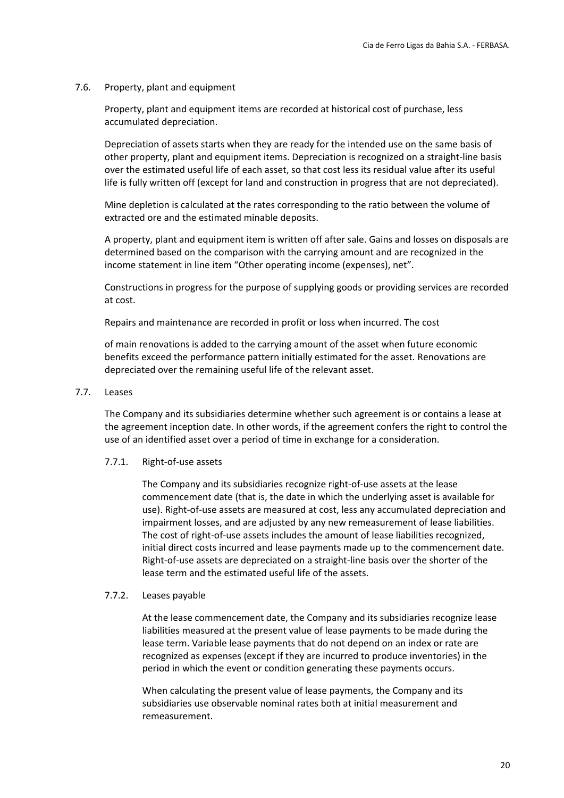#### 7.6. Property, plant and equipment

Property, plant and equipment items are recorded at historical cost of purchase, less accumulated depreciation.

Depreciation of assets starts when they are ready for the intended use on the same basis of other property, plant and equipment items. Depreciation is recognized on a straight‐line basis over the estimated useful life of each asset, so that cost less its residual value after its useful life is fully written off (except for land and construction in progress that are not depreciated).

Mine depletion is calculated at the rates corresponding to the ratio between the volume of extracted ore and the estimated minable deposits.

A property, plant and equipment item is written off after sale. Gains and losses on disposals are determined based on the comparison with the carrying amount and are recognized in the income statement in line item "Other operating income (expenses), net".

Constructions in progress for the purpose of supplying goods or providing services are recorded at cost.

Repairs and maintenance are recorded in profit or loss when incurred. The cost

of main renovations is added to the carrying amount of the asset when future economic benefits exceed the performance pattern initially estimated for the asset. Renovations are depreciated over the remaining useful life of the relevant asset.

#### 7.7. Leases

The Company and its subsidiaries determine whether such agreement is or contains a lease at the agreement inception date. In other words, if the agreement confers the right to control the use of an identified asset over a period of time in exchange for a consideration.

#### 7.7.1. Right‐of‐use assets

The Company and its subsidiaries recognize right‐of‐use assets at the lease commencement date (that is, the date in which the underlying asset is available for use). Right‐of‐use assets are measured at cost, less any accumulated depreciation and impairment losses, and are adjusted by any new remeasurement of lease liabilities. The cost of right‐of‐use assets includes the amount of lease liabilities recognized, initial direct costs incurred and lease payments made up to the commencement date. Right‐of‐use assets are depreciated on a straight‐line basis over the shorter of the lease term and the estimated useful life of the assets.

#### 7.7.2. Leases payable

At the lease commencement date, the Company and its subsidiaries recognize lease liabilities measured at the present value of lease payments to be made during the lease term. Variable lease payments that do not depend on an index or rate are recognized as expenses (except if they are incurred to produce inventories) in the period in which the event or condition generating these payments occurs.

When calculating the present value of lease payments, the Company and its subsidiaries use observable nominal rates both at initial measurement and remeasurement.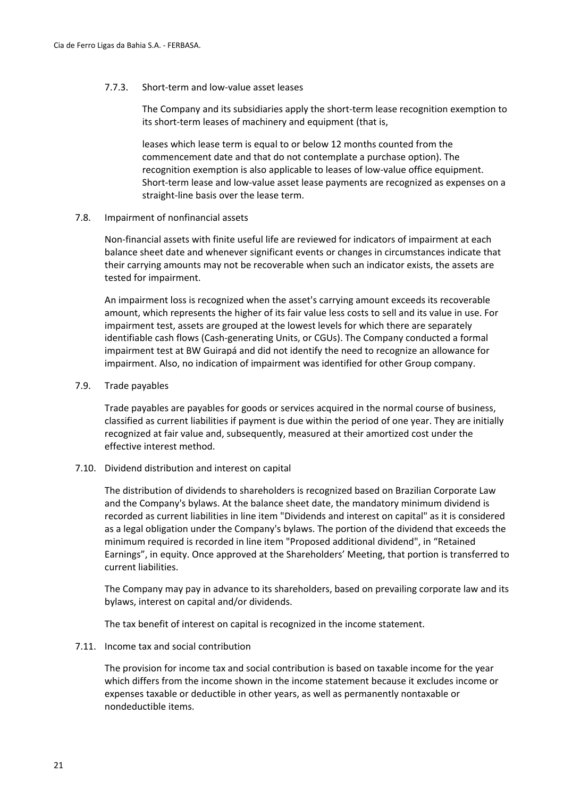#### 7.7.3. Short‐term and low‐value asset leases

The Company and its subsidiaries apply the short‐term lease recognition exemption to its short-term leases of machinery and equipment (that is,

leases which lease term is equal to or below 12 months counted from the commencement date and that do not contemplate a purchase option). The recognition exemption is also applicable to leases of low‐value office equipment. Short‐term lease and low‐value asset lease payments are recognized as expenses on a straight‐line basis over the lease term.

#### 7.8. Impairment of nonfinancial assets

Non‐financial assets with finite useful life are reviewed for indicators of impairment at each balance sheet date and whenever significant events or changes in circumstances indicate that their carrying amounts may not be recoverable when such an indicator exists, the assets are tested for impairment.

An impairment loss is recognized when the asset's carrying amount exceeds its recoverable amount, which represents the higher of its fair value less costs to sell and its value in use. For impairment test, assets are grouped at the lowest levels for which there are separately identifiable cash flows (Cash‐generating Units, or CGUs). The Company conducted a formal impairment test at BW Guirapá and did not identify the need to recognize an allowance for impairment. Also, no indication of impairment was identified for other Group company.

#### 7.9. Trade payables

Trade payables are payables for goods or services acquired in the normal course of business, classified as current liabilities if payment is due within the period of one year. They are initially recognized at fair value and, subsequently, measured at their amortized cost under the effective interest method.

#### 7.10. Dividend distribution and interest on capital

The distribution of dividends to shareholders is recognized based on Brazilian Corporate Law and the Company's bylaws. At the balance sheet date, the mandatory minimum dividend is recorded as current liabilities in line item "Dividends and interest on capital" as it is considered as a legal obligation under the Company's bylaws. The portion of the dividend that exceeds the minimum required is recorded in line item "Proposed additional dividend", in "Retained Earnings", in equity. Once approved at the Shareholders' Meeting, that portion is transferred to current liabilities.

The Company may pay in advance to its shareholders, based on prevailing corporate law and its bylaws, interest on capital and/or dividends.

The tax benefit of interest on capital is recognized in the income statement.

#### 7.11. Income tax and social contribution

The provision for income tax and social contribution is based on taxable income for the year which differs from the income shown in the income statement because it excludes income or expenses taxable or deductible in other years, as well as permanently nontaxable or nondeductible items.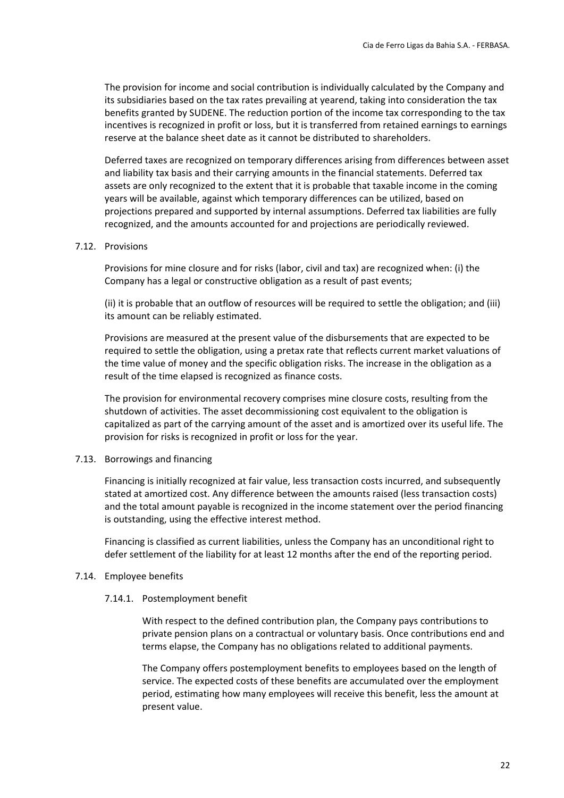The provision for income and social contribution is individually calculated by the Company and its subsidiaries based on the tax rates prevailing at yearend, taking into consideration the tax benefits granted by SUDENE. The reduction portion of the income tax corresponding to the tax incentives is recognized in profit or loss, but it is transferred from retained earnings to earnings reserve at the balance sheet date as it cannot be distributed to shareholders.

Deferred taxes are recognized on temporary differences arising from differences between asset and liability tax basis and their carrying amounts in the financial statements. Deferred tax assets are only recognized to the extent that it is probable that taxable income in the coming years will be available, against which temporary differences can be utilized, based on projections prepared and supported by internal assumptions. Deferred tax liabilities are fully recognized, and the amounts accounted for and projections are periodically reviewed.

#### 7.12. Provisions

Provisions for mine closure and for risks (labor, civil and tax) are recognized when: (i) the Company has a legal or constructive obligation as a result of past events;

(ii) it is probable that an outflow of resources will be required to settle the obligation; and (iii) its amount can be reliably estimated.

Provisions are measured at the present value of the disbursements that are expected to be required to settle the obligation, using a pretax rate that reflects current market valuations of the time value of money and the specific obligation risks. The increase in the obligation as a result of the time elapsed is recognized as finance costs.

The provision for environmental recovery comprises mine closure costs, resulting from the shutdown of activities. The asset decommissioning cost equivalent to the obligation is capitalized as part of the carrying amount of the asset and is amortized over its useful life. The provision for risks is recognized in profit or loss for the year.

#### 7.13. Borrowings and financing

Financing is initially recognized at fair value, less transaction costs incurred, and subsequently stated at amortized cost. Any difference between the amounts raised (less transaction costs) and the total amount payable is recognized in the income statement over the period financing is outstanding, using the effective interest method.

Financing is classified as current liabilities, unless the Company has an unconditional right to defer settlement of the liability for at least 12 months after the end of the reporting period.

#### 7.14. Employee benefits

#### 7.14.1. Postemployment benefit

With respect to the defined contribution plan, the Company pays contributions to private pension plans on a contractual or voluntary basis. Once contributions end and terms elapse, the Company has no obligations related to additional payments.

The Company offers postemployment benefits to employees based on the length of service. The expected costs of these benefits are accumulated over the employment period, estimating how many employees will receive this benefit, less the amount at present value.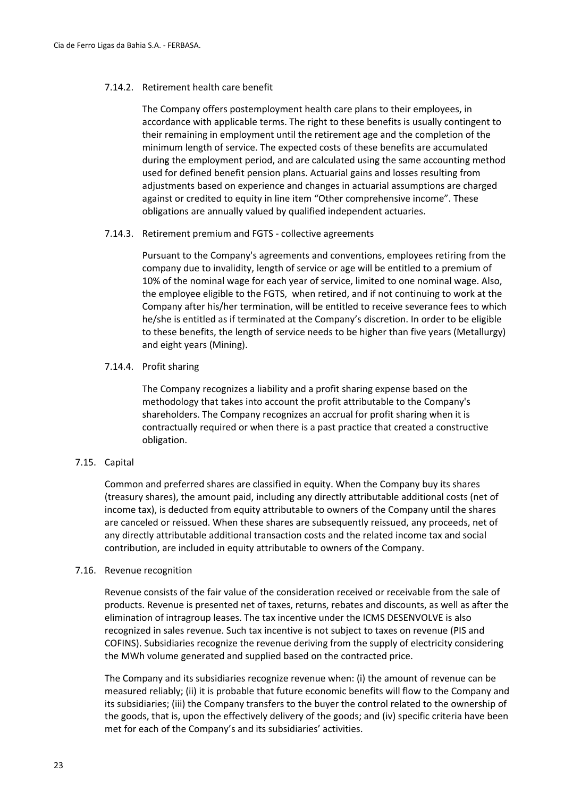#### 7.14.2. Retirement health care benefit

The Company offers postemployment health care plans to their employees, in accordance with applicable terms. The right to these benefits is usually contingent to their remaining in employment until the retirement age and the completion of the minimum length of service. The expected costs of these benefits are accumulated during the employment period, and are calculated using the same accounting method used for defined benefit pension plans. Actuarial gains and losses resulting from adjustments based on experience and changes in actuarial assumptions are charged against or credited to equity in line item "Other comprehensive income". These obligations are annually valued by qualified independent actuaries.

#### 7.14.3. Retirement premium and FGTS ‐ collective agreements

Pursuant to the Company's agreements and conventions, employees retiring from the company due to invalidity, length of service or age will be entitled to a premium of 10% of the nominal wage for each year of service, limited to one nominal wage. Also, the employee eligible to the FGTS, when retired, and if not continuing to work at the Company after his/her termination, will be entitled to receive severance fees to which he/she is entitled as if terminated at the Company's discretion. In order to be eligible to these benefits, the length of service needs to be higher than five years (Metallurgy) and eight years (Mining).

#### 7.14.4. Profit sharing

The Company recognizes a liability and a profit sharing expense based on the methodology that takes into account the profit attributable to the Company's shareholders. The Company recognizes an accrual for profit sharing when it is contractually required or when there is a past practice that created a constructive obligation.

#### 7.15. Capital

Common and preferred shares are classified in equity. When the Company buy its shares (treasury shares), the amount paid, including any directly attributable additional costs (net of income tax), is deducted from equity attributable to owners of the Company until the shares are canceled or reissued. When these shares are subsequently reissued, any proceeds, net of any directly attributable additional transaction costs and the related income tax and social contribution, are included in equity attributable to owners of the Company.

#### 7.16. Revenue recognition

Revenue consists of the fair value of the consideration received or receivable from the sale of products. Revenue is presented net of taxes, returns, rebates and discounts, as well as after the elimination of intragroup leases. The tax incentive under the ICMS DESENVOLVE is also recognized in sales revenue. Such tax incentive is not subject to taxes on revenue (PIS and COFINS). Subsidiaries recognize the revenue deriving from the supply of electricity considering the MWh volume generated and supplied based on the contracted price.

The Company and its subsidiaries recognize revenue when: (i) the amount of revenue can be measured reliably; (ii) it is probable that future economic benefits will flow to the Company and its subsidiaries; (iii) the Company transfers to the buyer the control related to the ownership of the goods, that is, upon the effectively delivery of the goods; and (iv) specific criteria have been met for each of the Company's and its subsidiaries' activities.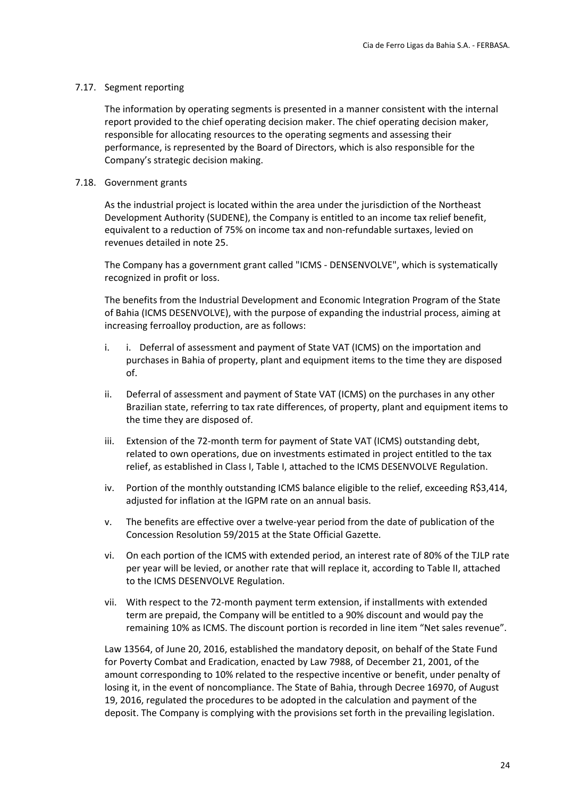#### 7.17. Segment reporting

The information by operating segments is presented in a manner consistent with the internal report provided to the chief operating decision maker. The chief operating decision maker, responsible for allocating resources to the operating segments and assessing their performance, is represented by the Board of Directors, which is also responsible for the Company's strategic decision making.

#### 7.18. Government grants

As the industrial project is located within the area under the jurisdiction of the Northeast Development Authority (SUDENE), the Company is entitled to an income tax relief benefit, equivalent to a reduction of 75% on income tax and non‐refundable surtaxes, levied on revenues detailed in note 25.

The Company has a government grant called "ICMS ‐ DENSENVOLVE", which is systematically recognized in profit or loss.

The benefits from the Industrial Development and Economic Integration Program of the State of Bahia (ICMS DESENVOLVE), with the purpose of expanding the industrial process, aiming at increasing ferroalloy production, are as follows:

- i. i. Deferral of assessment and payment of State VAT (ICMS) on the importation and purchases in Bahia of property, plant and equipment items to the time they are disposed of.
- ii. Deferral of assessment and payment of State VAT (ICMS) on the purchases in any other Brazilian state, referring to tax rate differences, of property, plant and equipment items to the time they are disposed of.
- iii. Extension of the 72-month term for payment of State VAT (ICMS) outstanding debt, related to own operations, due on investments estimated in project entitled to the tax relief, as established in Class I, Table I, attached to the ICMS DESENVOLVE Regulation.
- iv. Portion of the monthly outstanding ICMS balance eligible to the relief, exceeding R\$3,414, adjusted for inflation at the IGPM rate on an annual basis.
- v. The benefits are effective over a twelve‐year period from the date of publication of the Concession Resolution 59/2015 at the State Official Gazette.
- vi. On each portion of the ICMS with extended period, an interest rate of 80% of the TJLP rate per year will be levied, or another rate that will replace it, according to Table II, attached to the ICMS DESENVOLVE Regulation.
- vii. With respect to the 72‐month payment term extension, if installments with extended term are prepaid, the Company will be entitled to a 90% discount and would pay the remaining 10% as ICMS. The discount portion is recorded in line item "Net sales revenue".

Law 13564, of June 20, 2016, established the mandatory deposit, on behalf of the State Fund for Poverty Combat and Eradication, enacted by Law 7988, of December 21, 2001, of the amount corresponding to 10% related to the respective incentive or benefit, under penalty of losing it, in the event of noncompliance. The State of Bahia, through Decree 16970, of August 19, 2016, regulated the procedures to be adopted in the calculation and payment of the deposit. The Company is complying with the provisions set forth in the prevailing legislation.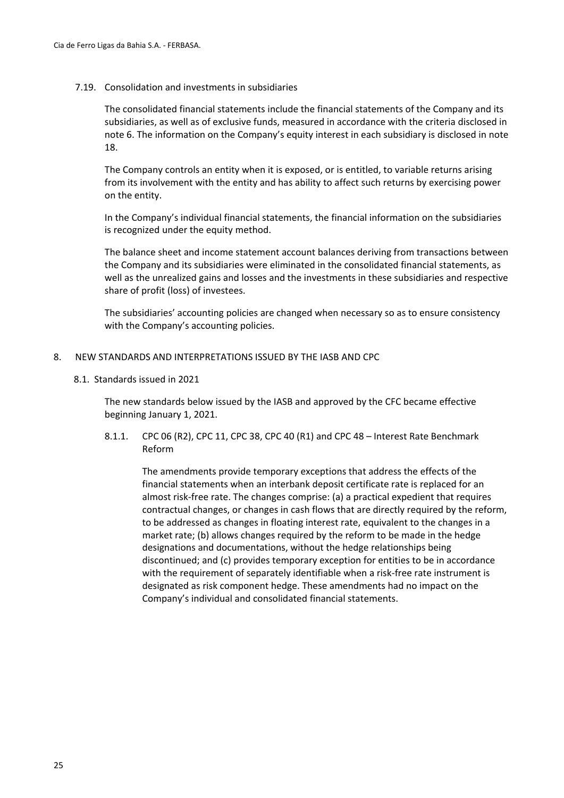#### 7.19. Consolidation and investments in subsidiaries

The consolidated financial statements include the financial statements of the Company and its subsidiaries, as well as of exclusive funds, measured in accordance with the criteria disclosed in note 6. The information on the Company's equity interest in each subsidiary is disclosed in note 18.

The Company controls an entity when it is exposed, or is entitled, to variable returns arising from its involvement with the entity and has ability to affect such returns by exercising power on the entity.

In the Company's individual financial statements, the financial information on the subsidiaries is recognized under the equity method.

The balance sheet and income statement account balances deriving from transactions between the Company and its subsidiaries were eliminated in the consolidated financial statements, as well as the unrealized gains and losses and the investments in these subsidiaries and respective share of profit (loss) of investees.

The subsidiaries' accounting policies are changed when necessary so as to ensure consistency with the Company's accounting policies.

#### 8. NEW STANDARDS AND INTERPRETATIONS ISSUED BY THE IASB AND CPC

8.1. Standards issued in 2021

The new standards below issued by the IASB and approved by the CFC became effective beginning January 1, 2021.

8.1.1. CPC 06 (R2), CPC 11, CPC 38, CPC 40 (R1) and CPC 48 – Interest Rate Benchmark Reform

The amendments provide temporary exceptions that address the effects of the financial statements when an interbank deposit certificate rate is replaced for an almost risk‐free rate. The changes comprise: (a) a practical expedient that requires contractual changes, or changes in cash flows that are directly required by the reform, to be addressed as changes in floating interest rate, equivalent to the changes in a market rate; (b) allows changes required by the reform to be made in the hedge designations and documentations, without the hedge relationships being discontinued; and (c) provides temporary exception for entities to be in accordance with the requirement of separately identifiable when a risk-free rate instrument is designated as risk component hedge. These amendments had no impact on the Company's individual and consolidated financial statements.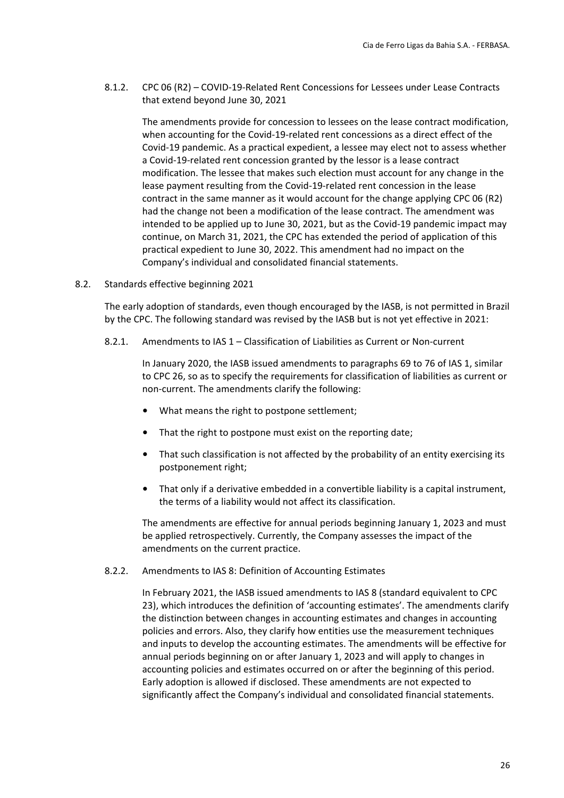8.1.2. CPC 06 (R2) – COVID‐19‐Related Rent Concessions for Lessees under Lease Contracts that extend beyond June 30, 2021

The amendments provide for concession to lessees on the lease contract modification, when accounting for the Covid‐19‐related rent concessions as a direct effect of the Covid‐19 pandemic. As a practical expedient, a lessee may elect not to assess whether a Covid‐19‐related rent concession granted by the lessor is a lease contract modification. The lessee that makes such election must account for any change in the lease payment resulting from the Covid‐19‐related rent concession in the lease contract in the same manner as it would account for the change applying CPC 06 (R2) had the change not been a modification of the lease contract. The amendment was intended to be applied up to June 30, 2021, but as the Covid‐19 pandemic impact may continue, on March 31, 2021, the CPC has extended the period of application of this practical expedient to June 30, 2022. This amendment had no impact on the Company's individual and consolidated financial statements.

8.2. Standards effective beginning 2021

The early adoption of standards, even though encouraged by the IASB, is not permitted in Brazil by the CPC. The following standard was revised by the IASB but is not yet effective in 2021:

8.2.1. Amendments to IAS 1 – Classification of Liabilities as Current or Non‐current

In January 2020, the IASB issued amendments to paragraphs 69 to 76 of IAS 1, similar to CPC 26, so as to specify the requirements for classification of liabilities as current or non‐current. The amendments clarify the following:

- What means the right to postpone settlement;
- That the right to postpone must exist on the reporting date;
- That such classification is not affected by the probability of an entity exercising its postponement right;
- That only if a derivative embedded in a convertible liability is a capital instrument, the terms of a liability would not affect its classification.

The amendments are effective for annual periods beginning January 1, 2023 and must be applied retrospectively. Currently, the Company assesses the impact of the amendments on the current practice.

8.2.2. Amendments to IAS 8: Definition of Accounting Estimates

In February 2021, the IASB issued amendments to IAS 8 (standard equivalent to CPC 23), which introduces the definition of 'accounting estimates'. The amendments clarify the distinction between changes in accounting estimates and changes in accounting policies and errors. Also, they clarify how entities use the measurement techniques and inputs to develop the accounting estimates. The amendments will be effective for annual periods beginning on or after January 1, 2023 and will apply to changes in accounting policies and estimates occurred on or after the beginning of this period. Early adoption is allowed if disclosed. These amendments are not expected to significantly affect the Company's individual and consolidated financial statements.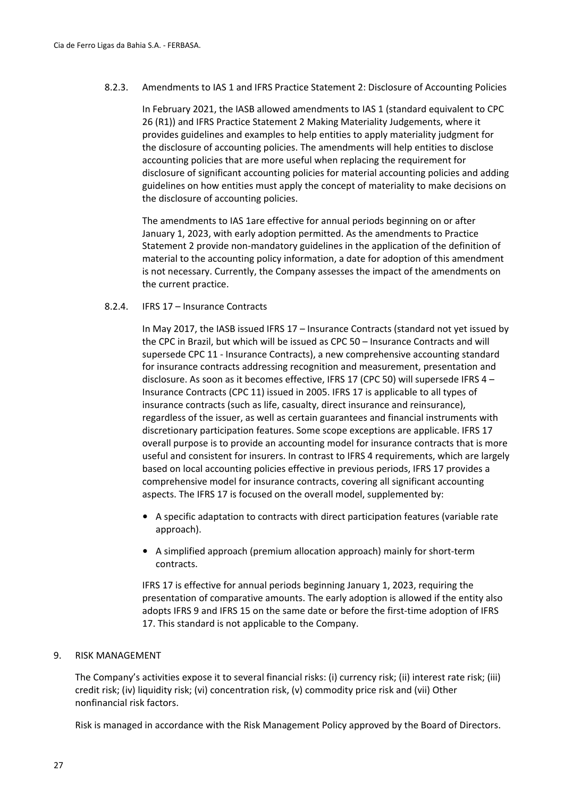#### 8.2.3. Amendments to IAS 1 and IFRS Practice Statement 2: Disclosure of Accounting Policies

In February 2021, the IASB allowed amendments to IAS 1 (standard equivalent to CPC 26 (R1)) and IFRS Practice Statement 2 Making Materiality Judgements, where it provides guidelines and examples to help entities to apply materiality judgment for the disclosure of accounting policies. The amendments will help entities to disclose accounting policies that are more useful when replacing the requirement for disclosure of significant accounting policies for material accounting policies and adding guidelines on how entities must apply the concept of materiality to make decisions on the disclosure of accounting policies.

The amendments to IAS 1are effective for annual periods beginning on or after January 1, 2023, with early adoption permitted. As the amendments to Practice Statement 2 provide non‐mandatory guidelines in the application of the definition of material to the accounting policy information, a date for adoption of this amendment is not necessary. Currently, the Company assesses the impact of the amendments on the current practice.

#### 8.2.4. IFRS 17 – Insurance Contracts

In May 2017, the IASB issued IFRS 17 – Insurance Contracts (standard not yet issued by the CPC in Brazil, but which will be issued as CPC 50 – Insurance Contracts and will supersede CPC 11 ‐ Insurance Contracts), a new comprehensive accounting standard for insurance contracts addressing recognition and measurement, presentation and disclosure. As soon as it becomes effective, IFRS 17 (CPC 50) will supersede IFRS 4 – Insurance Contracts (CPC 11) issued in 2005. IFRS 17 is applicable to all types of insurance contracts (such as life, casualty, direct insurance and reinsurance), regardless of the issuer, as well as certain guarantees and financial instruments with discretionary participation features. Some scope exceptions are applicable. IFRS 17 overall purpose is to provide an accounting model for insurance contracts that is more useful and consistent for insurers. In contrast to IFRS 4 requirements, which are largely based on local accounting policies effective in previous periods, IFRS 17 provides a comprehensive model for insurance contracts, covering all significant accounting aspects. The IFRS 17 is focused on the overall model, supplemented by:

- A specific adaptation to contracts with direct participation features (variable rate approach).
- A simplified approach (premium allocation approach) mainly for short-term contracts.

IFRS 17 is effective for annual periods beginning January 1, 2023, requiring the presentation of comparative amounts. The early adoption is allowed if the entity also adopts IFRS 9 and IFRS 15 on the same date or before the first-time adoption of IFRS 17. This standard is not applicable to the Company.

#### 9. RISK MANAGEMENT

The Company's activities expose it to several financial risks: (i) currency risk; (ii) interest rate risk; (iii) credit risk; (iv) liquidity risk; (vi) concentration risk, (v) commodity price risk and (vii) Other nonfinancial risk factors.

Risk is managed in accordance with the Risk Management Policy approved by the Board of Directors.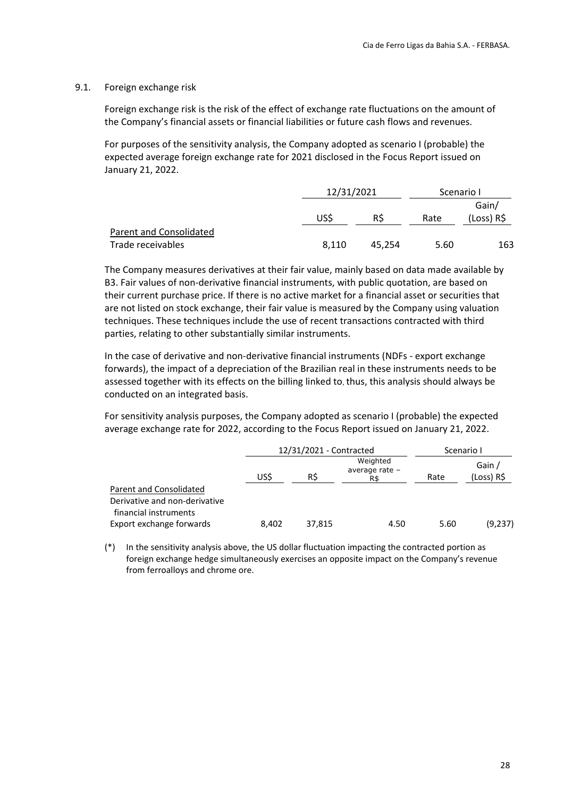#### 9.1. Foreign exchange risk

Foreign exchange risk is the risk of the effect of exchange rate fluctuations on the amount of the Company's financial assets or financial liabilities or future cash flows and revenues.

For purposes of the sensitivity analysis, the Company adopted as scenario I (probable) the expected average foreign exchange rate for 2021 disclosed in the Focus Report issued on January 21, 2022.

|                         |       | 12/31/2021 |      | Scenario I          |  |
|-------------------------|-------|------------|------|---------------------|--|
|                         | USS   | RS         | Rate | Gain/<br>(Loss) R\$ |  |
| Parent and Consolidated |       |            |      |                     |  |
| Trade receivables       | 8.110 | 45.254     | 5.60 | 163                 |  |

The Company measures derivatives at their fair value, mainly based on data made available by B3. Fair values of non‐derivative financial instruments, with public quotation, are based on their current purchase price. If there is no active market for a financial asset or securities that are not listed on stock exchange, their fair value is measured by the Company using valuation techniques. These techniques include the use of recent transactions contracted with third parties, relating to other substantially similar instruments.

In the case of derivative and non‐derivative financial instruments (NDFs ‐ export exchange forwards), the impact of a depreciation of the Brazilian real in these instruments needs to be assessed together with its effects on the billing linked to, thus, this analysis should always be conducted on an integrated basis.

For sensitivity analysis purposes, the Company adopted as scenario I (probable) the expected average exchange rate for 2022, according to the Focus Report issued on January 21, 2022.

|                                                                                   |       | 12/31/2021 - Contracted |                                   |      | Scenario I           |
|-----------------------------------------------------------------------------------|-------|-------------------------|-----------------------------------|------|----------------------|
|                                                                                   | USŚ   | R\$                     | Weighted<br>average rate -<br>R\$ | Rate | Gain /<br>(Loss) R\$ |
| Parent and Consolidated<br>Derivative and non-derivative<br>financial instruments |       |                         |                                   |      |                      |
| Export exchange forwards                                                          | 8.402 | 37,815                  | 4.50                              | 5.60 | (9,237)              |

(\*) In the sensitivity analysis above, the US dollar fluctuation impacting the contracted portion as foreign exchange hedge simultaneously exercises an opposite impact on the Company's revenue from ferroalloys and chrome ore.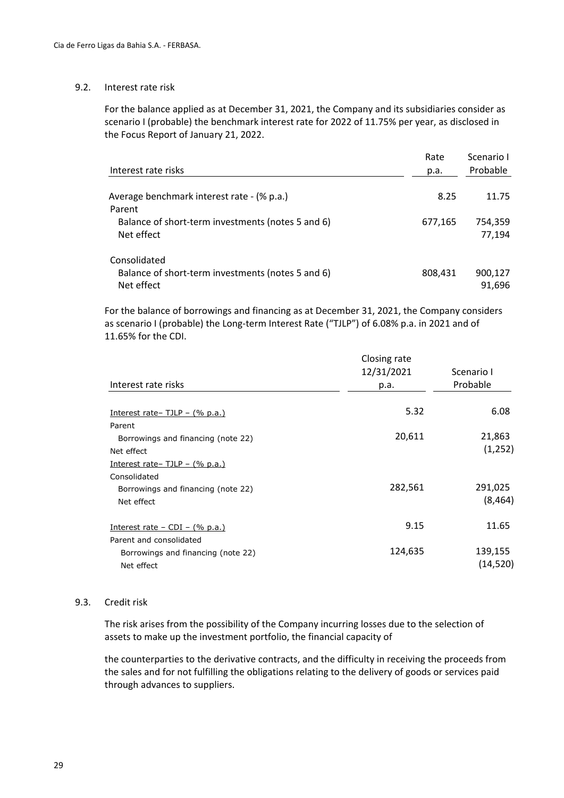#### 9.2. Interest rate risk

For the balance applied as at December 31, 2021, the Company and its subsidiaries consider as scenario I (probable) the benchmark interest rate for 2022 of 11.75% per year, as disclosed in the Focus Report of January 21, 2022.

| Interest rate risks                                                             | Rate<br>p.a. | Scenario I<br>Probable |
|---------------------------------------------------------------------------------|--------------|------------------------|
| Average benchmark interest rate - (% p.a.)<br>Parent                            | 8.25         | 11.75                  |
| Balance of short-term investments (notes 5 and 6)<br>Net effect                 | 677,165      | 754,359<br>77,194      |
| Consolidated<br>Balance of short-term investments (notes 5 and 6)<br>Net effect | 808,431      | 900,127<br>91,696      |

For the balance of borrowings and financing as at December 31, 2021, the Company considers as scenario I (probable) the Long-term Interest Rate ("TJLP") of 6.08% p.a. in 2021 and of 11.65% for the CDI.

|                                                                             | Closing rate<br>12/31/2021 | Scenario I           |
|-----------------------------------------------------------------------------|----------------------------|----------------------|
| Interest rate risks                                                         | p.a.                       | Probable             |
| Interest rate - TJLP - $(\%$ p.a.)                                          | 5.32                       | 6.08                 |
| Parent<br>Borrowings and financing (note 22)<br>Net effect                  | 20,611                     | 21,863<br>(1,252)    |
| Interest rate – TJLP – $(\%$ p.a.)<br>Consolidated                          |                            |                      |
| Borrowings and financing (note 22)<br>Net effect                            | 282,561                    | 291,025<br>(8, 464)  |
| Interest rate $-$ CDI $-$ (% p.a.)                                          | 9.15                       | 11.65                |
| Parent and consolidated<br>Borrowings and financing (note 22)<br>Net effect | 124,635                    | 139,155<br>(14, 520) |

#### 9.3. Credit risk

The risk arises from the possibility of the Company incurring losses due to the selection of assets to make up the investment portfolio, the financial capacity of

the counterparties to the derivative contracts, and the difficulty in receiving the proceeds from the sales and for not fulfilling the obligations relating to the delivery of goods or services paid through advances to suppliers.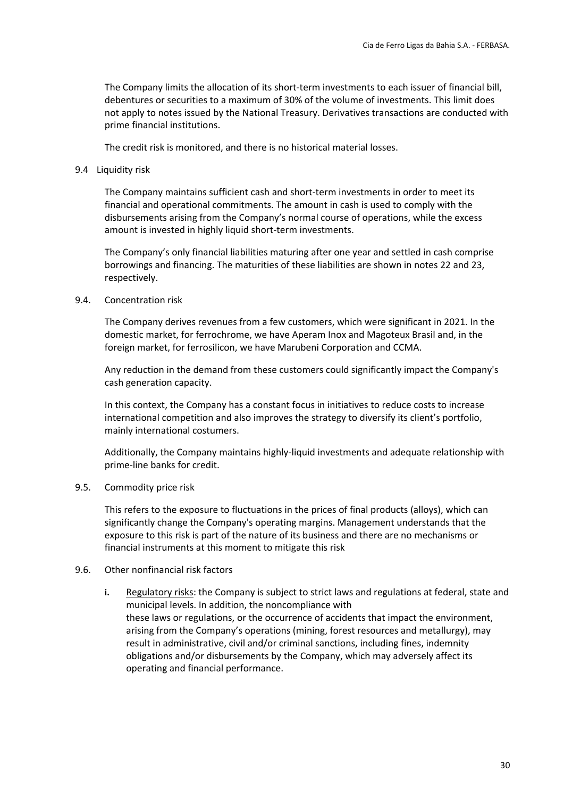The Company limits the allocation of its short-term investments to each issuer of financial bill, debentures or securities to a maximum of 30% of the volume of investments. This limit does not apply to notes issued by the National Treasury. Derivatives transactions are conducted with prime financial institutions.

The credit risk is monitored, and there is no historical material losses.

#### 9.4 Liquidity risk

The Company maintains sufficient cash and short-term investments in order to meet its financial and operational commitments. The amount in cash is used to comply with the disbursements arising from the Company's normal course of operations, while the excess amount is invested in highly liquid short‐term investments.

The Company's only financial liabilities maturing after one year and settled in cash comprise borrowings and financing. The maturities of these liabilities are shown in notes 22 and 23, respectively.

#### 9.4. Concentration risk

The Company derives revenues from a few customers, which were significant in 2021. In the domestic market, for ferrochrome, we have Aperam Inox and Magoteux Brasil and, in the foreign market, for ferrosilicon, we have Marubeni Corporation and CCMA.

Any reduction in the demand from these customers could significantly impact the Company's cash generation capacity.

In this context, the Company has a constant focus in initiatives to reduce costs to increase international competition and also improves the strategy to diversify its client's portfolio, mainly international costumers.

Additionally, the Company maintains highly-liquid investments and adequate relationship with prime‐line banks for credit.

#### 9.5. Commodity price risk

This refers to the exposure to fluctuations in the prices of final products (alloys), which can significantly change the Company's operating margins. Management understands that the exposure to this risk is part of the nature of its business and there are no mechanisms or financial instruments at this moment to mitigate this risk

#### 9.6. Other nonfinancial risk factors

**i.** Regulatory risks: the Company is subject to strict laws and regulations at federal, state and municipal levels. In addition, the noncompliance with these laws or regulations, or the occurrence of accidents that impact the environment, arising from the Company's operations (mining, forest resources and metallurgy), may result in administrative, civil and/or criminal sanctions, including fines, indemnity obligations and/or disbursements by the Company, which may adversely affect its operating and financial performance.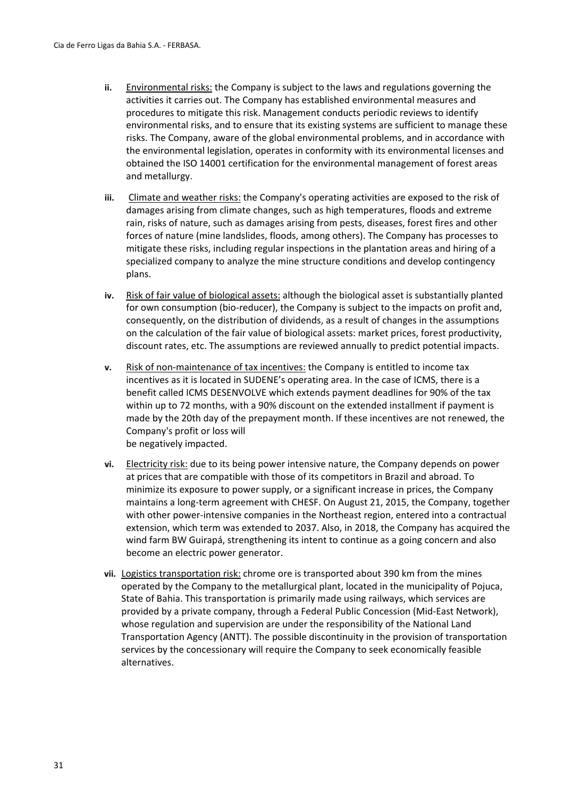- **ii.** Environmental risks: the Company is subject to the laws and regulations governing the activities it carries out. The Company has established environmental measures and procedures to mitigate this risk. Management conducts periodic reviews to identify environmental risks, and to ensure that its existing systems are sufficient to manage these risks. The Company, aware of the global environmental problems, and in accordance with the environmental legislation, operates in conformity with its environmental licenses and obtained the ISO 14001 certification for the environmental management of forest areas and metallurgy.
- iii. Climate and weather risks: the Company's operating activities are exposed to the risk of damages arising from climate changes, such as high temperatures, floods and extreme rain, risks of nature, such as damages arising from pests, diseases, forest fires and other forces of nature (mine landslides, floods, among others). The Company has processes to mitigate these risks, including regular inspections in the plantation areas and hiring of a specialized company to analyze the mine structure conditions and develop contingency plans.
- **iv.** Risk of fair value of biological assets: although the biological asset is substantially planted for own consumption (bio-reducer), the Company is subject to the impacts on profit and, consequently, on the distribution of dividends, as a result of changes in the assumptions on the calculation of the fair value of biological assets: market prices, forest productivity, discount rates, etc. The assumptions are reviewed annually to predict potential impacts.
- **v.** Risk of non-maintenance of tax incentives: the Company is entitled to income tax incentives as it is located in SUDENE's operating area. In the case of ICMS, there is a benefit called ICMS DESENVOLVE which extends payment deadlines for 90% of the tax within up to 72 months, with a 90% discount on the extended installment if payment is made by the 20th day of the prepayment month. If these incentives are not renewed, the Company's profit or loss will be negatively impacted.
- **vi.** Electricity risk: due to its being power intensive nature, the Company depends on power at prices that are compatible with those of its competitors in Brazil and abroad. To minimize its exposure to power supply, or a significant increase in prices, the Company maintains a long‐term agreement with CHESF. On August 21, 2015, the Company, together with other power-intensive companies in the Northeast region, entered into a contractual extension, which term was extended to 2037. Also, in 2018, the Company has acquired the wind farm BW Guirapá, strengthening its intent to continue as a going concern and also become an electric power generator.
- **vii.** Logistics transportation risk: chrome ore is transported about 390 km from the mines operated by the Company to the metallurgical plant, located in the municipality of Pojuca, State of Bahia. This transportation is primarily made using railways, which services are provided by a private company, through a Federal Public Concession (Mid‐East Network), whose regulation and supervision are under the responsibility of the National Land Transportation Agency (ANTT). The possible discontinuity in the provision of transportation services by the concessionary will require the Company to seek economically feasible alternatives.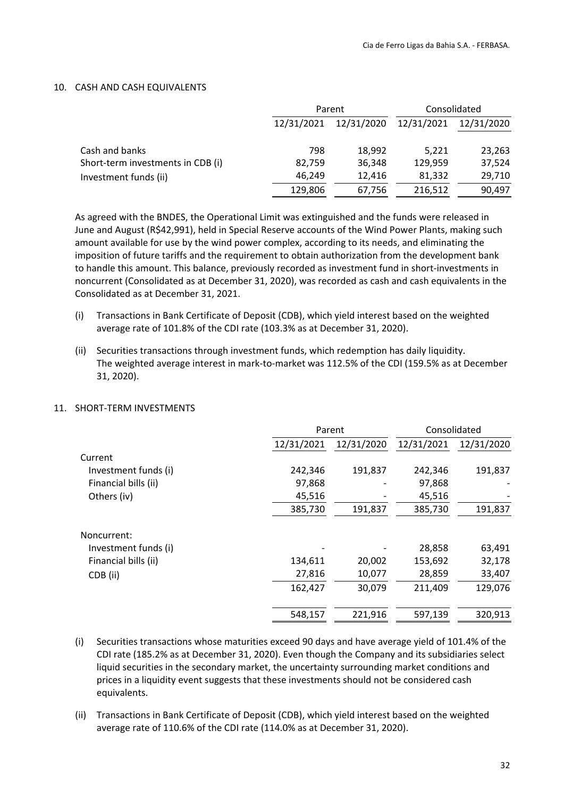#### 10. CASH AND CASH EQUIVALENTS

|                                   |            | Parent     | Consolidated |            |  |
|-----------------------------------|------------|------------|--------------|------------|--|
|                                   | 12/31/2021 | 12/31/2020 | 12/31/2021   | 12/31/2020 |  |
| Cash and banks                    | 798        | 18,992     | 5,221        | 23,263     |  |
| Short-term investments in CDB (i) | 82,759     | 36,348     | 129,959      | 37,524     |  |
| Investment funds (ii)             | 46,249     | 12,416     | 81,332       | 29,710     |  |
|                                   | 129,806    | 67,756     | 216,512      | 90,497     |  |

As agreed with the BNDES, the Operational Limit was extinguished and the funds were released in June and August (R\$42,991), held in Special Reserve accounts of the Wind Power Plants, making such amount available for use by the wind power complex, according to its needs, and eliminating the imposition of future tariffs and the requirement to obtain authorization from the development bank to handle this amount. This balance, previously recorded as investment fund in short‐investments in noncurrent (Consolidated as at December 31, 2020), was recorded as cash and cash equivalents in the Consolidated as at December 31, 2021.

- (i) Transactions in Bank Certificate of Deposit (CDB), which yield interest based on the weighted average rate of 101.8% of the CDI rate (103.3% as at December 31, 2020).
- (ii) Securities transactions through investment funds, which redemption has daily liquidity. The weighted average interest in mark-to-market was 112.5% of the CDI (159.5% as at December 31, 2020).

#### 11. SHORT‐TERM INVESTMENTS

|                      | Parent     |            | Consolidated |            |
|----------------------|------------|------------|--------------|------------|
|                      | 12/31/2021 | 12/31/2020 | 12/31/2021   | 12/31/2020 |
| Current              |            |            |              |            |
| Investment funds (i) | 242,346    | 191,837    | 242,346      | 191,837    |
| Financial bills (ii) | 97,868     |            | 97,868       |            |
| Others (iv)          | 45,516     |            | 45,516       |            |
|                      | 385,730    | 191,837    | 385,730      | 191,837    |
| Noncurrent:          |            |            |              |            |
| Investment funds (i) |            |            | 28,858       | 63,491     |
| Financial bills (ii) | 134,611    | 20,002     | 153,692      | 32,178     |
| CDB (ii)             | 27,816     | 10,077     | 28,859       | 33,407     |
|                      | 162,427    | 30,079     | 211,409      | 129,076    |
|                      | 548,157    | 221,916    | 597,139      | 320,913    |

- (i) Securities transactions whose maturities exceed 90 days and have average yield of 101.4% of the CDI rate (185.2% as at December 31, 2020). Even though the Company and its subsidiaries select liquid securities in the secondary market, the uncertainty surrounding market conditions and prices in a liquidity event suggests that these investments should not be considered cash equivalents.
- (ii) Transactions in Bank Certificate of Deposit (CDB), which yield interest based on the weighted average rate of 110.6% of the CDI rate (114.0% as at December 31, 2020).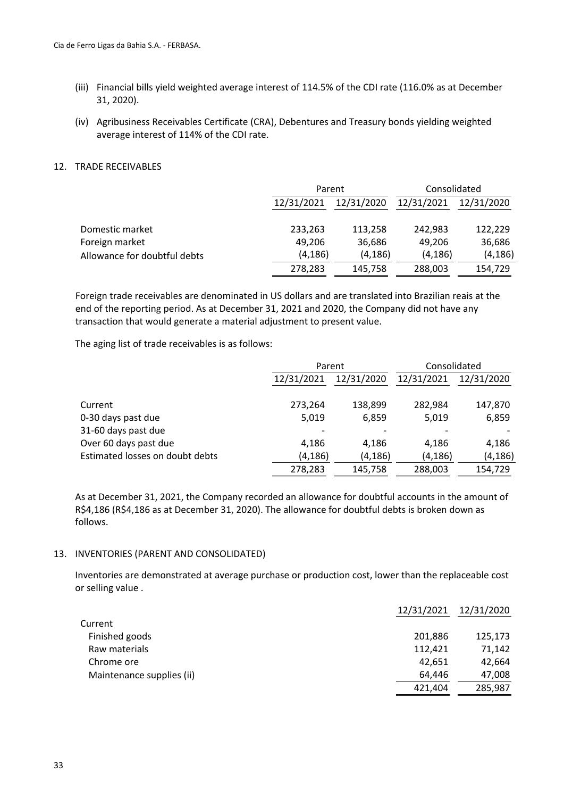- (iii) Financial bills yield weighted average interest of 114.5% of the CDI rate (116.0% as at December 31, 2020).
- (iv) Agribusiness Receivables Certificate (CRA), Debentures and Treasury bonds yielding weighted average interest of 114% of the CDI rate.

#### 12. TRADE RECEIVABLES

|                              |            | Parent     |            | Consolidated |  |
|------------------------------|------------|------------|------------|--------------|--|
|                              | 12/31/2021 | 12/31/2020 | 12/31/2021 | 12/31/2020   |  |
| Domestic market              | 233,263    | 113,258    | 242.983    | 122,229      |  |
| Foreign market               | 49,206     | 36,686     | 49.206     | 36,686       |  |
| Allowance for doubtful debts | (4, 186)   | (4,186)    | (4, 186)   | (4, 186)     |  |
|                              | 278,283    | 145,758    | 288,003    | 154,729      |  |

Foreign trade receivables are denominated in US dollars and are translated into Brazilian reais at the end of the reporting period. As at December 31, 2021 and 2020, the Company did not have any transaction that would generate a material adjustment to present value.

The aging list of trade receivables is as follows:

|                                 |            | Parent     |            | Consolidated |  |
|---------------------------------|------------|------------|------------|--------------|--|
|                                 | 12/31/2021 | 12/31/2020 | 12/31/2021 | 12/31/2020   |  |
|                                 |            |            |            |              |  |
| Current                         | 273,264    | 138,899    | 282,984    | 147,870      |  |
| 0-30 days past due              | 5,019      | 6,859      | 5,019      | 6,859        |  |
| 31-60 days past due             |            |            |            |              |  |
| Over 60 days past due           | 4,186      | 4,186      | 4,186      | 4,186        |  |
| Estimated losses on doubt debts | (4, 186)   | (4, 186)   | (4, 186)   | (4, 186)     |  |
|                                 | 278,283    | 145,758    | 288,003    | 154,729      |  |

As at December 31, 2021, the Company recorded an allowance for doubtful accounts in the amount of R\$4,186 (R\$4,186 as at December 31, 2020). The allowance for doubtful debts is broken down as follows.

#### 13. INVENTORIES (PARENT AND CONSOLIDATED)

Inventories are demonstrated at average purchase or production cost, lower than the replaceable cost or selling value .

|                           | 12/31/2021 | 12/31/2020 |
|---------------------------|------------|------------|
| Current                   |            |            |
| Finished goods            | 201,886    | 125,173    |
| Raw materials             | 112,421    | 71,142     |
| Chrome ore                | 42,651     | 42,664     |
| Maintenance supplies (ii) | 64.446     | 47,008     |
|                           | 421,404    | 285,987    |
|                           |            |            |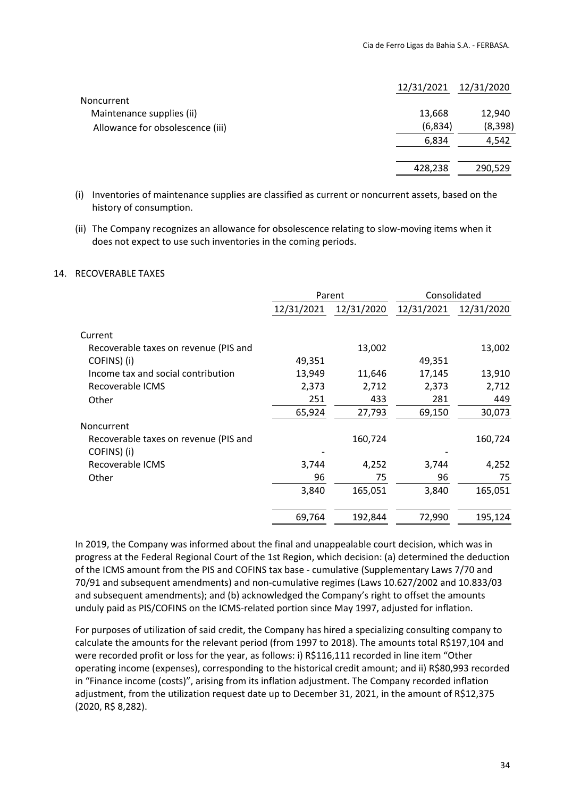|                                  | 12/31/2021 | 12/31/2020 |
|----------------------------------|------------|------------|
| Noncurrent                       |            |            |
| Maintenance supplies (ii)        | 13,668     | 12,940     |
| Allowance for obsolescence (iii) | (6,834)    | (8, 398)   |
|                                  | 6,834      | 4,542      |
|                                  |            |            |
|                                  | 428,238    | 290,529    |

- (i) Inventories of maintenance supplies are classified as current or noncurrent assets, based on the history of consumption.
- (ii) The Company recognizes an allowance for obsolescence relating to slow‐moving items when it does not expect to use such inventories in the coming periods.

#### 14. RECOVERABLE TAXES

|                                       | Parent     |            | Consolidated |            |
|---------------------------------------|------------|------------|--------------|------------|
|                                       | 12/31/2021 | 12/31/2020 | 12/31/2021   | 12/31/2020 |
| Current                               |            |            |              |            |
| Recoverable taxes on revenue (PIS and |            | 13,002     |              | 13,002     |
| COFINS) (i)                           | 49,351     |            | 49,351       |            |
| Income tax and social contribution    | 13,949     | 11,646     | 17,145       | 13,910     |
| Recoverable ICMS                      | 2,373      | 2,712      | 2,373        | 2,712      |
| Other                                 | 251        | 433        | 281          | 449        |
|                                       | 65,924     | 27,793     | 69,150       | 30,073     |
| Noncurrent                            |            |            |              |            |
| Recoverable taxes on revenue (PIS and |            | 160,724    |              | 160,724    |
| COFINS) (i)                           |            |            |              |            |
| Recoverable ICMS                      | 3,744      | 4,252      | 3,744        | 4,252      |
| Other                                 | 96         | 75         | 96           | 75         |
|                                       | 3,840      | 165,051    | 3,840        | 165,051    |
|                                       | 69,764     | 192,844    | 72,990       | 195,124    |

In 2019, the Company was informed about the final and unappealable court decision, which was in progress at the Federal Regional Court of the 1st Region, which decision: (a) determined the deduction of the ICMS amount from the PIS and COFINS tax base ‐ cumulative (Supplementary Laws 7/70 and 70/91 and subsequent amendments) and non‐cumulative regimes (Laws 10.627/2002 and 10.833/03 and subsequent amendments); and (b) acknowledged the Company's right to offset the amounts unduly paid as PIS/COFINS on the ICMS‐related portion since May 1997, adjusted for inflation.

For purposes of utilization of said credit, the Company has hired a specializing consulting company to calculate the amounts for the relevant period (from 1997 to 2018). The amounts total R\$197,104 and were recorded profit or loss for the year, as follows: i) R\$116,111 recorded in line item "Other operating income (expenses), corresponding to the historical credit amount; and ii) R\$80,993 recorded in "Finance income (costs)", arising from its inflation adjustment. The Company recorded inflation adjustment, from the utilization request date up to December 31, 2021, in the amount of R\$12,375 (2020, R\$ 8,282).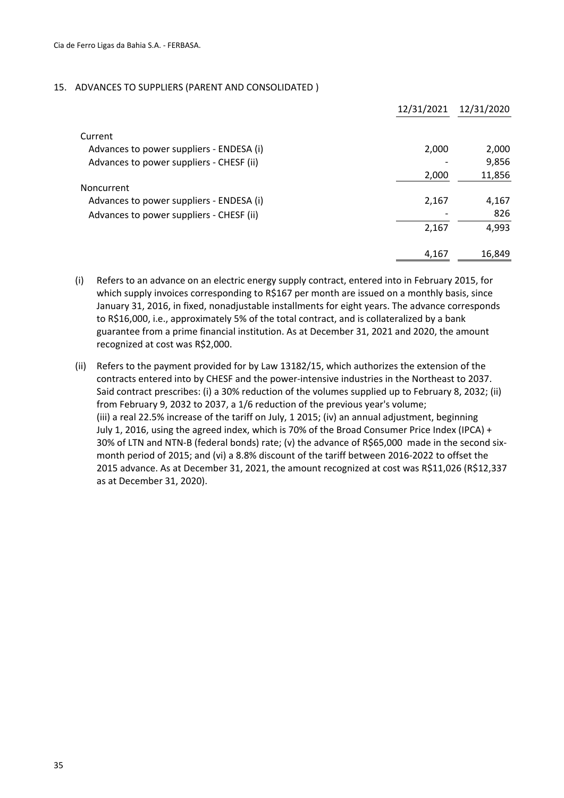#### 15. ADVANCES TO SUPPLIERS (PARENT AND CONSOLIDATED )

|                                          | 12/31/2021 | 12/31/2020 |
|------------------------------------------|------------|------------|
| Current                                  |            |            |
| Advances to power suppliers - ENDESA (i) | 2,000      | 2,000      |
| Advances to power suppliers - CHESF (ii) |            | 9,856      |
|                                          | 2,000      | 11,856     |
| Noncurrent                               |            |            |
| Advances to power suppliers - ENDESA (i) | 2,167      | 4,167      |
| Advances to power suppliers - CHESF (ii) |            | 826        |
|                                          | 2,167      | 4,993      |
|                                          | 4,167      | 16,849     |

(i) Refers to an advance on an electric energy supply contract, entered into in February 2015, for which supply invoices corresponding to R\$167 per month are issued on a monthly basis, since January 31, 2016, in fixed, nonadjustable installments for eight years. The advance corresponds to R\$16,000, i.e., approximately 5% of the total contract, and is collateralized by a bank guarantee from a prime financial institution. As at December 31, 2021 and 2020, the amount recognized at cost was R\$2,000.

(ii) Refers to the payment provided for by Law 13182/15, which authorizes the extension of the contracts entered into by CHESF and the power‐intensive industries in the Northeast to 2037. Said contract prescribes: (i) a 30% reduction of the volumes supplied up to February 8, 2032; (ii) from February 9, 2032 to 2037, a 1/6 reduction of the previous year's volume; (iii) a real 22.5% increase of the tariff on July, 1 2015; (iv) an annual adjustment, beginning July 1, 2016, using the agreed index, which is 70% of the Broad Consumer Price Index (IPCA) + 30% of LTN and NTN-B (federal bonds) rate; (v) the advance of R\$65,000 made in the second sixmonth period of 2015; and (vi) a 8.8% discount of the tariff between 2016‐2022 to offset the 2015 advance. As at December 31, 2021, the amount recognized at cost was R\$11,026 (R\$12,337 as at December 31, 2020).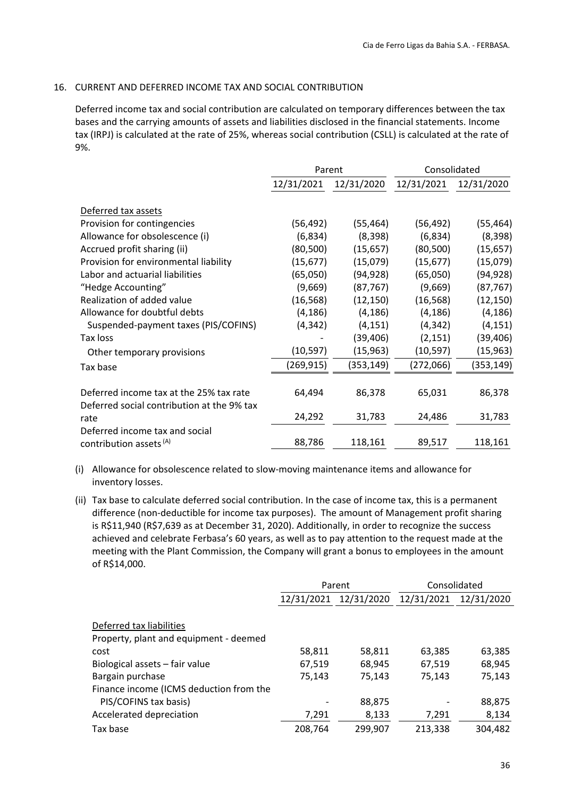#### 16. CURRENT AND DEFERRED INCOME TAX AND SOCIAL CONTRIBUTION

Deferred income tax and social contribution are calculated on temporary differences between the tax bases and the carrying amounts of assets and liabilities disclosed in the financial statements. Income tax (IRPJ) is calculated at the rate of 25%, whereas social contribution (CSLL) is calculated at the rate of 9%.

|                                            | Parent     |            | Consolidated |            |
|--------------------------------------------|------------|------------|--------------|------------|
|                                            | 12/31/2021 | 12/31/2020 | 12/31/2021   | 12/31/2020 |
| Deferred tax assets                        |            |            |              |            |
| Provision for contingencies                | (56, 492)  | (55, 464)  | (56, 492)    | (55, 464)  |
| Allowance for obsolescence (i)             | (6,834)    | (8, 398)   | (6,834)      | (8, 398)   |
| Accrued profit sharing (ii)                | (80, 500)  | (15, 657)  | (80, 500)    | (15, 657)  |
| Provision for environmental liability      | (15, 677)  | (15,079)   | (15, 677)    | (15,079)   |
| Labor and actuarial liabilities            | (65,050)   | (94, 928)  | (65,050)     | (94, 928)  |
| "Hedge Accounting"                         | (9,669)    | (87, 767)  | (9,669)      | (87, 767)  |
| Realization of added value                 | (16, 568)  | (12, 150)  | (16, 568)    | (12, 150)  |
| Allowance for doubtful debts               | (4, 186)   | (4, 186)   | (4, 186)     | (4, 186)   |
| Suspended-payment taxes (PIS/COFINS)       | (4, 342)   | (4, 151)   | (4, 342)     | (4, 151)   |
| Tax loss                                   |            | (39, 406)  | (2, 151)     | (39, 406)  |
| Other temporary provisions                 | (10, 597)  | (15, 963)  | (10, 597)    | (15, 963)  |
| Tax base                                   | (269, 915) | (353,149)  | (272,066)    | (353, 149) |
|                                            |            |            |              |            |
| Deferred income tax at the 25% tax rate    | 64,494     | 86,378     | 65,031       | 86,378     |
| Deferred social contribution at the 9% tax |            |            |              |            |
| rate                                       | 24,292     | 31,783     | 24,486       | 31,783     |
| Deferred income tax and social             |            |            |              |            |
| contribution assets <sup>(A)</sup>         | 88,786     | 118,161    | 89,517       | 118,161    |

- (i) Allowance for obsolescence related to slow‐moving maintenance items and allowance for inventory losses.
- (ii) Tax base to calculate deferred social contribution. In the case of income tax, this is a permanent difference (non-deductible for income tax purposes). The amount of Management profit sharing is R\$11,940 (R\$7,639 as at December 31, 2020). Additionally, in order to recognize the success achieved and celebrate Ferbasa's 60 years, as well as to pay attention to the request made at the meeting with the Plant Commission, the Company will grant a bonus to employees in the amount of R\$14,000.

|                                         | Parent  |                       | Consolidated |            |
|-----------------------------------------|---------|-----------------------|--------------|------------|
|                                         |         | 12/31/2021 12/31/2020 | 12/31/2021   | 12/31/2020 |
|                                         |         |                       |              |            |
| Deferred tax liabilities                |         |                       |              |            |
| Property, plant and equipment - deemed  |         |                       |              |            |
| cost                                    | 58,811  | 58,811                | 63,385       | 63,385     |
| Biological assets - fair value          | 67,519  | 68,945                | 67,519       | 68,945     |
| Bargain purchase                        | 75.143  | 75,143                | 75.143       | 75,143     |
| Finance income (ICMS deduction from the |         |                       |              |            |
| PIS/COFINS tax basis)                   |         | 88,875                |              | 88,875     |
| Accelerated depreciation                | 7,291   | 8,133                 | 7,291        | 8,134      |
| Tax base                                | 208,764 | 299,907               | 213,338      | 304,482    |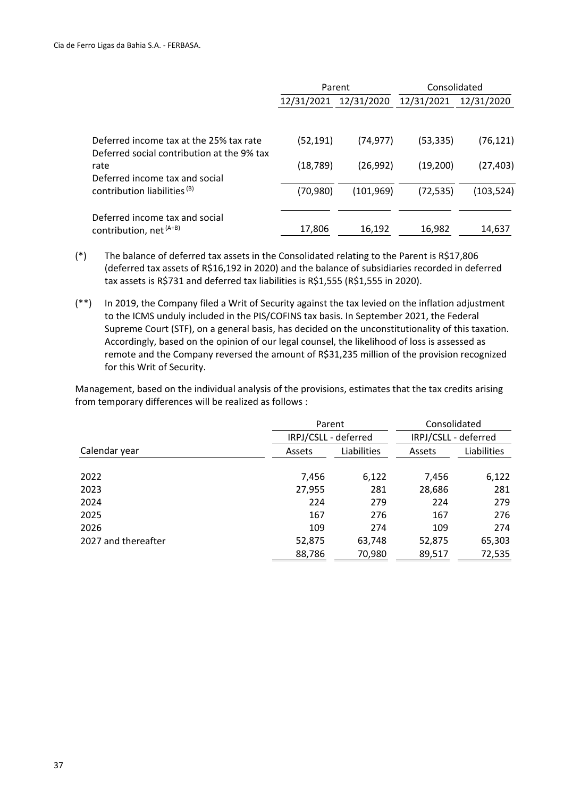|                                                                                       | Parent    |                       | Consolidated |            |
|---------------------------------------------------------------------------------------|-----------|-----------------------|--------------|------------|
|                                                                                       |           | 12/31/2021 12/31/2020 | 12/31/2021   | 12/31/2020 |
|                                                                                       |           |                       |              |            |
| Deferred income tax at the 25% tax rate<br>Deferred social contribution at the 9% tax | (52, 191) | (74, 977)             | (53, 335)    | (76, 121)  |
| rate                                                                                  | (18, 789) | (26, 992)             | (19,200)     | (27, 403)  |
| Deferred income tax and social                                                        |           |                       |              |            |
| contribution liabilities <sup>(B)</sup>                                               | (70,980)  | (101, 969)            | (72, 535)    | (103,524)  |
|                                                                                       |           |                       |              |            |
| Deferred income tax and social<br>contribution, net <sup>(A+B)</sup>                  | 17,806    | 16,192                | 16,982       | 14,637     |

- (\*) The balance of deferred tax assets in the Consolidated relating to the Parent is R\$17,806 (deferred tax assets of R\$16,192 in 2020) and the balance of subsidiaries recorded in deferred tax assets is R\$731 and deferred tax liabilities is R\$1,555 (R\$1,555 in 2020).
- (\*\*) In 2019, the Company filed a Writ of Security against the tax levied on the inflation adjustment to the ICMS unduly included in the PIS/COFINS tax basis. In September 2021, the Federal Supreme Court (STF), on a general basis, has decided on the unconstitutionality of this taxation. Accordingly, based on the opinion of our legal counsel, the likelihood of loss is assessed as remote and the Company reversed the amount of R\$31,235 million of the provision recognized for this Writ of Security.

Management, based on the individual analysis of the provisions, estimates that the tax credits arising from temporary differences will be realized as follows :

|                     | Parent               |             | Consolidated         |             |
|---------------------|----------------------|-------------|----------------------|-------------|
|                     | IRPJ/CSLL - deferred |             | IRPJ/CSLL - deferred |             |
| Calendar year       | Assets               | Liabilities | Assets               | Liabilities |
|                     |                      |             |                      |             |
| 2022                | 7,456                | 6,122       | 7,456                | 6,122       |
| 2023                | 27,955               | 281         | 28,686               | 281         |
| 2024                | 224                  | 279         | 224                  | 279         |
| 2025                | 167                  | 276         | 167                  | 276         |
| 2026                | 109                  | 274         | 109                  | 274         |
| 2027 and thereafter | 52,875               | 63,748      | 52,875               | 65,303      |
|                     | 88,786               | 70,980      | 89,517               | 72,535      |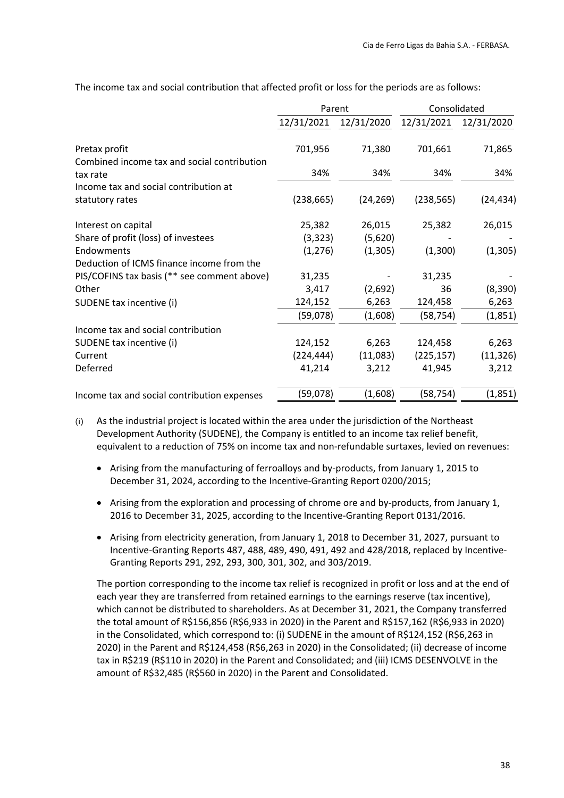|                                             | Parent     |            | Consolidated |            |
|---------------------------------------------|------------|------------|--------------|------------|
|                                             | 12/31/2021 | 12/31/2020 | 12/31/2021   | 12/31/2020 |
| Pretax profit                               | 701,956    | 71,380     | 701,661      | 71,865     |
| Combined income tax and social contribution |            |            |              |            |
| tax rate                                    | 34%        | 34%        | 34%          | 34%        |
| Income tax and social contribution at       |            |            |              |            |
| statutory rates                             | (238, 665) | (24, 269)  | (238, 565)   | (24, 434)  |
| Interest on capital                         | 25,382     | 26,015     | 25,382       | 26,015     |
| Share of profit (loss) of investees         | (3, 323)   | (5,620)    |              |            |
| Endowments                                  | (1, 276)   | (1,305)    | (1,300)      | (1, 305)   |
| Deduction of ICMS finance income from the   |            |            |              |            |
| PIS/COFINS tax basis (** see comment above) | 31,235     |            | 31,235       |            |
| Other                                       | 3,417      | (2,692)    | 36           | (8, 390)   |
| SUDENE tax incentive (i)                    | 124,152    | 6,263      | 124,458      | 6,263      |
|                                             | (59,078)   | (1,608)    | (58, 754)    | (1,851)    |
| Income tax and social contribution          |            |            |              |            |
| SUDENE tax incentive (i)                    | 124,152    | 6,263      | 124,458      | 6,263      |
| Current                                     | (224, 444) | (11,083)   | (225, 157)   | (11, 326)  |
| Deferred                                    | 41,214     | 3,212      | 41,945       | 3,212      |
| Income tax and social contribution expenses | (59,078)   | (1,608)    | (58, 754)    | (1,851)    |

The income tax and social contribution that affected profit or loss for the periods are as follows:

- (i) As the industrial project is located within the area under the jurisdiction of the Northeast Development Authority (SUDENE), the Company is entitled to an income tax relief benefit, equivalent to a reduction of 75% on income tax and non-refundable surtaxes, levied on revenues:
	- Arising from the manufacturing of ferroalloys and by-products, from January 1, 2015 to December 31, 2024, according to the Incentive‐Granting Report 0200/2015;
	- Arising from the exploration and processing of chrome ore and by-products, from January 1, 2016 to December 31, 2025, according to the Incentive‐Granting Report 0131/2016.
	- Arising from electricity generation, from January 1, 2018 to December 31, 2027, pursuant to Incentive‐Granting Reports 487, 488, 489, 490, 491, 492 and 428/2018, replaced by Incentive‐ Granting Reports 291, 292, 293, 300, 301, 302, and 303/2019.

The portion corresponding to the income tax relief is recognized in profit or loss and at the end of each year they are transferred from retained earnings to the earnings reserve (tax incentive), which cannot be distributed to shareholders. As at December 31, 2021, the Company transferred the total amount of R\$156,856 (R\$6,933 in 2020) in the Parent and R\$157,162 (R\$6,933 in 2020) in the Consolidated, which correspond to: (i) SUDENE in the amount of R\$124,152 (R\$6,263 in 2020) in the Parent and R\$124,458 (R\$6,263 in 2020) in the Consolidated; (ii) decrease of income tax in R\$219 (R\$110 in 2020) in the Parent and Consolidated; and (iii) ICMS DESENVOLVE in the amount of R\$32,485 (R\$560 in 2020) in the Parent and Consolidated.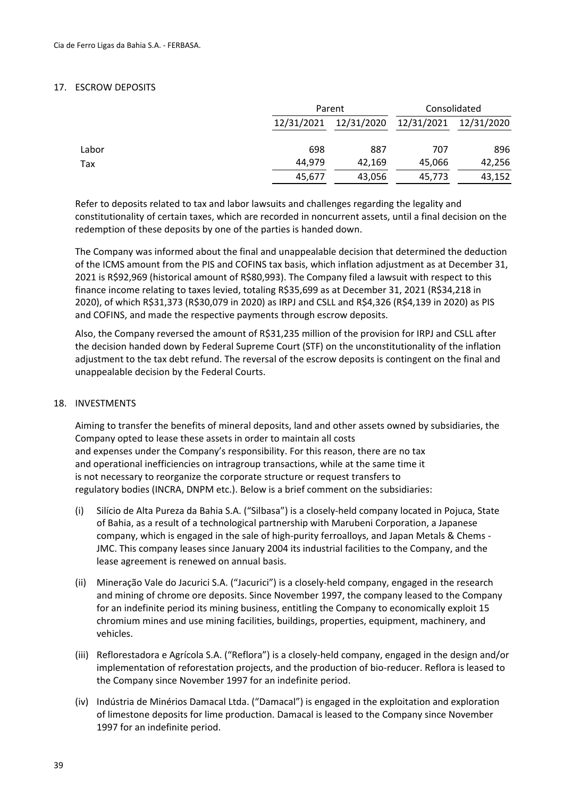#### 17. ESCROW DEPOSITS

|       | Parent     |            | Consolidated |            |  |
|-------|------------|------------|--------------|------------|--|
|       | 12/31/2021 | 12/31/2020 | 12/31/2021   | 12/31/2020 |  |
| Labor | 698        | 887        | 707          | 896        |  |
| Tax   | 44.979     | 42,169     | 45,066       | 42,256     |  |
|       | 45,677     | 43,056     | 45,773       | 43,152     |  |

Refer to deposits related to tax and labor lawsuits and challenges regarding the legality and constitutionality of certain taxes, which are recorded in noncurrent assets, until a final decision on the redemption of these deposits by one of the parties is handed down.

The Company was informed about the final and unappealable decision that determined the deduction of the ICMS amount from the PIS and COFINS tax basis, which inflation adjustment as at December 31, 2021 is R\$92,969 (historical amount of R\$80,993). The Company filed a lawsuit with respect to this finance income relating to taxes levied, totaling R\$35,699 as at December 31, 2021 (R\$34,218 in 2020), of which R\$31,373 (R\$30,079 in 2020) as IRPJ and CSLL and R\$4,326 (R\$4,139 in 2020) as PIS and COFINS, and made the respective payments through escrow deposits.

Also, the Company reversed the amount of R\$31,235 million of the provision for IRPJ and CSLL after the decision handed down by Federal Supreme Court (STF) on the unconstitutionality of the inflation adjustment to the tax debt refund. The reversal of the escrow deposits is contingent on the final and unappealable decision by the Federal Courts.

#### 18. INVESTMENTS

Aiming to transfer the benefits of mineral deposits, land and other assets owned by subsidiaries, the Company opted to lease these assets in order to maintain all costs and expenses under the Company's responsibility. For this reason, there are no tax and operational inefficiencies on intragroup transactions, while at the same time it is not necessary to reorganize the corporate structure or request transfers to regulatory bodies (INCRA, DNPM etc.). Below is a brief comment on the subsidiaries:

- (i) Silício de Alta Pureza da Bahia S.A. ("Silbasa") is a closely‐held company located in Pojuca, State of Bahia, as a result of a technological partnership with Marubeni Corporation, a Japanese company, which is engaged in the sale of high‐purity ferroalloys, and Japan Metals & Chems ‐ JMC. This company leases since January 2004 its industrial facilities to the Company, and the lease agreement is renewed on annual basis.
- (ii) Mineração Vale do Jacurici S.A. ("Jacurici") is a closely‐held company, engaged in the research and mining of chrome ore deposits. Since November 1997, the company leased to the Company for an indefinite period its mining business, entitling the Company to economically exploit 15 chromium mines and use mining facilities, buildings, properties, equipment, machinery, and vehicles.
- (iii) Reflorestadora e Agrícola S.A. ("Reflora") is a closely‐held company, engaged in the design and/or implementation of reforestation projects, and the production of bio‐reducer. Reflora is leased to the Company since November 1997 for an indefinite period.
- (iv) Indústria de Minérios Damacal Ltda. ("Damacal") is engaged in the exploitation and exploration of limestone deposits for lime production. Damacal is leased to the Company since November 1997 for an indefinite period.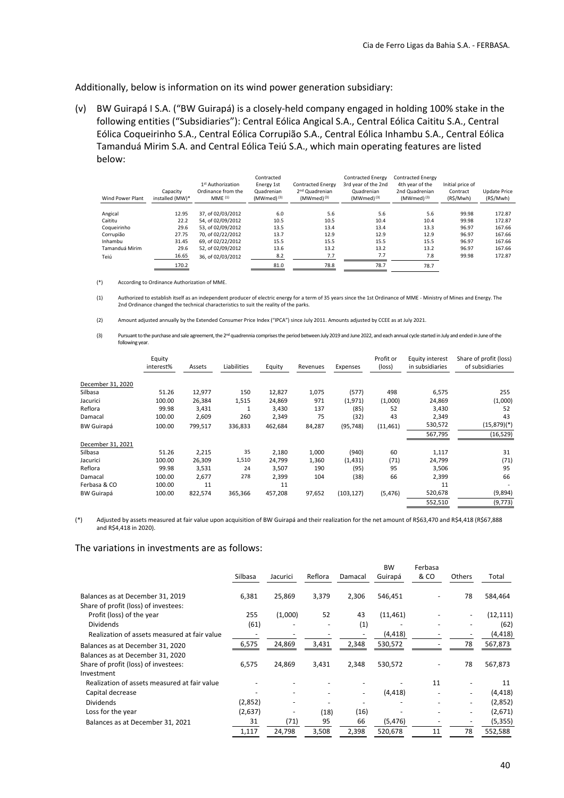Additionally, below is information on its wind power generation subsidiary:

(v) BW Guirapá I S.A. ("BW Guirapá) is a closely‐held company engaged in holding 100% stake in the following entities ("Subsidiaries"): Central Eólica Angical S.A., Central Eólica Caititu S.A., Central Eólica Coqueirinho S.A., Central Eólica Corrupião S.A., Central Eólica Inhambu S.A., Central Eólica Tamanduá Mirim S.A. and Central Eólica Teiú S.A., which main operating features are listed below:

| Wind Power Plant | Capacity<br>installed (MW)* | 1st Authorization<br>Ordinance from the<br>MME <sup>(1)</sup> | Contracted<br>Energy 1st<br>Quadrenian<br>$(MWmed)^{(3)}$ | <b>Contracted Energy</b><br>2 <sup>nd</sup> Quadrenian<br>$(MWmed)^{(3)}$ | <b>Contracted Energy</b><br>3rd year of the 2nd<br>Quadrenian<br>$(MWmed)^{(3)}$ | <b>Contracted Energy</b><br>4th year of the<br>2nd Quadrenian<br>$(MWmed)^{(3)}$ | Initial price of<br>Contract<br>(R\$/Mwh) | <b>Update Price</b><br>(R\$/Mwh) |
|------------------|-----------------------------|---------------------------------------------------------------|-----------------------------------------------------------|---------------------------------------------------------------------------|----------------------------------------------------------------------------------|----------------------------------------------------------------------------------|-------------------------------------------|----------------------------------|
|                  |                             |                                                               |                                                           |                                                                           |                                                                                  |                                                                                  |                                           |                                  |
| Angical          | 12.95                       | 37. of 02/03/2012                                             | 6.0                                                       | 5.6                                                                       | 5.6                                                                              | 5.6                                                                              | 99.98                                     | 172.87                           |
| Caititu          | 22.2                        | 54. of 02/09/2012                                             | 10.5                                                      | 10.5                                                                      | 10.4                                                                             | 10.4                                                                             | 99.98                                     | 172.87                           |
| Coqueirinho      | 29.6                        | 53. of 02/09/2012                                             | 13.5                                                      | 13.4                                                                      | 13.4                                                                             | 13.3                                                                             | 96.97                                     | 167.66                           |
| Corrupião        | 27.75                       | 70. of 02/22/2012                                             | 13.7                                                      | 12.9                                                                      | 12.9                                                                             | 12.9                                                                             | 96.97                                     | 167.66                           |
| Inhambu          | 31.45                       | 69. of 02/22/2012                                             | 15.5                                                      | 15.5                                                                      | 15.5                                                                             | 15.5                                                                             | 96.97                                     | 167.66                           |
| Tamanduá Mirim   | 29.6                        | 52, of 02/09/2012                                             | 13.6                                                      | 13.2                                                                      | 13.2                                                                             | 13.2                                                                             | 96.97                                     | 167.66                           |
| Teiú             | 16.65                       | 36. of 02/03/2012                                             | 8.2                                                       | 7.7                                                                       | 7.7                                                                              | 7.8                                                                              | 99.98                                     | 172.87                           |
|                  | 170.2                       |                                                               | 81.0                                                      | 78.8                                                                      | 78.7                                                                             | 78.7                                                                             |                                           |                                  |

(\*) According to Ordinance Authorization of MME.

(1) Authorized to establish itself as an independent producer of electric energy for a term of 35 years since the 1st Ordinance of MME ‐ Ministry of Mines and Energy. The 2nd Ordinance changed the technical characteristics to suit the reality of the parks.

- (2) Amount adjusted annually by the Extended Consumer Price Index ("IPCA") since July 2011. Amounts adjusted by CCEE as at July 2021.
- (3) Pursuant to the purchase and sale agreement, the 2<sup>nd</sup> quadrennia comprises the period between July 2019 and June 2022, and each annual cycle started in July and ended in June of the following year.

|                   | Equity<br>interest% | Assets  | Liabilities | Equity  | Revenues | Expenses   | Profit or<br>(loss) | Equity interest<br>in subsidiaries | Share of profit (loss)<br>of subsidiaries |
|-------------------|---------------------|---------|-------------|---------|----------|------------|---------------------|------------------------------------|-------------------------------------------|
| December 31, 2020 |                     |         |             |         |          |            |                     |                                    |                                           |
| Silbasa           | 51.26               | 12,977  | 150         | 12,827  | 1,075    | (577)      | 498                 | 6,575                              | 255                                       |
| Jacurici          | 100.00              | 26,384  | 1,515       | 24,869  | 971      | (1,971)    | (1,000)             | 24,869                             | (1,000)                                   |
| Reflora           | 99.98               | 3,431   |             | 3,430   | 137      | (85)       | 52                  | 3,430                              | 52                                        |
| Damacal           | 100.00              | 2,609   | 260         | 2,349   | 75       | (32)       | 43                  | 2,349                              | 43                                        |
| <b>BW Guirapá</b> | 100.00              | 799,517 | 336,833     | 462,684 | 84,287   | (95, 748)  | (11, 461)           | 530,572                            | $(15,879)(*)$                             |
|                   |                     |         |             |         |          |            |                     | 567,795                            | (16, 529)                                 |
| December 31, 2021 |                     |         |             |         |          |            |                     |                                    |                                           |
| Silbasa           | 51.26               | 2,215   | 35          | 2,180   | 1,000    | (940)      | 60                  | 1,117                              | 31                                        |
| Jacurici          | 100.00              | 26,309  | 1,510       | 24,799  | 1,360    | (1, 431)   | (71)                | 24,799                             | (71)                                      |
| Reflora           | 99.98               | 3,531   | 24          | 3,507   | 190      | (95)       | 95                  | 3,506                              | 95                                        |
| Damacal           | 100.00              | 2,677   | 278         | 2,399   | 104      | (38)       | 66                  | 2,399                              | 66                                        |
| Ferbasa & CO      | 100.00              | 11      |             | 11      |          |            |                     | 11                                 |                                           |
| <b>BW Guirapá</b> | 100.00              | 822,574 | 365,366     | 457,208 | 97,652   | (103, 127) | (5, 476)            | 520,678                            | (9,894)                                   |
|                   |                     |         |             |         |          |            |                     | 552,510                            | (9, 773)                                  |
|                   |                     |         |             |         |          |            |                     |                                    |                                           |

(\*) Adjusted by assets measured at fair value upon acquisition of BW Guirapá and their realization for the net amount of R\$63,470 and R\$4,418 (R\$67,888 and R\$4,418 in 2020).

#### The variations in investments are as follows:

|                                                    | Silbasa | Jacurici | Reflora | Damacal | <b>BW</b><br>Guirapá | Ferbasa<br>& CO | Others                   | Total     |
|----------------------------------------------------|---------|----------|---------|---------|----------------------|-----------------|--------------------------|-----------|
| Balances as at December 31, 2019                   | 6,381   | 25,869   | 3,379   | 2,306   | 546,451              |                 | 78                       | 584,464   |
| Share of profit (loss) of investees:               |         |          |         |         |                      |                 |                          |           |
| Profit (loss) of the year                          | 255     | (1,000)  | 52      | 43      | (11, 461)            |                 |                          | (12, 111) |
| <b>Dividends</b>                                   | (61)    |          |         | (1)     |                      |                 |                          | (62)      |
| Realization of assets measured at fair value       |         |          |         |         | (4, 418)             |                 |                          | (4, 418)  |
| Balances as at December 31, 2020                   | 6,575   | 24,869   | 3,431   | 2,348   | 530,572              |                 | 78                       | 567,873   |
| Balances as at December 31, 2020                   |         |          |         |         |                      |                 |                          |           |
| Share of profit (loss) of investees:<br>Investment | 6,575   | 24,869   | 3,431   | 2,348   | 530,572              |                 | 78                       | 567,873   |
| Realization of assets measured at fair value       |         |          |         |         |                      | 11              |                          | 11        |
| Capital decrease                                   |         |          |         |         | (4, 418)             |                 |                          | (4, 418)  |
| <b>Dividends</b>                                   | (2,852) |          |         |         |                      |                 | $\overline{\phantom{0}}$ | (2,852)   |
| Loss for the year                                  | (2,637) |          | (18)    | (16)    |                      |                 | $\overline{\phantom{a}}$ | (2,671)   |
| Balances as at December 31, 2021                   | 31      | (71)     | 95      | 66      | (5, 476)             |                 |                          | (5, 355)  |
|                                                    | 1,117   | 24,798   | 3,508   | 2,398   | 520,678              | 11              | 78                       | 552,588   |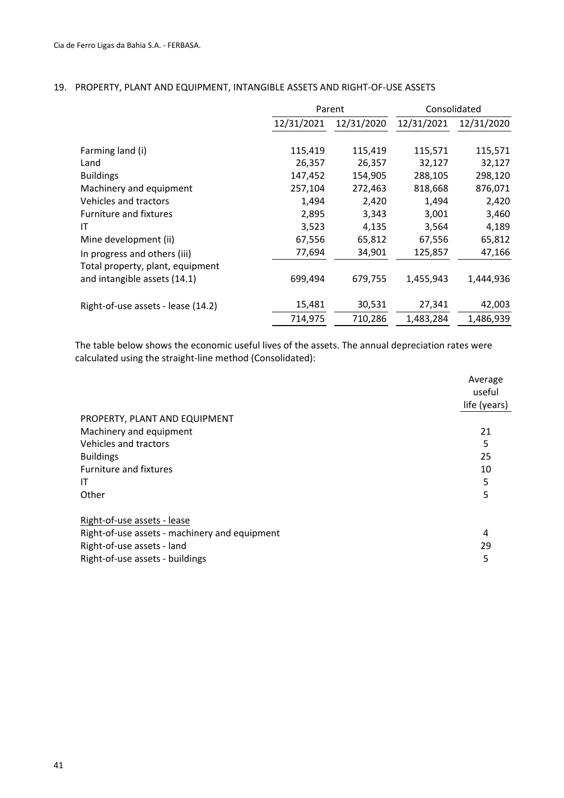|                                    |            | Parent     |            | Consolidated |
|------------------------------------|------------|------------|------------|--------------|
|                                    | 12/31/2021 | 12/31/2020 | 12/31/2021 | 12/31/2020   |
|                                    |            |            |            |              |
| Farming land (i)                   | 115,419    | 115,419    | 115,571    | 115,571      |
| Land                               | 26,357     | 26,357     | 32,127     | 32,127       |
| <b>Buildings</b>                   | 147,452    | 154,905    | 288,105    | 298,120      |
| Machinery and equipment            | 257,104    | 272,463    | 818,668    | 876,071      |
| Vehicles and tractors              | 1,494      | 2,420      | 1,494      | 2,420        |
| <b>Furniture and fixtures</b>      | 2,895      | 3,343      | 3,001      | 3,460        |
| IT                                 | 3,523      | 4,135      | 3,564      | 4,189        |
| Mine development (ii)              | 67,556     | 65,812     | 67,556     | 65,812       |
| In progress and others (iii)       | 77,694     | 34,901     | 125,857    | 47,166       |
| Total property, plant, equipment   |            |            |            |              |
| and intangible assets (14.1)       | 699,494    | 679,755    | 1,455,943  | 1,444,936    |
| Right-of-use assets - lease (14.2) | 15,481     | 30,531     | 27,341     | 42,003       |
|                                    | 714,975    | 710,286    | 1,483,284  | 1,486,939    |

#### 19. PROPERTY, PLANT AND EQUIPMENT, INTANGIBLE ASSETS AND RIGHT‐OF‐USE ASSETS

The table below shows the economic useful lives of the assets. The annual depreciation rates were calculated using the straight‐line method (Consolidated):

|                                               | Average<br>useful<br>life (years) |
|-----------------------------------------------|-----------------------------------|
| PROPERTY, PLANT AND EQUIPMENT                 |                                   |
| Machinery and equipment                       | 21                                |
| Vehicles and tractors                         | 5                                 |
| <b>Buildings</b>                              | 25                                |
| Furniture and fixtures                        | 10                                |
| ΙT                                            | 5                                 |
| Other                                         | 5                                 |
| Right-of-use assets - lease                   |                                   |
| Right-of-use assets - machinery and equipment | 4                                 |
| Right-of-use assets - land                    | 29                                |
| Right-of-use assets - buildings               | 5                                 |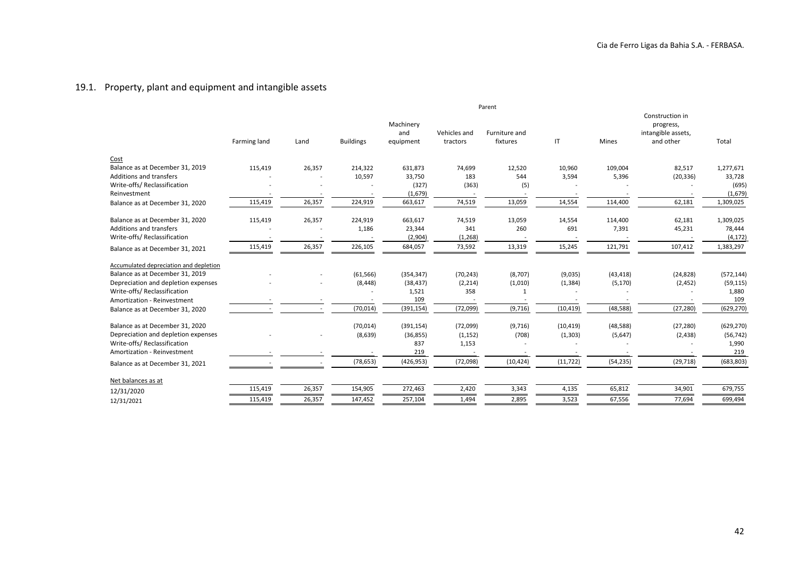#### 19.1. Property, plant and equipment and intangible assets

|                                        |              |        |                  |                               |                          | Parent                    |           |              |                                                                 |            |
|----------------------------------------|--------------|--------|------------------|-------------------------------|--------------------------|---------------------------|-----------|--------------|-----------------------------------------------------------------|------------|
|                                        | Farming land | Land   | <b>Buildings</b> | Machinery<br>and<br>equipment | Vehicles and<br>tractors | Furniture and<br>fixtures | IT        | <b>Mines</b> | Construction in<br>progress,<br>intangible assets,<br>and other | Total      |
| Cost                                   |              |        |                  |                               |                          |                           |           |              |                                                                 |            |
| Balance as at December 31, 2019        | 115,419      | 26,357 | 214,322          | 631,873                       | 74,699                   | 12,520                    | 10,960    | 109,004      | 82,517                                                          | 1,277,671  |
| Additions and transfers                |              |        | 10,597           | 33,750                        | 183                      | 544                       | 3,594     | 5,396        | (20, 336)                                                       | 33,728     |
| Write-offs/ Reclassification           |              |        |                  | (327)                         | (363)                    | (5)                       |           |              |                                                                 | (695)      |
| Reinvestment                           |              |        |                  | (1,679)                       |                          |                           |           |              |                                                                 | (1,679)    |
| Balance as at December 31, 2020        | 115,419      | 26,357 | 224,919          | 663,617                       | 74,519                   | 13,059                    | 14,554    | 114,400      | 62,181                                                          | 1,309,025  |
| Balance as at December 31, 2020        | 115,419      | 26,357 | 224,919          | 663,617                       | 74,519                   | 13,059                    | 14,554    | 114,400      | 62,181                                                          | 1,309,025  |
| Additions and transfers                |              |        | 1,186            | 23,344                        | 341                      | 260                       | 691       | 7,391        | 45,231                                                          | 78,444     |
| Write-offs/ Reclassification           |              |        |                  | (2,904)                       | (1, 268)                 |                           |           |              |                                                                 | (4, 172)   |
| Balance as at December 31, 2021        | 115,419      | 26,357 | 226,105          | 684,057                       | 73,592                   | 13,319                    | 15,245    | 121,791      | 107,412                                                         | 1,383,297  |
| Accumulated depreciation and depletion |              |        |                  |                               |                          |                           |           |              |                                                                 |            |
| Balance as at December 31, 2019        |              |        | (61, 566)        | (354, 347)                    | (70, 243)                | (8,707)                   | (9,035)   | (43, 418)    | (24, 828)                                                       | (572, 144) |
| Depreciation and depletion expenses    |              |        | (8, 448)         | (38, 437)                     | (2, 214)                 | (1,010)                   | (1, 384)  | (5, 170)     | (2, 452)                                                        | (59, 115)  |
| Write-offs/ Reclassification           |              |        |                  | 1,521                         | 358                      | 1                         |           |              |                                                                 | 1,880      |
| Amortization - Reinvestment            |              |        |                  | 109                           |                          |                           |           |              |                                                                 | 109        |
| Balance as at December 31, 2020        |              |        | (70, 014)        | (391, 154)                    | (72,099)                 | (9,716)                   | (10, 419) | (48, 588)    | (27, 280)                                                       | (629, 270) |
| Balance as at December 31, 2020        |              |        | (70, 014)        | (391, 154)                    | (72,099)                 | (9,716)                   | (10, 419) | (48, 588)    | (27, 280)                                                       | (629, 270) |
| Depreciation and depletion expenses    |              |        | (8,639)          | (36, 855)                     | (1, 152)                 | (708)                     | (1,303)   | (5,647)      | (2, 438)                                                        | (56, 742)  |
| Write-offs/ Reclassification           |              |        |                  | 837                           | 1,153                    |                           |           |              |                                                                 | 1,990      |
| Amortization - Reinvestment            |              |        |                  | 219                           |                          |                           |           |              |                                                                 | 219        |
| Balance as at December 31, 2021        |              |        | (78, 653)        | (426, 953)                    | (72,098)                 | (10, 424)                 | (11, 722) | (54, 235)    | (29, 718)                                                       | (683, 803) |
| Net balances as at                     |              |        |                  |                               |                          |                           |           |              |                                                                 |            |
| 12/31/2020                             | 115,419      | 26,357 | 154,905          | 272,463                       | 2,420                    | 3,343                     | 4,135     | 65,812       | 34,901                                                          | 679,755    |
| 12/31/2021                             | 115,419      | 26,357 | 147,452          | 257,104                       | 1,494                    | 2,895                     | 3,523     | 67,556       | 77,694                                                          | 699,494    |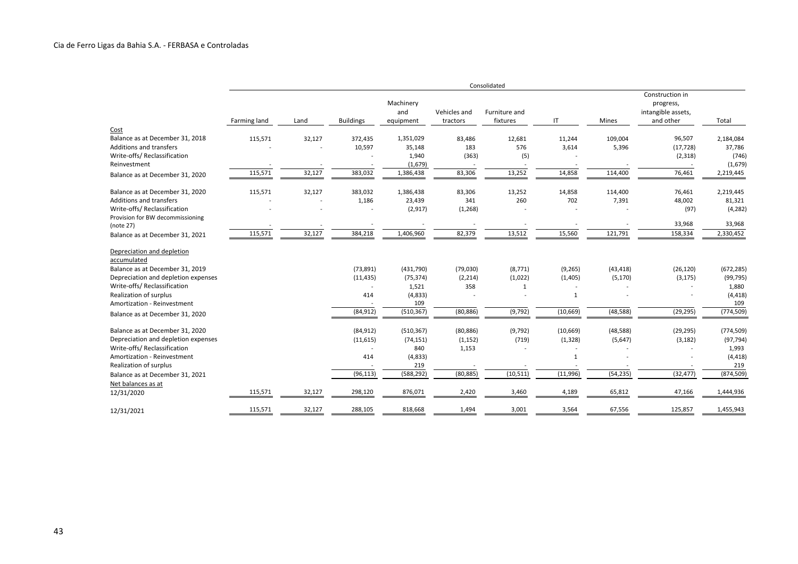|                                                                                                                                                                                                                                                 |              |        |                                            |                                                                  |                                          | Consolidated                                    |                                                  |                                    |                                                                 |                                                                   |
|-------------------------------------------------------------------------------------------------------------------------------------------------------------------------------------------------------------------------------------------------|--------------|--------|--------------------------------------------|------------------------------------------------------------------|------------------------------------------|-------------------------------------------------|--------------------------------------------------|------------------------------------|-----------------------------------------------------------------|-------------------------------------------------------------------|
|                                                                                                                                                                                                                                                 | Farming land | Land   | <b>Buildings</b>                           | Machinery<br>and<br>equipment                                    | Vehicles and<br>tractors                 | Furniture and<br>fixtures                       | IT                                               | Mines                              | Construction in<br>progress,<br>intangible assets,<br>and other | Total                                                             |
| Cost                                                                                                                                                                                                                                            |              |        |                                            |                                                                  |                                          |                                                 |                                                  |                                    |                                                                 |                                                                   |
| Balance as at December 31, 2018                                                                                                                                                                                                                 | 115,571      | 32,127 | 372,435                                    | 1,351,029                                                        | 83,486                                   | 12,681                                          | 11,244                                           | 109,004                            | 96,507                                                          | 2,184,084                                                         |
| <b>Additions and transfers</b>                                                                                                                                                                                                                  |              |        | 10,597                                     | 35,148                                                           | 183                                      | 576                                             | 3,614                                            | 5,396                              | (17, 728)                                                       | 37,786                                                            |
| Write-offs/ Reclassification                                                                                                                                                                                                                    |              |        |                                            | 1,940                                                            | (363)                                    | (5)                                             |                                                  |                                    | (2,318)                                                         | (746)                                                             |
| Reinvestment                                                                                                                                                                                                                                    |              |        |                                            | (1,679)                                                          |                                          |                                                 |                                                  |                                    |                                                                 | (1,679)                                                           |
| Balance as at December 31, 2020                                                                                                                                                                                                                 | 115,571      | 32,127 | 383,032                                    | 1,386,438                                                        | 83,306                                   | 13,252                                          | 14,858                                           | 114,400                            | 76,461                                                          | 2,219,445                                                         |
| Balance as at December 31, 2020                                                                                                                                                                                                                 | 115,571      | 32,127 | 383,032                                    | 1,386,438                                                        | 83,306                                   | 13,252                                          | 14,858                                           | 114,400                            | 76,461                                                          | 2,219,445                                                         |
| <b>Additions and transfers</b>                                                                                                                                                                                                                  |              |        | 1,186                                      | 23,439                                                           | 341                                      | 260                                             | 702                                              | 7,391                              | 48,002                                                          | 81,321                                                            |
| Write-offs/ Reclassification                                                                                                                                                                                                                    |              |        |                                            | (2, 917)                                                         | (1, 268)                                 |                                                 |                                                  |                                    | (97)                                                            | (4, 282)                                                          |
| Provision for BW decommissioning<br>(note 27)                                                                                                                                                                                                   |              |        |                                            |                                                                  |                                          |                                                 |                                                  |                                    | 33,968                                                          | 33,968                                                            |
| Balance as at December 31, 2021                                                                                                                                                                                                                 | 115,571      | 32,127 | 384,218                                    | 1,406,960                                                        | 82,379                                   | 13,512                                          | 15,560                                           | 121,791                            | 158,334                                                         | 2,330,452                                                         |
| Depreciation and depletion<br>accumulated<br>Balance as at December 31, 2019<br>Depreciation and depletion expenses<br>Write-offs/ Reclassification<br>Realization of surplus<br>Amortization - Reinvestment<br>Balance as at December 31, 2020 |              |        | (73, 891)<br>(11, 435)<br>414<br>(84, 912) | (431,790)<br>(75, 374)<br>1,521<br>(4, 833)<br>109<br>(510, 367) | (79,030)<br>(2, 214)<br>358<br>(80, 886) | (8, 771)<br>(1,022)<br>$\mathbf{1}$<br>(9, 792) | (9, 265)<br>(1,405)<br>$\mathbf{1}$<br>(10, 669) | (43, 418)<br>(5, 170)<br>(48, 588) | (26, 120)<br>(3, 175)<br>(29, 295)                              | (672, 285)<br>(99, 795)<br>1,880<br>(4, 418)<br>109<br>(774, 509) |
| Balance as at December 31, 2020                                                                                                                                                                                                                 |              |        | (84, 912)                                  | (510, 367)                                                       | (80, 886)                                | (9, 792)                                        | (10, 669)                                        | (48, 588)                          | (29, 295)                                                       | (774, 509)                                                        |
| Depreciation and depletion expenses                                                                                                                                                                                                             |              |        | (11, 615)                                  | (74, 151)                                                        | (1, 152)                                 | (719)                                           | (1, 328)                                         | (5,647)                            | (3, 182)                                                        | (97, 794)                                                         |
| Write-offs/ Reclassification                                                                                                                                                                                                                    |              |        |                                            | 840                                                              | 1,153                                    |                                                 |                                                  |                                    |                                                                 | 1,993                                                             |
| Amortization - Reinvestment                                                                                                                                                                                                                     |              |        | 414                                        | (4, 833)<br>219                                                  |                                          |                                                 | 1                                                |                                    |                                                                 | (4, 418)<br>219                                                   |
| Realization of surplus                                                                                                                                                                                                                          |              |        | (96, 113)                                  | (588, 292)                                                       | (80, 885)                                | (10, 511)                                       | (11,996)                                         | (54, 235)                          | (32, 477)                                                       | (874, 509)                                                        |
| Balance as at December 31, 2021<br>Net balances as at                                                                                                                                                                                           |              |        |                                            |                                                                  |                                          |                                                 |                                                  |                                    |                                                                 |                                                                   |
| 12/31/2020                                                                                                                                                                                                                                      | 115,571      | 32,127 | 298,120                                    | 876,071                                                          | 2,420                                    | 3,460                                           | 4,189                                            | 65,812                             | 47,166                                                          | 1,444,936                                                         |
| 12/31/2021                                                                                                                                                                                                                                      | 115,571      | 32,127 | 288,105                                    | 818,668                                                          | 1,494                                    | 3,001                                           | 3,564                                            | 67,556                             | 125,857                                                         | 1,455,943                                                         |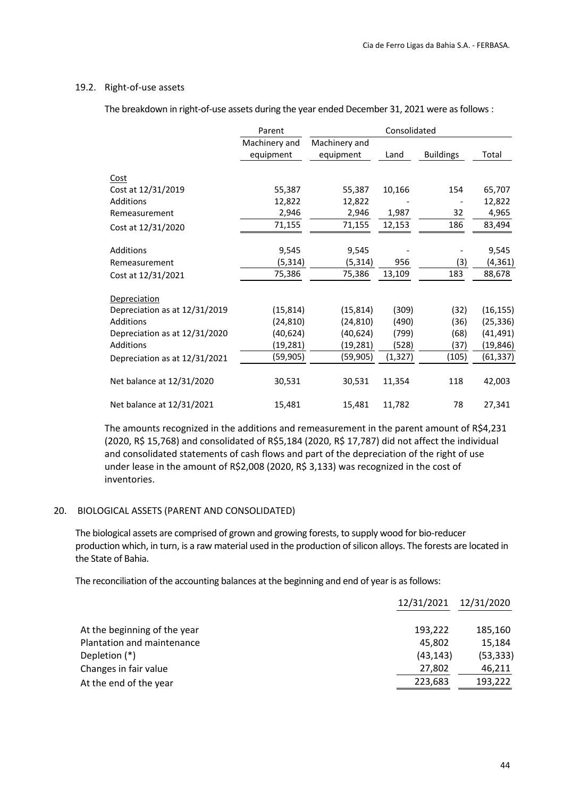#### 19.2. Right‐of‐use assets

The breakdown in right-of-use assets during the year ended December 31, 2021 were as follows :

|                               | Parent        |               | Consolidated |                  |           |
|-------------------------------|---------------|---------------|--------------|------------------|-----------|
|                               | Machinery and | Machinery and |              |                  |           |
|                               | equipment     | equipment     | Land         | <b>Buildings</b> | Total     |
|                               |               |               |              |                  |           |
| <b>Cost</b>                   |               |               |              |                  |           |
| Cost at 12/31/2019            | 55,387        | 55,387        | 10,166       | 154              | 65,707    |
| Additions                     | 12,822        | 12,822        |              |                  | 12,822    |
| Remeasurement                 | 2,946         | 2,946         | 1,987        | 32               | 4,965     |
| Cost at 12/31/2020            | 71,155        | 71,155        | 12,153       | 186              | 83,494    |
|                               |               |               |              |                  |           |
| Additions                     | 9,545         | 9,545         |              |                  | 9,545     |
| Remeasurement                 | (5, 314)      | (5, 314)      | 956          | (3)              | (4, 361)  |
| Cost at 12/31/2021            | 75,386        | 75,386        | 13,109       | 183              | 88,678    |
| Depreciation                  |               |               |              |                  |           |
| Depreciation as at 12/31/2019 | (15, 814)     | (15, 814)     | (309)        | (32)             | (16, 155) |
| Additions                     | (24,810)      | (24, 810)     | (490)        | (36)             | (25, 336) |
| Depreciation as at 12/31/2020 | (40,624)      | (40, 624)     | (799)        | (68)             | (41,491)  |
| Additions                     | (19,281)      | (19,281)      | (528)        | (37)             | (19,846)  |
| Depreciation as at 12/31/2021 | (59,905)      | (59, 905)     | (1, 327)     | (105)            | (61, 337) |
| Net balance at 12/31/2020     | 30,531        | 30,531        | 11,354       | 118              | 42,003    |
| Net balance at 12/31/2021     | 15,481        | 15,481        | 11,782       | 78               | 27,341    |

The amounts recognized in the additions and remeasurement in the parent amount of R\$4,231 (2020, R\$ 15,768) and consolidated of R\$5,184 (2020, R\$ 17,787) did not affect the individual and consolidated statements of cash flows and part of the depreciation of the right of use under lease in the amount of R\$2,008 (2020, R\$ 3,133) was recognized in the cost of inventories.

#### 20. BIOLOGICAL ASSETS (PARENT AND CONSOLIDATED)

The biological assets are comprised of grown and growing forests, to supply wood for bio‐reducer production which, in turn, is a raw material used in the production of silicon alloys. The forests are located in the State of Bahia.

The reconciliation of the accounting balances at the beginning and end of year is as follows:

| 12/31/2020                                                        |
|-------------------------------------------------------------------|
| 185,160                                                           |
| 15,184                                                            |
| (53, 333)                                                         |
| 46,211                                                            |
| 193,222                                                           |
| 12/31/2021<br>193,222<br>45.802<br>(43, 143)<br>27,802<br>223,683 |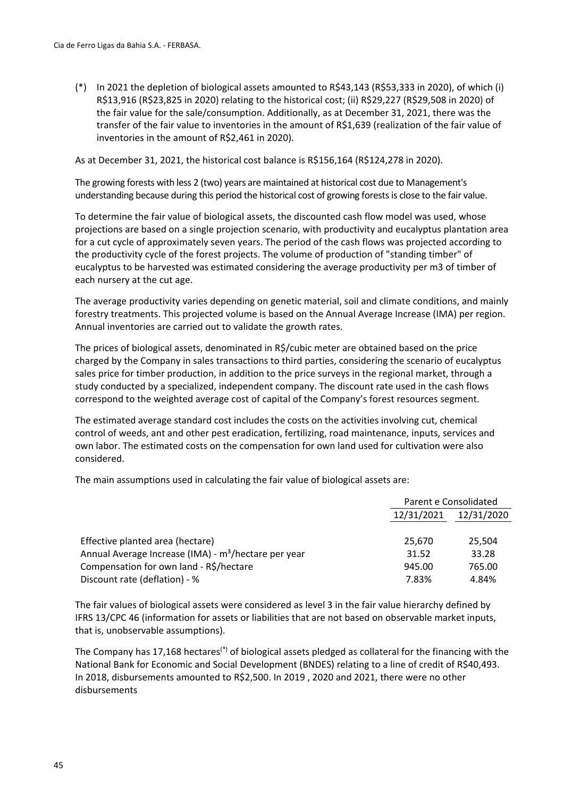(\*) In 2021 the depletion of biological assets amounted to R\$43,143 (R\$53,333 in 2020), of which (i) R\$13,916 (R\$23,825 in 2020) relating to the historical cost; (ii) R\$29,227 (R\$29,508 in 2020) of the fair value for the sale/consumption. Additionally, as at December 31, 2021, there was the transfer of the fair value to inventories in the amount of R\$1,639 (realization of the fair value of inventories in the amount of R\$2,461 in 2020).

As at December 31, 2021, the historical cost balance is R\$156,164 (R\$124,278 in 2020).

The growing forests with less 2 (two) years are maintained at historical cost due to Management's understanding because during this period the historical cost of growing forestsis close to the fair value.

To determine the fair value of biological assets, the discounted cash flow model was used, whose projections are based on a single projection scenario, with productivity and eucalyptus plantation area for a cut cycle of approximately seven years. The period of the cash flows was projected according to the productivity cycle of the forest projects. The volume of production of "standing timber" of eucalyptus to be harvested was estimated considering the average productivity per m3 of timber of each nursery at the cut age.

The average productivity varies depending on genetic material, soil and climate conditions, and mainly forestry treatments. This projected volume is based on the Annual Average Increase (IMA) per region. Annual inventories are carried out to validate the growth rates.

The prices of biological assets, denominated in R\$/cubic meter are obtained based on the price charged by the Company in sales transactions to third parties, considering the scenario of eucalyptus sales price for timber production, in addition to the price surveys in the regional market, through a study conducted by a specialized, independent company. The discount rate used in the cash flows correspond to the weighted average cost of capital of the Company's forest resources segment.

The estimated average standard cost includes the costs on the activities involving cut, chemical control of weeds, ant and other pest eradication, fertilizing, road maintenance, inputs, services and own labor. The estimated costs on the compensation for own land used for cultivation were also considered.

The main assumptions used in calculating the fair value of biological assets are:

|                                                                  |            | Parent e Consolidated |
|------------------------------------------------------------------|------------|-----------------------|
|                                                                  | 12/31/2021 | 12/31/2020            |
|                                                                  |            |                       |
| Effective planted area (hectare)                                 | 25.670     | 25,504                |
| Annual Average Increase (IMA) - m <sup>3</sup> /hectare per year | 31.52      | 33.28                 |
| Compensation for own land - R\$/hectare                          | 945.00     | 765.00                |
| Discount rate (deflation) - %                                    | 7.83%      | 4.84%                 |

The fair values of biological assets were considered as level 3 in the fair value hierarchy defined by IFRS 13/CPC 46 (information for assets or liabilities that are not based on observable market inputs, that is, unobservable assumptions).

The Company has 17,168 hectares<sup>(\*)</sup> of biological assets pledged as collateral for the financing with the National Bank for Economic and Social Development (BNDES) relating to a line of credit of R\$40,493. In 2018, disbursements amounted to R\$2,500. In 2019 , 2020 and 2021, there were no other disbursements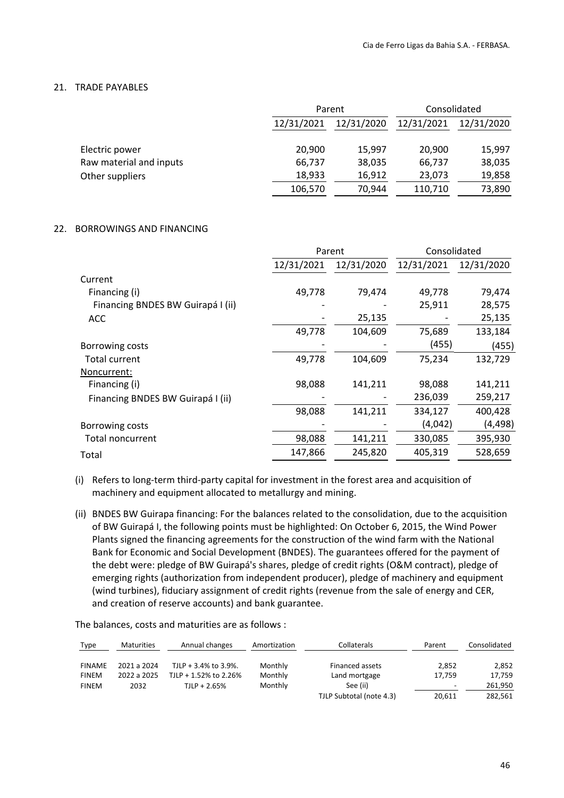#### 21. TRADE PAYABLES

|                         | Parent     |            | Consolidated |            |  |
|-------------------------|------------|------------|--------------|------------|--|
|                         | 12/31/2021 | 12/31/2020 | 12/31/2021   | 12/31/2020 |  |
|                         |            |            |              |            |  |
| Electric power          | 20,900     | 15,997     | 20,900       | 15,997     |  |
| Raw material and inputs | 66,737     | 38,035     | 66,737       | 38,035     |  |
| Other suppliers         | 18,933     | 16,912     | 23,073       | 19,858     |  |
|                         | 106,570    | 70,944     | 110,710      | 73,890     |  |

#### 22. BORROWINGS AND FINANCING

|            |            | Consolidated |            |  |
|------------|------------|--------------|------------|--|
| 12/31/2021 | 12/31/2020 | 12/31/2021   | 12/31/2020 |  |
|            |            |              |            |  |
| 49,778     | 79,474     | 49,778       | 79,474     |  |
|            |            | 25,911       | 28,575     |  |
|            | 25,135     |              | 25,135     |  |
| 49,778     | 104,609    | 75,689       | 133,184    |  |
|            |            | (455)        | (455)      |  |
| 49,778     | 104,609    | 75,234       | 132,729    |  |
|            |            |              |            |  |
| 98,088     | 141,211    | 98,088       | 141,211    |  |
|            |            | 236,039      | 259,217    |  |
| 98,088     | 141,211    | 334,127      | 400,428    |  |
|            |            | (4,042)      | (4, 498)   |  |
| 98,088     | 141,211    | 330,085      | 395,930    |  |
| 147,866    | 245,820    | 405,319      | 528,659    |  |
|            |            | Parent       |            |  |

(i) Refers to long‐term third‐party capital for investment in the forest area and acquisition of machinery and equipment allocated to metallurgy and mining.

(ii) BNDES BW Guirapa financing: For the balances related to the consolidation, due to the acquisition of BW Guirapá I, the following points must be highlighted: On October 6, 2015, the Wind Power Plants signed the financing agreements for the construction of the wind farm with the National Bank for Economic and Social Development (BNDES). The guarantees offered for the payment of the debt were: pledge of BW Guirapá's shares, pledge of credit rights (O&M contract), pledge of emerging rights (authorization from independent producer), pledge of machinery and equipment (wind turbines), fiduciary assignment of credit rights (revenue from the sale of energy and CER, and creation of reserve accounts) and bank guarantee.

The balances, costs and maturities are as follows :

| Type          | <b>Maturities</b> | Annual changes        | Amortization | Collaterals              | Parent                   | Consolidated |
|---------------|-------------------|-----------------------|--------------|--------------------------|--------------------------|--------------|
| <b>FINAME</b> | 2021 a 2024       | TJLP + 3.4% to 3.9%.  | Monthly      | Financed assets          | 2.852                    | 2,852        |
| <b>FINEM</b>  | 2022 a 2025       | TJLP + 1.52% to 2.26% | Monthly      | Land mortgage            | 17.759                   | 17,759       |
| <b>FINEM</b>  | 2032              | $TLP + 2.65%$         | Monthly      | See (ii)                 | $\overline{\phantom{0}}$ | 261.950      |
|               |                   |                       |              | TJLP Subtotal (note 4.3) | 20,611                   | 282,561      |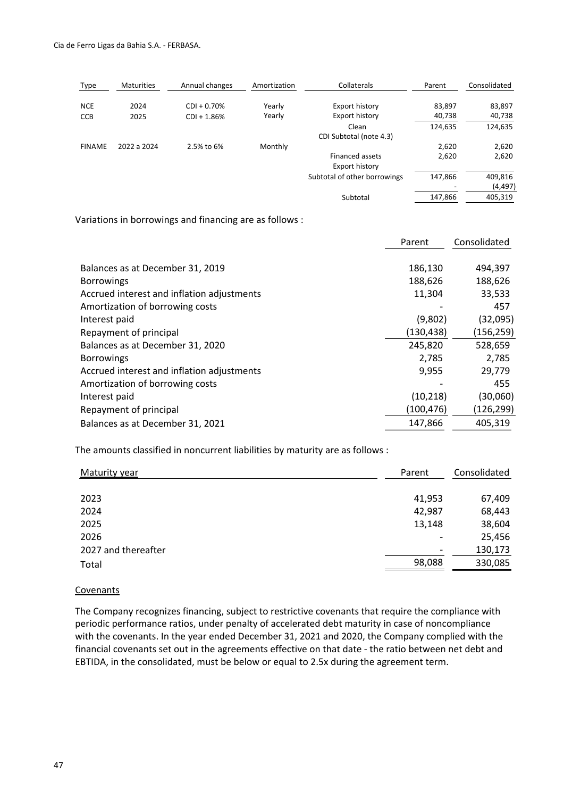| Type          | <b>Maturities</b> | Annual changes | Amortization | Collaterals                  | Parent  | Consolidated |
|---------------|-------------------|----------------|--------------|------------------------------|---------|--------------|
| <b>NCE</b>    | 2024              | $CDI + 0.70%$  | Yearly       | Export history               | 83.897  | 83,897       |
| <b>CCB</b>    | 2025              | $CDI + 1.86%$  | Yearly       | Export history               | 40,738  | 40,738       |
|               |                   |                |              | Clean                        | 124,635 | 124,635      |
|               |                   |                |              | CDI Subtotal (note 4.3)      |         |              |
| <b>FINAME</b> | 2022 a 2024       | 2.5% to 6%     | Monthly      |                              | 2,620   | 2,620        |
|               |                   |                |              | <b>Financed assets</b>       | 2,620   | 2,620        |
|               |                   |                |              | Export history               |         |              |
|               |                   |                |              | Subtotal of other borrowings | 147,866 | 409,816      |
|               |                   |                |              |                              |         | (4, 497)     |
|               |                   |                |              | Subtotal                     | 147,866 | 405,319      |

Variations in borrowings and financing are as follows :

|                                            | Parent     | Consolidated |
|--------------------------------------------|------------|--------------|
|                                            |            |              |
| Balances as at December 31, 2019           | 186,130    | 494,397      |
| <b>Borrowings</b>                          | 188,626    | 188,626      |
| Accrued interest and inflation adjustments | 11,304     | 33,533       |
| Amortization of borrowing costs            |            | 457          |
| Interest paid                              | (9,802)    | (32,095)     |
| Repayment of principal                     | (130, 438) | (156, 259)   |
| Balances as at December 31, 2020           | 245,820    | 528,659      |
| <b>Borrowings</b>                          | 2,785      | 2,785        |
| Accrued interest and inflation adjustments | 9,955      | 29,779       |
| Amortization of borrowing costs            |            | 455          |
| Interest paid                              | (10, 218)  | (30,060)     |
| Repayment of principal                     | (100, 476) | (126, 299)   |
| Balances as at December 31, 2021           | 147,866    | 405,319      |

The amounts classified in noncurrent liabilities by maturity are as follows :

| <b>Maturity year</b> | Parent                   | Consolidated |  |
|----------------------|--------------------------|--------------|--|
|                      |                          |              |  |
| 2023                 | 41,953                   | 67,409       |  |
| 2024                 | 42,987                   | 68,443       |  |
| 2025                 | 13,148                   | 38,604       |  |
| 2026                 | $\overline{\phantom{a}}$ | 25,456       |  |
| 2027 and thereafter  | $\overline{\phantom{a}}$ | 130,173      |  |
| Total                | 98,088                   | 330,085      |  |

#### **Covenants**

The Company recognizes financing, subject to restrictive covenants that require the compliance with periodic performance ratios, under penalty of accelerated debt maturity in case of noncompliance with the covenants. In the year ended December 31, 2021 and 2020, the Company complied with the financial covenants set out in the agreements effective on that date ‐ the ratio between net debt and EBTIDA, in the consolidated, must be below or equal to 2.5x during the agreement term.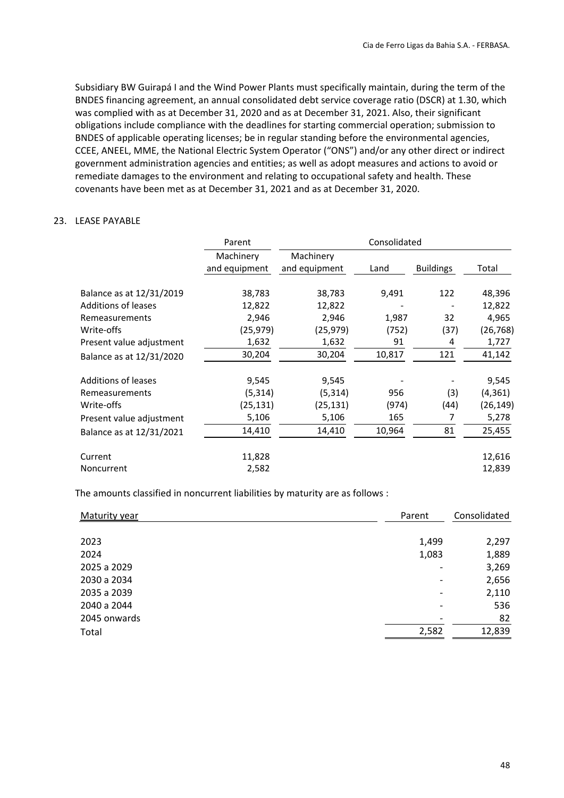Subsidiary BW Guirapá I and the Wind Power Plants must specifically maintain, during the term of the BNDES financing agreement, an annual consolidated debt service coverage ratio (DSCR) at 1.30, which was complied with as at December 31, 2020 and as at December 31, 2021. Also, their significant obligations include compliance with the deadlines for starting commercial operation; submission to BNDES of applicable operating licenses; be in regular standing before the environmental agencies, CCEE, ANEEL, MME, the National Electric System Operator ("ONS") and/or any other direct or indirect government administration agencies and entities; as well as adopt measures and actions to avoid or remediate damages to the environment and relating to occupational safety and health. These covenants have been met as at December 31, 2021 and as at December 31, 2020.

#### 23. LEASE PAYABLE

|                                                        | Parent                     | Consolidated               |             |                  |                    |  |  |
|--------------------------------------------------------|----------------------------|----------------------------|-------------|------------------|--------------------|--|--|
|                                                        | Machinery<br>and equipment | Machinery<br>and equipment | Land        | <b>Buildings</b> | Total              |  |  |
| Balance as at 12/31/2019<br><b>Additions of leases</b> | 38,783<br>12,822           | 38,783<br>12,822           | 9,491       | 122              | 48,396<br>12,822   |  |  |
| Remeasurements                                         | 2,946                      | 2,946                      | 1,987       | 32               | 4,965              |  |  |
| Write-offs<br>Present value adjustment                 | (25,979)<br>1,632          | (25, 979)<br>1,632         | (752)<br>91 | (37)<br>4        | (26, 768)<br>1,727 |  |  |
| Balance as at 12/31/2020                               | 30,204                     | 30,204                     | 10,817      | 121              | 41,142             |  |  |
| <b>Additions of leases</b>                             | 9,545                      | 9,545                      |             |                  | 9,545              |  |  |
| Remeasurements                                         | (5, 314)                   | (5, 314)                   | 956         | (3)              | (4, 361)           |  |  |
| Write-offs                                             | (25,131)                   | (25, 131)                  | (974)       | (44)             | (26,149)           |  |  |
| Present value adjustment                               | 5,106                      | 5,106                      | 165         | 7                | 5,278              |  |  |
| Balance as at 12/31/2021                               | 14,410                     | 14,410                     | 10,964      | 81               | 25,455             |  |  |
| Current                                                | 11,828                     |                            |             |                  | 12,616             |  |  |
| Noncurrent                                             | 2,582                      |                            |             |                  | 12,839             |  |  |

The amounts classified in noncurrent liabilities by maturity are as follows :

| Maturity year | Parent                   | Consolidated |  |
|---------------|--------------------------|--------------|--|
|               |                          |              |  |
| 2023          | 1,499                    | 2,297        |  |
| 2024          | 1,083                    | 1,889        |  |
| 2025 a 2029   | $\overline{\phantom{0}}$ | 3,269        |  |
| 2030 a 2034   | $\overline{\phantom{a}}$ | 2,656        |  |
| 2035 a 2039   | $\overline{\phantom{a}}$ | 2,110        |  |
| 2040 a 2044   | ٠                        | 536          |  |
| 2045 onwards  |                          | 82           |  |
| Total         | 2,582                    | 12,839       |  |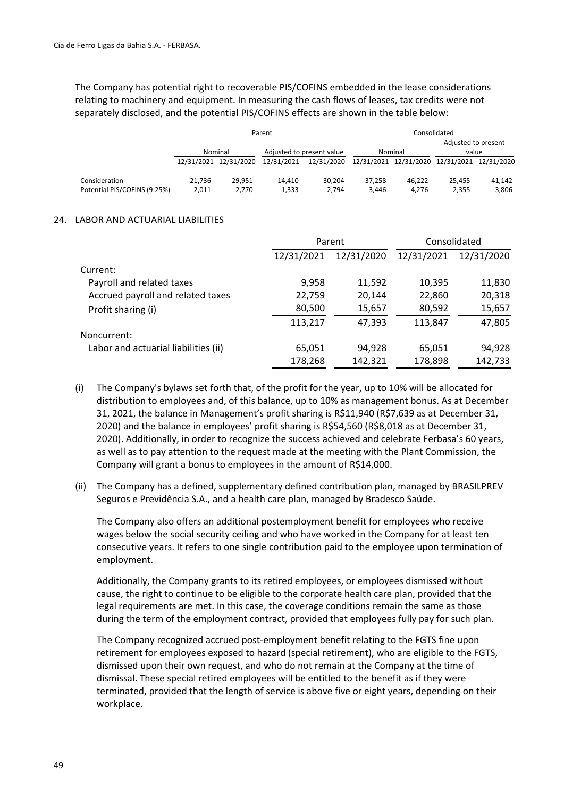The Company has potential right to recoverable PIS/COFINS embedded in the lease considerations relating to machinery and equipment. In measuring the cash flows of leases, tax credits were not separately disclosed, and the potential PIS/COFINS effects are shown in the table below:

|                              | Parent  |                       |                           |            |         | Consolidated                                |                     |        |
|------------------------------|---------|-----------------------|---------------------------|------------|---------|---------------------------------------------|---------------------|--------|
|                              |         |                       |                           |            |         |                                             | Adjusted to present |        |
|                              | Nominal |                       | Adjusted to present value |            | Nominal |                                             | value               |        |
|                              |         | 12/31/2021 12/31/2020 | 12/31/2021                | 12/31/2020 |         | 12/31/2021 12/31/2020 12/31/2021 12/31/2020 |                     |        |
|                              |         |                       |                           |            |         |                                             |                     |        |
| Consideration                | 21.736  | 29.951                | 14.410                    | 30.204     | 37.258  | 46.222                                      | 25.455              | 41.142 |
| Potential PIS/COFINS (9.25%) | 2.011   | 2.770                 | 1.333                     | 2.794      | 3.446   | 4.276                                       | 2.355               | 3,806  |

#### 24. LABOR AND ACTUARIAL LIABILITIES

|                                      |            | Parent     | Consolidated |            |  |
|--------------------------------------|------------|------------|--------------|------------|--|
|                                      | 12/31/2021 | 12/31/2020 | 12/31/2021   | 12/31/2020 |  |
| Current:                             |            |            |              |            |  |
| Payroll and related taxes            | 9,958      | 11,592     | 10,395       | 11,830     |  |
| Accrued payroll and related taxes    | 22,759     | 20,144     | 22,860       | 20,318     |  |
| Profit sharing (i)                   | 80,500     | 15,657     | 80,592       | 15,657     |  |
|                                      | 113,217    | 47,393     | 113,847      | 47,805     |  |
| Noncurrent:                          |            |            |              |            |  |
| Labor and actuarial liabilities (ii) | 65,051     | 94,928     | 65,051       | 94,928     |  |
|                                      | 178,268    | 142,321    | 178,898      | 142,733    |  |

- (i) The Company's bylaws set forth that, of the profit for the year, up to 10% will be allocated for distribution to employees and, of this balance, up to 10% as management bonus. As at December 31, 2021, the balance in Management's profit sharing is R\$11,940 (R\$7,639 as at December 31, 2020) and the balance in employees' profit sharing is R\$54,560 (R\$8,018 as at December 31, 2020). Additionally, in order to recognize the success achieved and celebrate Ferbasa's 60 years, as well as to pay attention to the request made at the meeting with the Plant Commission, the Company will grant a bonus to employees in the amount of R\$14,000.
- (ii) The Company has a defined, supplementary defined contribution plan, managed by BRASILPREV Seguros e Previdência S.A., and a health care plan, managed by Bradesco Saúde.

The Company also offers an additional postemployment benefit for employees who receive wages below the social security ceiling and who have worked in the Company for at least ten consecutive years. It refers to one single contribution paid to the employee upon termination of employment.

Additionally, the Company grants to its retired employees, or employees dismissed without cause, the right to continue to be eligible to the corporate health care plan, provided that the legal requirements are met. In this case, the coverage conditions remain the same as those during the term of the employment contract, provided that employees fully pay for such plan.

The Company recognized accrued post‐employment benefit relating to the FGTS fine upon retirement for employees exposed to hazard (special retirement), who are eligible to the FGTS, dismissed upon their own request, and who do not remain at the Company at the time of dismissal. These special retired employees will be entitled to the benefit as if they were terminated, provided that the length of service is above five or eight years, depending on their workplace.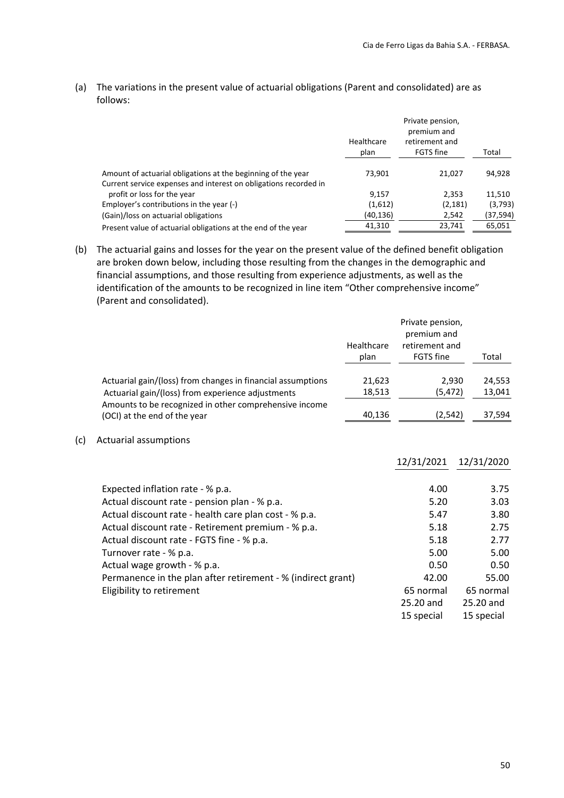(a) The variations in the present value of actuarial obligations (Parent and consolidated) are as follows:

|                                                                  | Healthcare<br>plan | Private pension,<br>premium and<br>retirement and<br>FGTS fine | Total    |
|------------------------------------------------------------------|--------------------|----------------------------------------------------------------|----------|
| Amount of actuarial obligations at the beginning of the year     | 73.901             | 21,027                                                         | 94,928   |
| Current service expenses and interest on obligations recorded in |                    |                                                                |          |
| profit or loss for the year                                      | 9,157              | 2.353                                                          | 11,510   |
| Employer's contributions in the year (-)                         | (1,612)            | (2, 181)                                                       | (3,793)  |
| (Gain)/loss on actuarial obligations                             | (40, 136)          | 2,542                                                          | (37,594) |
| Present value of actuarial obligations at the end of the year    | 41,310             | 23,741                                                         | 65,051   |

(b) The actuarial gains and losses for the year on the present value of the defined benefit obligation are broken down below, including those resulting from the changes in the demographic and financial assumptions, and those resulting from experience adjustments, as well as the identification of the amounts to be recognized in line item "Other comprehensive income" (Parent and consolidated).

| Healthcare<br>plan                                                                                                                                                                                                                                                     |        | Private pension,<br>premium and<br>retirement and<br>FGTS fine | Total                                        |
|------------------------------------------------------------------------------------------------------------------------------------------------------------------------------------------------------------------------------------------------------------------------|--------|----------------------------------------------------------------|----------------------------------------------|
| Actuarial gain/(loss) from changes in financial assumptions                                                                                                                                                                                                            | 21,623 | 2,930                                                          | 24,553                                       |
| Actuarial gain/(loss) from experience adjustments<br>Amounts to be recognized in other comprehensive income                                                                                                                                                            | 18,513 | (5, 472)                                                       | 13,041                                       |
| (OCI) at the end of the year                                                                                                                                                                                                                                           | 40,136 | (2, 542)                                                       | 37,594                                       |
| <b>Actuarial assumptions</b>                                                                                                                                                                                                                                           |        |                                                                |                                              |
|                                                                                                                                                                                                                                                                        |        | 12/31/2021                                                     | 12/31/2020                                   |
| Expected inflation rate - % p.a.<br>Actual discount rate - pension plan - % p.a.<br>Actual discount rate - health care plan cost - % p.a.<br>Actual discount rate - Retirement premium - % p.a.<br>Actual discount rate - FGTS fine - % p.a.<br>Turnover rate - % p.a. |        | 4.00<br>5.20<br>5.47<br>5.18<br>5.18<br>5.00                   | 3.75<br>3.03<br>3.80<br>2.75<br>2.77<br>5.00 |
| Actual wage growth - % p.a.                                                                                                                                                                                                                                            |        | 0.50<br>42.00                                                  | 0.50<br>55.00                                |
| Permanence in the plan after retirement - % (indirect grant)<br>Eligibility to retirement                                                                                                                                                                              |        | 65 normal                                                      | 65 normal                                    |
|                                                                                                                                                                                                                                                                        |        | 25.20 and                                                      | 25.20 and                                    |
|                                                                                                                                                                                                                                                                        |        | 15 special                                                     | 15 special                                   |

 $(c)$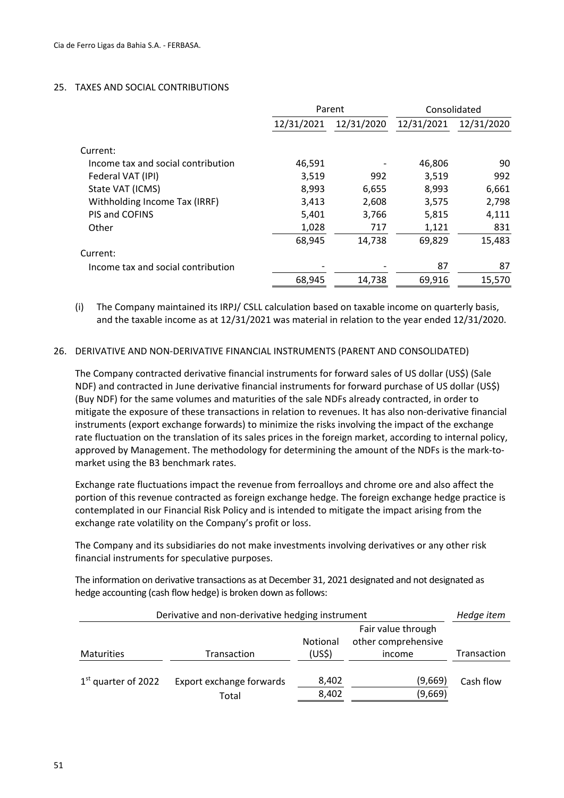#### 25. TAXES AND SOCIAL CONTRIBUTIONS

|                                    |            | Parent     | Consolidated |            |  |
|------------------------------------|------------|------------|--------------|------------|--|
|                                    | 12/31/2021 | 12/31/2020 | 12/31/2021   | 12/31/2020 |  |
| Current:                           |            |            |              |            |  |
| Income tax and social contribution | 46,591     |            | 46,806       | 90         |  |
| Federal VAT (IPI)                  | 3,519      | 992        | 3,519        | 992        |  |
| State VAT (ICMS)                   | 8,993      | 6,655      | 8,993        | 6,661      |  |
| Withholding Income Tax (IRRF)      | 3,413      | 2,608      | 3,575        | 2,798      |  |
| PIS and COFINS                     | 5,401      | 3,766      | 5,815        | 4,111      |  |
| Other                              | 1,028      | 717        | 1,121        | 831        |  |
|                                    | 68,945     | 14,738     | 69,829       | 15,483     |  |
| Current:                           |            |            |              |            |  |
| Income tax and social contribution |            |            | 87           | 87         |  |
|                                    | 68,945     | 14,738     | 69,916       | 15,570     |  |

(i) The Company maintained its IRPJ/ CSLL calculation based on taxable income on quarterly basis, and the taxable income as at 12/31/2021 was material in relation to the year ended 12/31/2020.

#### 26. DERIVATIVE AND NON‐DERIVATIVE FINANCIAL INSTRUMENTS (PARENT AND CONSOLIDATED)

The Company contracted derivative financial instruments for forward sales of US dollar (US\$) (Sale NDF) and contracted in June derivative financial instruments for forward purchase of US dollar (US\$) (Buy NDF) for the same volumes and maturities of the sale NDFs already contracted, in order to mitigate the exposure of these transactions in relation to revenues. It has also non‐derivative financial instruments (export exchange forwards) to minimize the risks involving the impact of the exchange rate fluctuation on the translation of its sales prices in the foreign market, according to internal policy, approved by Management. The methodology for determining the amount of the NDFs is the mark‐to‐ market using the B3 benchmark rates.

Exchange rate fluctuations impact the revenue from ferroalloys and chrome ore and also affect the portion of this revenue contracted as foreign exchange hedge. The foreign exchange hedge practice is contemplated in our Financial Risk Policy and is intended to mitigate the impact arising from the exchange rate volatility on the Company's profit or loss.

The Company and its subsidiaries do not make investments involving derivatives or any other risk financial instruments for speculative purposes.

The information on derivative transactions as at December 31, 2021 designated and not designated as hedge accounting (cash flow hedge) is broken down as follows:

| Derivative and non-derivative hedging instrument |                                   |                                       |                    | Hedge item |
|--------------------------------------------------|-----------------------------------|---------------------------------------|--------------------|------------|
| <b>Maturities</b>                                | Transaction                       | <b>Notional</b><br>(US <sup>5</sup> ) | Transaction        |            |
|                                                  |                                   |                                       | income             |            |
| $1st$ quarter of 2022                            | Export exchange forwards<br>Total | 8,402<br>8,402                        | (9,669)<br>(9,669) | Cash flow  |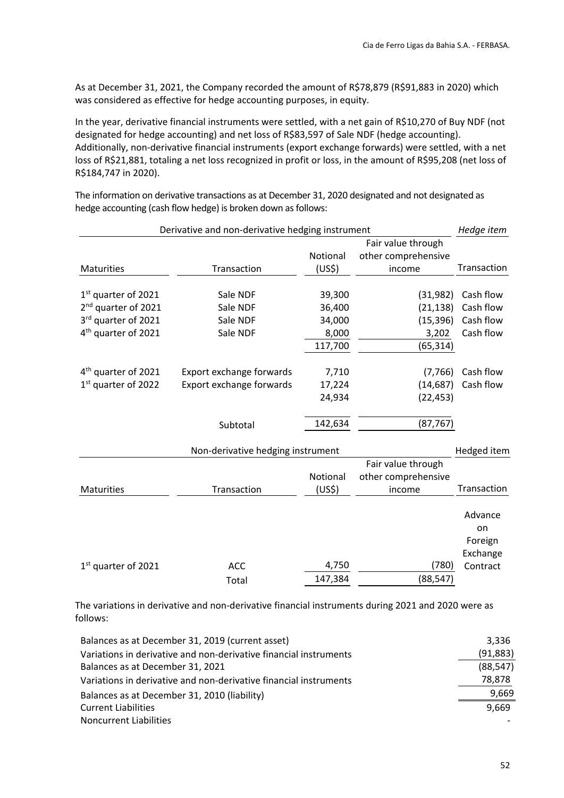As at December 31, 2021, the Company recorded the amount of R\$78,879 (R\$91,883 in 2020) which was considered as effective for hedge accounting purposes, in equity.

In the year, derivative financial instruments were settled, with a net gain of R\$10,270 of Buy NDF (not designated for hedge accounting) and net loss of R\$83,597 of Sale NDF (hedge accounting). Additionally, non‐derivative financial instruments (export exchange forwards) were settled, with a net loss of R\$21,881, totaling a net loss recognized in profit or loss, in the amount of R\$95,208 (net loss of R\$184,747 in 2020).

The information on derivative transactions as at December 31, 2020 designated and not designated as hedge accounting (cash flow hedge) is broken down as follows:

|                                 | Derivative and non-derivative hedging instrument |                    |                     | Hedge item  |
|---------------------------------|--------------------------------------------------|--------------------|---------------------|-------------|
|                                 |                                                  |                    | Fair value through  |             |
|                                 |                                                  | Notional           | other comprehensive |             |
| <b>Maturities</b>               | Transaction                                      | (US <sup>5</sup> ) | income              | Transaction |
|                                 |                                                  |                    |                     |             |
| $1st$ quarter of 2021           | Sale NDF                                         | 39,300             | (31,982)            | Cash flow   |
| 2 <sup>nd</sup> quarter of 2021 | Sale NDF                                         | 36,400             | (21, 138)           | Cash flow   |
| 3rd quarter of 2021             | Sale NDF                                         | 34,000             | (15, 396)           | Cash flow   |
| 4 <sup>th</sup> quarter of 2021 | Sale NDF                                         | 8,000              | 3,202               | Cash flow   |
|                                 |                                                  | 117,700            | (65, 314)           |             |
|                                 |                                                  |                    |                     |             |
| 4 <sup>th</sup> quarter of 2021 | Export exchange forwards                         | 7,710              | (7, 766)            | Cash flow   |
| 1 <sup>st</sup> quarter of 2022 | Export exchange forwards                         | 17,224             | (14, 687)           | Cash flow   |
|                                 |                                                  | 24,934             | (22, 453)           |             |
|                                 |                                                  |                    |                     |             |
|                                 | Subtotal                                         | 142,634            | (87, 767)           |             |
|                                 | Non-derivative hedging instrument                |                    |                     | Hedged item |
|                                 |                                                  |                    | Fair value through  |             |
|                                 |                                                  | Notional           | other comprehensive |             |
| Maturities                      | Transaction                                      | (US\$)             | income              | Transaction |
|                                 |                                                  |                    |                     |             |
|                                 |                                                  |                    |                     | Advance     |
|                                 |                                                  |                    |                     | on          |
|                                 |                                                  |                    |                     | Foreign     |
|                                 |                                                  |                    |                     | Exchange    |
| $1st$ quarter of 2021           | <b>ACC</b>                                       | 4,750              | (780)               | Contract    |

The variations in derivative and non‐derivative financial instruments during 2021 and 2020 were as follows:

Total 147,384 (88,547)

| Balances as at December 31, 2019 (current asset)                  | 3,336     |
|-------------------------------------------------------------------|-----------|
| Variations in derivative and non-derivative financial instruments | (91, 883) |
| Balances as at December 31, 2021                                  | (88, 547) |
| Variations in derivative and non-derivative financial instruments | 78,878    |
| Balances as at December 31, 2010 (liability)                      | 9,669     |
| <b>Current Liabilities</b>                                        | 9.669     |
| <b>Noncurrent Liabilities</b>                                     |           |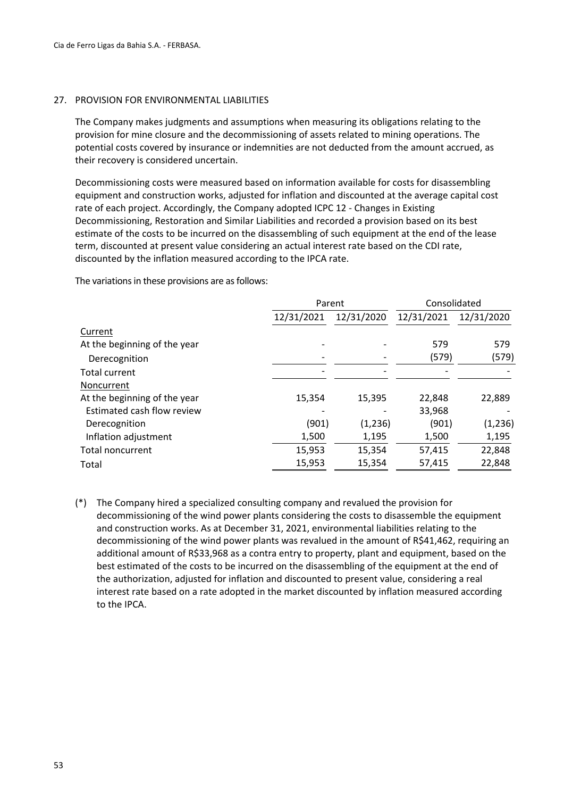#### 27. PROVISION FOR ENVIRONMENTAL LIABILITIES

The Company makes judgments and assumptions when measuring its obligations relating to the provision for mine closure and the decommissioning of assets related to mining operations. The potential costs covered by insurance or indemnities are not deducted from the amount accrued, as their recovery is considered uncertain.

Decommissioning costs were measured based on information available for costs for disassembling equipment and construction works, adjusted for inflation and discounted at the average capital cost rate of each project. Accordingly, the Company adopted ICPC 12 ‐ Changes in Existing Decommissioning, Restoration and Similar Liabilities and recorded a provision based on its best estimate of the costs to be incurred on the disassembling of such equipment at the end of the lease term, discounted at present value considering an actual interest rate based on the CDI rate, discounted by the inflation measured according to the IPCA rate.

The variations in these provisions are as follows:

|                              |            | Parent     |            | Consolidated |
|------------------------------|------------|------------|------------|--------------|
|                              | 12/31/2021 | 12/31/2020 | 12/31/2021 | 12/31/2020   |
| Current                      |            |            |            |              |
| At the beginning of the year |            |            | 579        | 579          |
| Derecognition                |            |            | (579)      | (579)        |
| <b>Total current</b>         |            |            |            |              |
| Noncurrent                   |            |            |            |              |
| At the beginning of the year | 15,354     | 15,395     | 22,848     | 22,889       |
| Estimated cash flow review   |            |            | 33,968     |              |
| Derecognition                | (901)      | (1,236)    | (901)      | (1,236)      |
| Inflation adjustment         | 1,500      | 1,195      | 1,500      | 1,195        |
| <b>Total noncurrent</b>      | 15,953     | 15,354     | 57,415     | 22,848       |
| Total                        | 15,953     | 15,354     | 57,415     | 22,848       |

(\*) The Company hired a specialized consulting company and revalued the provision for decommissioning of the wind power plants considering the costs to disassemble the equipment and construction works. As at December 31, 2021, environmental liabilities relating to the decommissioning of the wind power plants was revalued in the amount of R\$41,462, requiring an additional amount of R\$33,968 as a contra entry to property, plant and equipment, based on the best estimated of the costs to be incurred on the disassembling of the equipment at the end of the authorization, adjusted for inflation and discounted to present value, considering a real interest rate based on a rate adopted in the market discounted by inflation measured according to the IPCA.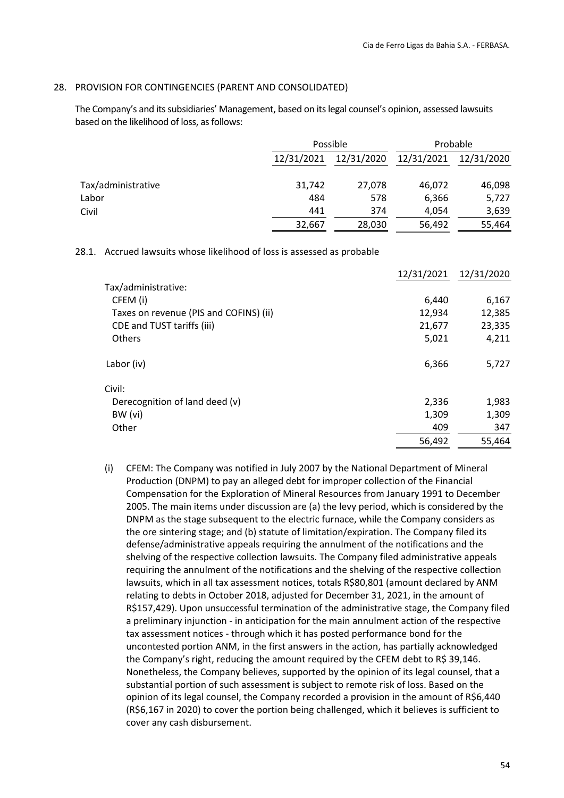#### 28. PROVISION FOR CONTINGENCIES (PARENT AND CONSOLIDATED)

The Company's and its subsidiaries' Management, based on its legal counsel's opinion, assessed lawsuits based on the likelihood of loss, as follows:

|                    |                          | Possible |            | Probable   |
|--------------------|--------------------------|----------|------------|------------|
|                    | 12/31/2020<br>12/31/2021 |          | 12/31/2021 | 12/31/2020 |
| Tax/administrative | 31,742                   | 27,078   | 46,072     | 46,098     |
| Labor              | 484                      | 578      | 6,366      | 5,727      |
| Civil              | 441                      | 374      | 4,054      | 3,639      |
|                    | 32,667                   | 28,030   | 56,492     | 55,464     |

#### 28.1. Accrued lawsuits whose likelihood of loss is assessed as probable

|                                        |        | 12/31/2021 12/31/2020 |
|----------------------------------------|--------|-----------------------|
| Tax/administrative:                    |        |                       |
| CFEM (i)                               | 6,440  | 6,167                 |
| Taxes on revenue (PIS and COFINS) (ii) | 12,934 | 12,385                |
| CDE and TUST tariffs (iii)             | 21,677 | 23,335                |
| Others                                 | 5,021  | 4,211                 |
| Labor (iv)                             | 6,366  | 5,727                 |
| Civil:                                 |        |                       |
| Derecognition of land deed (v)         | 2,336  | 1,983                 |
| BW (vi)                                | 1,309  | 1,309                 |
| Other                                  | 409    | 347                   |
|                                        | 56,492 | 55,464                |

(i) CFEM: The Company was notified in July 2007 by the National Department of Mineral Production (DNPM) to pay an alleged debt for improper collection of the Financial Compensation for the Exploration of Mineral Resources from January 1991 to December 2005. The main items under discussion are (a) the levy period, which is considered by the DNPM as the stage subsequent to the electric furnace, while the Company considers as the ore sintering stage; and (b) statute of limitation/expiration. The Company filed its defense/administrative appeals requiring the annulment of the notifications and the shelving of the respective collection lawsuits. The Company filed administrative appeals requiring the annulment of the notifications and the shelving of the respective collection lawsuits, which in all tax assessment notices, totals R\$80,801 (amount declared by ANM relating to debts in October 2018, adjusted for December 31, 2021, in the amount of R\$157,429). Upon unsuccessful termination of the administrative stage, the Company filed a preliminary injunction ‐ in anticipation for the main annulment action of the respective tax assessment notices ‐ through which it has posted performance bond for the uncontested portion ANM, in the first answers in the action, has partially acknowledged the Company's right, reducing the amount required by the CFEM debt to R\$ 39,146. Nonetheless, the Company believes, supported by the opinion of its legal counsel, that a substantial portion of such assessment is subject to remote risk of loss. Based on the opinion of its legal counsel, the Company recorded a provision in the amount of R\$6,440 (R\$6,167 in 2020) to cover the portion being challenged, which it believes is sufficient to cover any cash disbursement.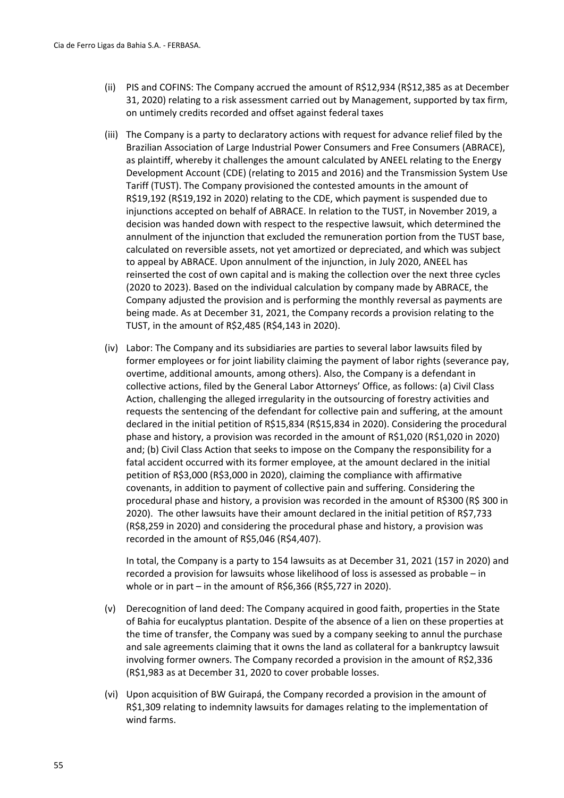- (ii) PIS and COFINS: The Company accrued the amount of R\$12,934 (R\$12,385 as at December 31, 2020) relating to a risk assessment carried out by Management, supported by tax firm, on untimely credits recorded and offset against federal taxes
- (iii) The Company is a party to declaratory actions with request for advance relief filed by the Brazilian Association of Large Industrial Power Consumers and Free Consumers (ABRACE), as plaintiff, whereby it challenges the amount calculated by ANEEL relating to the Energy Development Account (CDE) (relating to 2015 and 2016) and the Transmission System Use Tariff (TUST). The Company provisioned the contested amounts in the amount of R\$19,192 (R\$19,192 in 2020) relating to the CDE, which payment is suspended due to injunctions accepted on behalf of ABRACE. In relation to the TUST, in November 2019, a decision was handed down with respect to the respective lawsuit, which determined the annulment of the injunction that excluded the remuneration portion from the TUST base, calculated on reversible assets, not yet amortized or depreciated, and which was subject to appeal by ABRACE. Upon annulment of the injunction, in July 2020, ANEEL has reinserted the cost of own capital and is making the collection over the next three cycles (2020 to 2023). Based on the individual calculation by company made by ABRACE, the Company adjusted the provision and is performing the monthly reversal as payments are being made. As at December 31, 2021, the Company records a provision relating to the TUST, in the amount of R\$2,485 (R\$4,143 in 2020).
- (iv) Labor: The Company and its subsidiaries are parties to several labor lawsuits filed by former employees or for joint liability claiming the payment of labor rights (severance pay, overtime, additional amounts, among others). Also, the Company is a defendant in collective actions, filed by the General Labor Attorneys' Office, as follows: (a) Civil Class Action, challenging the alleged irregularity in the outsourcing of forestry activities and requests the sentencing of the defendant for collective pain and suffering, at the amount declared in the initial petition of R\$15,834 (R\$15,834 in 2020). Considering the procedural phase and history, a provision was recorded in the amount of R\$1,020 (R\$1,020 in 2020) and; (b) Civil Class Action that seeks to impose on the Company the responsibility for a fatal accident occurred with its former employee, at the amount declared in the initial petition of R\$3,000 (R\$3,000 in 2020), claiming the compliance with affirmative covenants, in addition to payment of collective pain and suffering. Considering the procedural phase and history, a provision was recorded in the amount of R\$300 (R\$ 300 in 2020). The other lawsuits have their amount declared in the initial petition of R\$7,733 (R\$8,259 in 2020) and considering the procedural phase and history, a provision was recorded in the amount of R\$5,046 (R\$4,407).

In total, the Company is a party to 154 lawsuits as at December 31, 2021 (157 in 2020) and recorded a provision for lawsuits whose likelihood of loss is assessed as probable – in whole or in part – in the amount of R\$6,366 (R\$5,727 in 2020).

- (v) Derecognition of land deed: The Company acquired in good faith, properties in the State of Bahia for eucalyptus plantation. Despite of the absence of a lien on these properties at the time of transfer, the Company was sued by a company seeking to annul the purchase and sale agreements claiming that it owns the land as collateral for a bankruptcy lawsuit involving former owners. The Company recorded a provision in the amount of R\$2,336 (R\$1,983 as at December 31, 2020 to cover probable losses.
- (vi) Upon acquisition of BW Guirapá, the Company recorded a provision in the amount of R\$1,309 relating to indemnity lawsuits for damages relating to the implementation of wind farms.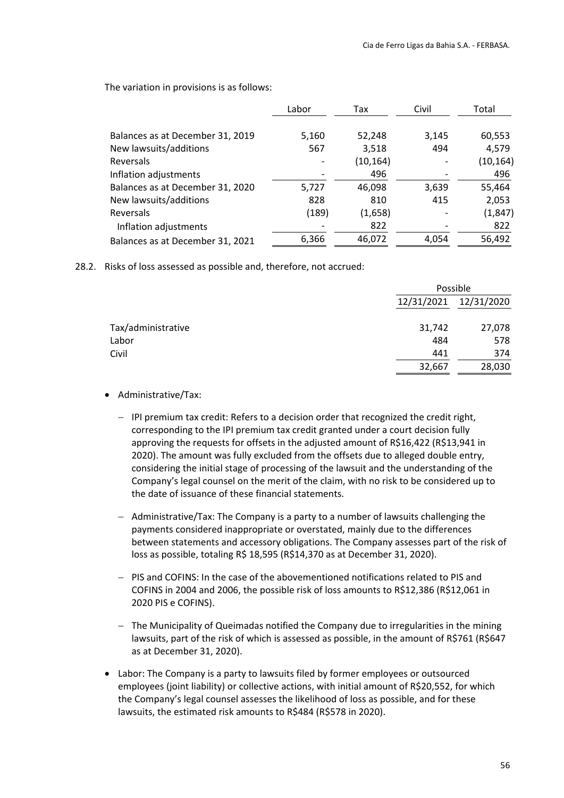The variation in provisions is as follows:

|                                  | Labor | Tax       | Civil | Total     |
|----------------------------------|-------|-----------|-------|-----------|
| Balances as at December 31, 2019 | 5,160 | 52,248    | 3,145 | 60,553    |
| New lawsuits/additions           | 567   | 3,518     | 494   | 4,579     |
| Reversals                        |       | (10, 164) |       | (10, 164) |
| Inflation adjustments            |       | 496       |       | 496       |
| Balances as at December 31, 2020 | 5,727 | 46,098    | 3,639 | 55,464    |
| New lawsuits/additions           | 828   | 810       | 415   | 2,053     |
| Reversals                        | (189) | (1,658)   |       | (1, 847)  |
| Inflation adjustments            |       | 822       |       | 822       |
| Balances as at December 31, 2021 | 6,366 | 46,072    | 4,054 | 56,492    |

28.2. Risks of loss assessed as possible and, therefore, not accrued:

|                    |            | Possible   |  |  |
|--------------------|------------|------------|--|--|
|                    | 12/31/2021 | 12/31/2020 |  |  |
| Tax/administrative | 31,742     | 27,078     |  |  |
| Labor              | 484        | 578        |  |  |
| Civil              | 441        | 374        |  |  |
|                    | 32,667     | 28,030     |  |  |

- Administrative/Tax:
	- $-$  IPI premium tax credit: Refers to a decision order that recognized the credit right, corresponding to the IPI premium tax credit granted under a court decision fully approving the requests for offsets in the adjusted amount of R\$16,422 (R\$13,941 in 2020). The amount was fully excluded from the offsets due to alleged double entry, considering the initial stage of processing of the lawsuit and the understanding of the Company's legal counsel on the merit of the claim, with no risk to be considered up to the date of issuance of these financial statements.
	- Administrative/Tax: The Company is a party to a number of lawsuits challenging the payments considered inappropriate or overstated, mainly due to the differences between statements and accessory obligations. The Company assesses part of the risk of loss as possible, totaling R\$ 18,595 (R\$14,370 as at December 31, 2020).
	- PIS and COFINS: In the case of the abovementioned notifications related to PIS and COFINS in 2004 and 2006, the possible risk of loss amounts to R\$12,386 (R\$12,061 in 2020 PIS e COFINS).
	- $-$  The Municipality of Queimadas notified the Company due to irregularities in the mining lawsuits, part of the risk of which is assessed as possible, in the amount of R\$761 (R\$647 as at December 31, 2020).
- Labor: The Company is a party to lawsuits filed by former employees or outsourced employees (joint liability) or collective actions, with initial amount of R\$20,552, for which the Company's legal counsel assesses the likelihood of loss as possible, and for these lawsuits, the estimated risk amounts to R\$484 (R\$578 in 2020).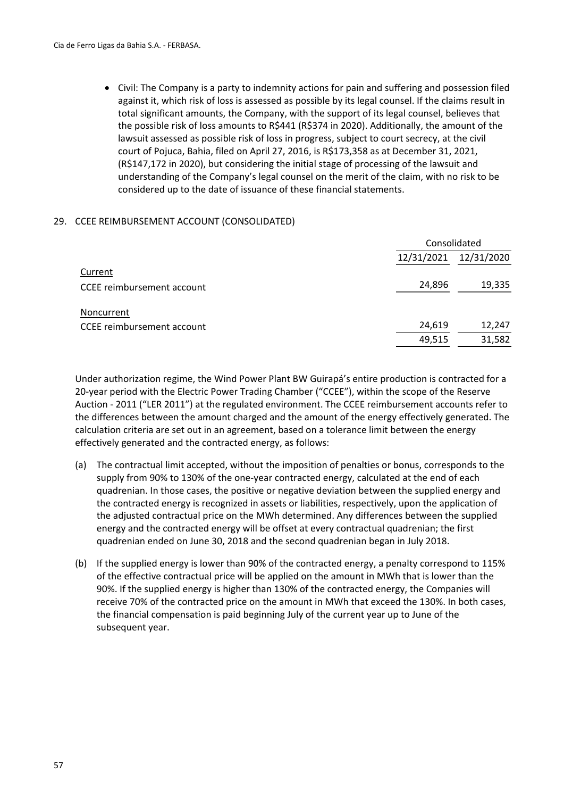Civil: The Company is a party to indemnity actions for pain and suffering and possession filed against it, which risk of loss is assessed as possible by its legal counsel. If the claims result in total significant amounts, the Company, with the support of its legal counsel, believes that the possible risk of loss amounts to R\$441 (R\$374 in 2020). Additionally, the amount of the lawsuit assessed as possible risk of loss in progress, subject to court secrecy, at the civil court of Pojuca, Bahia, filed on April 27, 2016, is R\$173,358 as at December 31, 2021, (R\$147,172 in 2020), but considering the initial stage of processing of the lawsuit and understanding of the Company's legal counsel on the merit of the claim, with no risk to be considered up to the date of issuance of these financial statements.

#### 29. CCEE REIMBURSEMENT ACCOUNT (CONSOLIDATED)

|                            | Consolidated |            |  |
|----------------------------|--------------|------------|--|
|                            | 12/31/2021   | 12/31/2020 |  |
| Current                    |              |            |  |
| CCEE reimbursement account | 24,896       | 19,335     |  |
| Noncurrent                 |              |            |  |
| CCEE reimbursement account | 24,619       | 12,247     |  |
|                            | 49,515       | 31,582     |  |

Under authorization regime, the Wind Power Plant BW Guirapá's entire production is contracted for a 20‐year period with the Electric Power Trading Chamber ("CCEE"), within the scope of the Reserve Auction ‐ 2011 ("LER 2011") at the regulated environment. The CCEE reimbursement accounts refer to the differences between the amount charged and the amount of the energy effectively generated. The calculation criteria are set out in an agreement, based on a tolerance limit between the energy effectively generated and the contracted energy, as follows:

- (a) The contractual limit accepted, without the imposition of penalties or bonus, corresponds to the supply from 90% to 130% of the one‐year contracted energy, calculated at the end of each quadrenian. In those cases, the positive or negative deviation between the supplied energy and the contracted energy is recognized in assets or liabilities, respectively, upon the application of the adjusted contractual price on the MWh determined. Any differences between the supplied energy and the contracted energy will be offset at every contractual quadrenian; the first quadrenian ended on June 30, 2018 and the second quadrenian began in July 2018.
- (b) If the supplied energy is lower than 90% of the contracted energy, a penalty correspond to 115% of the effective contractual price will be applied on the amount in MWh that is lower than the 90%. If the supplied energy is higher than 130% of the contracted energy, the Companies will receive 70% of the contracted price on the amount in MWh that exceed the 130%. In both cases, the financial compensation is paid beginning July of the current year up to June of the subsequent year.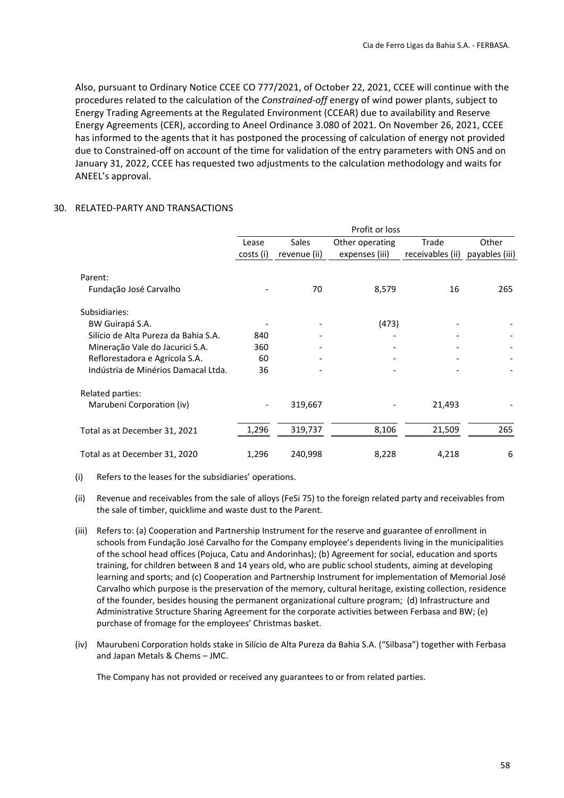Also, pursuant to Ordinary Notice CCEE CO 777/2021, of October 22, 2021, CCEE will continue with the procedures related to the calculation of the *Constrained‐off* energy of wind power plants, subject to Energy Trading Agreements at the Regulated Environment (CCEAR) due to availability and Reserve Energy Agreements (CER), according to Aneel Ordinance 3.080 of 2021. On November 26, 2021, CCEE has informed to the agents that it has postponed the processing of calculation of energy not provided due to Constrained‐off on account of the time for validation of the entry parameters with ONS and on January 31, 2022, CCEE has requested two adjustments to the calculation methodology and waits for ANEEL's approval.

#### 30. RELATED‐PARTY AND TRANSACTIONS

|                                      | Profit or loss |                                          |                |                  |                |  |
|--------------------------------------|----------------|------------------------------------------|----------------|------------------|----------------|--|
|                                      | Lease          | <b>Sales</b><br>Other operating<br>Trade |                |                  | Other          |  |
|                                      | costs (i)      | revenue (ii)                             | expenses (iii) | receivables (ii) | payables (iii) |  |
| Parent:                              |                |                                          |                |                  |                |  |
| Fundação José Carvalho               |                | 70                                       | 8,579          | 16               | 265            |  |
| Subsidiaries:                        |                |                                          |                |                  |                |  |
| BW Guirapá S.A.                      |                |                                          | (473)          |                  |                |  |
| Silício de Alta Pureza da Bahia S.A. | 840            |                                          |                |                  |                |  |
| Mineração Vale do Jacurici S.A.      | 360            |                                          |                |                  |                |  |
| Reflorestadora e Agrícola S.A.       | 60             | -                                        |                |                  |                |  |
| Indústria de Minérios Damacal Ltda.  | 36             |                                          |                |                  |                |  |
| Related parties:                     |                |                                          |                |                  |                |  |
| Marubeni Corporation (iv)            |                | 319,667                                  |                | 21,493           |                |  |
| Total as at December 31, 2021        | 1,296          | 319,737                                  | 8,106          | 21,509           | 265            |  |
| Total as at December 31, 2020        | 1,296          | 240,998                                  | 8,228          | 4,218            | 6              |  |

(i) Refers to the leases for the subsidiaries' operations.

- (ii) Revenue and receivables from the sale of alloys (FeSi 75) to the foreign related party and receivables from the sale of timber, quicklime and waste dust to the Parent.
- (iii) Refers to: (a) Cooperation and Partnership Instrument for the reserve and guarantee of enrollment in schools from Fundação José Carvalho for the Company employee's dependents living in the municipalities of the school head offices (Pojuca, Catu and Andorinhas); (b) Agreement for social, education and sports training, for children between 8 and 14 years old, who are public school students, aiming at developing learning and sports; and (c) Cooperation and Partnership Instrument for implementation of Memorial José Carvalho which purpose is the preservation of the memory, cultural heritage, existing collection, residence of the founder, besides housing the permanent organizational culture program; (d) Infrastructure and Administrative Structure Sharing Agreement for the corporate activities between Ferbasa and BW; (e) purchase of fromage for the employees' Christmas basket.
- (iv) Maurubeni Corporation holds stake in Silício de Alta Pureza da Bahia S.A. ("Silbasa") together with Ferbasa and Japan Metals & Chems – JMC.

The Company has not provided or received any guarantees to or from related parties.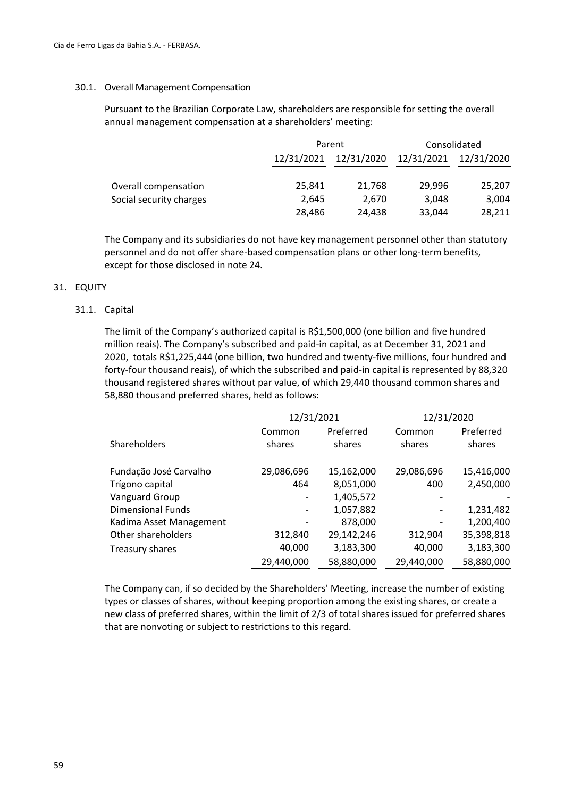#### 30.1. Overall Management Compensation

Pursuant to the Brazilian Corporate Law, shareholders are responsible for setting the overall annual management compensation at a shareholders' meeting:

| Parent     |            | Consolidated |            |
|------------|------------|--------------|------------|
| 12/31/2021 | 12/31/2020 | 12/31/2021   | 12/31/2020 |
| 25,841     | 21,768     | 29,996       | 25,207     |
| 2,645      | 2,670      | 3,048        | 3,004      |
| 28,486     | 24,438     | 33,044       | 28,211     |
|            |            |              |            |

The Company and its subsidiaries do not have key management personnel other than statutory personnel and do not offer share‐based compensation plans or other long‐term benefits, except for those disclosed in note 24.

#### 31. EQUITY

#### 31.1. Capital

The limit of the Company's authorized capital is R\$1,500,000 (one billion and five hundred million reais). The Company's subscribed and paid‐in capital, as at December 31, 2021 and 2020, totals R\$1,225,444 (one billion, two hundred and twenty‐five millions, four hundred and forty‐four thousand reais), of which the subscribed and paid‐in capital is represented by 88,320 thousand registered shares without par value, of which 29,440 thousand common shares and 58,880 thousand preferred shares, held as follows:

|                          | 12/31/2021       |                     | 12/31/2020       |                     |
|--------------------------|------------------|---------------------|------------------|---------------------|
| Shareholders             | Common<br>shares | Preferred<br>shares | Common<br>shares | Preferred<br>shares |
| Fundação José Carvalho   | 29,086,696       | 15,162,000          | 29,086,696       | 15,416,000          |
| Trígono capital          | 464              | 8,051,000           | 400              | 2,450,000           |
| Vanguard Group           |                  | 1,405,572           |                  |                     |
| <b>Dimensional Funds</b> |                  | 1,057,882           |                  | 1,231,482           |
| Kadima Asset Management  |                  | 878,000             |                  | 1,200,400           |
| Other shareholders       | 312,840          | 29,142,246          | 312,904          | 35,398,818          |
| Treasury shares          | 40,000           | 3,183,300           | 40,000           | 3,183,300           |
|                          | 29,440,000       | 58,880,000          | 29,440,000       | 58,880,000          |

The Company can, if so decided by the Shareholders' Meeting, increase the number of existing types or classes of shares, without keeping proportion among the existing shares, or create a new class of preferred shares, within the limit of 2/3 of total shares issued for preferred shares that are nonvoting or subject to restrictions to this regard.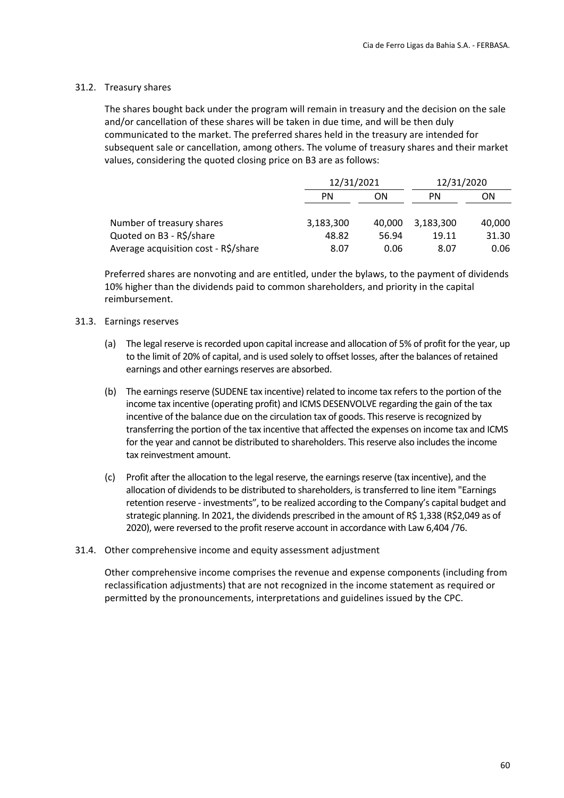#### 31.2. Treasury shares

The shares bought back under the program will remain in treasury and the decision on the sale and/or cancellation of these shares will be taken in due time, and will be then duly communicated to the market. The preferred shares held in the treasury are intended for subsequent sale or cancellation, among others. The volume of treasury shares and their market values, considering the quoted closing price on B3 are as follows:

|                                      | 12/31/2021 |        | 12/31/2020 |        |
|--------------------------------------|------------|--------|------------|--------|
|                                      | PN         | ΟN     |            | ON     |
| Number of treasury shares            | 3,183,300  | 40.000 | 3,183,300  | 40,000 |
| Quoted on B3 - R\$/share             | 48.82      | 56.94  | 19.11      | 31.30  |
| Average acquisition cost - R\$/share | 8.07       | 0.06   | 8.07       | 0.06   |

Preferred shares are nonvoting and are entitled, under the bylaws, to the payment of dividends 10% higher than the dividends paid to common shareholders, and priority in the capital reimbursement.

#### 31.3. Earnings reserves

- (a) The legal reserve is recorded upon capital increase and allocation of 5% of profit for the year, up to the limit of 20% of capital, and is used solely to offset losses, after the balances of retained earnings and other earnings reserves are absorbed.
- (b) The earnings reserve (SUDENE tax incentive) related to income tax refers to the portion of the income tax incentive (operating profit) and ICMS DESENVOLVE regarding the gain of the tax incentive of the balance due on the circulation tax of goods. This reserve is recognized by transferring the portion of the tax incentive that affected the expenses on income tax and ICMS for the year and cannot be distributed to shareholders. This reserve also includes the income tax reinvestment amount.
- (c) Profit after the allocation to the legal reserve, the earningsreserve (tax incentive), and the allocation of dividends to be distributed to shareholders, is transferred to line item "Earnings retention reserve ‐ investments", to be realized according to the Company's capital budget and strategic planning. In 2021, the dividends prescribed in the amount of R\$ 1,338 (R\$2,049 as of 2020), were reversed to the profit reserve account in accordance with Law 6,404 /76.

#### 31.4. Other comprehensive income and equity assessment adjustment

Other comprehensive income comprises the revenue and expense components (including from reclassification adjustments) that are not recognized in the income statement as required or permitted by the pronouncements, interpretations and guidelines issued by the CPC.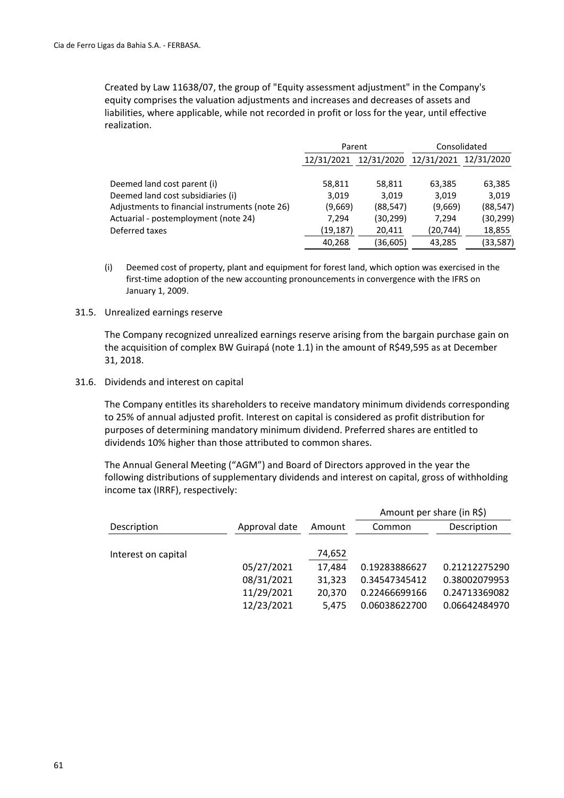Created by Law 11638/07, the group of "Equity assessment adjustment" in the Company's equity comprises the valuation adjustments and increases and decreases of assets and liabilities, where applicable, while not recorded in profit or loss for the year, until effective realization.

|                                                | Parent     |            | Consolidated          |           |  |
|------------------------------------------------|------------|------------|-----------------------|-----------|--|
|                                                | 12/31/2021 | 12/31/2020 | 12/31/2021 12/31/2020 |           |  |
|                                                |            |            |                       |           |  |
| Deemed land cost parent (i)                    | 58,811     | 58,811     | 63,385                | 63,385    |  |
| Deemed land cost subsidiaries (i)              | 3,019      | 3.019      | 3.019                 | 3.019     |  |
| Adjustments to financial instruments (note 26) | (9,669)    | (88, 547)  | (9,669)               | (88, 547) |  |
| Actuarial - postemployment (note 24)           | 7.294      | (30, 299)  | 7.294                 | (30, 299) |  |
| Deferred taxes                                 | (19, 187)  | 20,411     | (20, 744)             | 18,855    |  |
|                                                | 40,268     | (36, 605)  | 43,285                | (33, 587) |  |

(i) Deemed cost of property, plant and equipment for forest land, which option was exercised in the first-time adoption of the new accounting pronouncements in convergence with the IFRS on January 1, 2009.

#### 31.5. Unrealized earnings reserve

The Company recognized unrealized earnings reserve arising from the bargain purchase gain on the acquisition of complex BW Guirapá (note 1.1) in the amount of R\$49,595 as at December 31, 2018.

#### 31.6. Dividends and interest on capital

The Company entitles its shareholders to receive mandatory minimum dividends corresponding to 25% of annual adjusted profit. Interest on capital is considered as profit distribution for purposes of determining mandatory minimum dividend. Preferred shares are entitled to dividends 10% higher than those attributed to common shares.

The Annual General Meeting ("AGM") and Board of Directors approved in the year the following distributions of supplementary dividends and interest on capital, gross of withholding income tax (IRRF), respectively:

|                     |               |        |               | Amount per share (in R\$) |  |  |
|---------------------|---------------|--------|---------------|---------------------------|--|--|
| Description         | Approval date | Amount | Common        | Description               |  |  |
| Interest on capital |               | 74,652 |               |                           |  |  |
|                     | 05/27/2021    | 17.484 | 0.19283886627 | 0.21212275290             |  |  |
|                     | 08/31/2021    | 31,323 | 0.34547345412 | 0.38002079953             |  |  |
|                     | 11/29/2021    | 20.370 | 0.22466699166 | 0.24713369082             |  |  |
|                     | 12/23/2021    | 5.475  | 0.06038622700 | 0.06642484970             |  |  |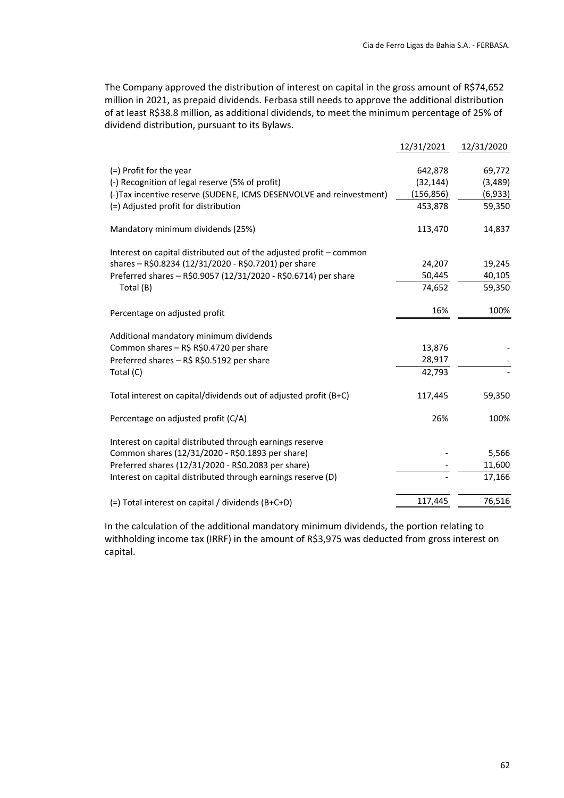The Company approved the distribution of interest on capital in the gross amount of R\$74,652 million in 2021, as prepaid dividends. Ferbasa still needs to approve the additional distribution of at least R\$38.8 million, as additional dividends, to meet the minimum percentage of 25% of dividend distribution, pursuant to its Bylaws.

|                                                                     | 12/31/2021 | 12/31/2020 |
|---------------------------------------------------------------------|------------|------------|
|                                                                     |            |            |
| (=) Profit for the year                                             | 642,878    | 69,772     |
| (-) Recognition of legal reserve (5% of profit)                     | (32, 144)  | (3, 489)   |
| (-)Tax incentive reserve (SUDENE, ICMS DESENVOLVE and reinvestment) | (156, 856) | (6,933)    |
| (=) Adjusted profit for distribution                                | 453,878    | 59,350     |
| Mandatory minimum dividends (25%)                                   | 113,470    | 14,837     |
| Interest on capital distributed out of the adjusted profit - common |            |            |
| shares - R\$0.8234 (12/31/2020 - R\$0.7201) per share               | 24,207     | 19,245     |
| Preferred shares - R\$0.9057 (12/31/2020 - R\$0.6714) per share     | 50,445     | 40,105     |
| Total (B)                                                           | 74,652     | 59,350     |
| Percentage on adjusted profit                                       | 16%        | 100%       |
| Additional mandatory minimum dividends                              |            |            |
| Common shares - R\$ R\$0.4720 per share                             | 13,876     |            |
| Preferred shares - R\$ R\$0.5192 per share                          | 28,917     |            |
| Total (C)                                                           | 42,793     |            |
| Total interest on capital/dividends out of adjusted profit (B+C)    | 117,445    | 59,350     |
| Percentage on adjusted profit (C/A)                                 | 26%        | 100%       |
| Interest on capital distributed through earnings reserve            |            |            |
| Common shares (12/31/2020 - R\$0.1893 per share)                    |            | 5,566      |
| Preferred shares (12/31/2020 - R\$0.2083 per share)                 |            | 11,600     |
| Interest on capital distributed through earnings reserve (D)        |            | 17,166     |
| (=) Total interest on capital / dividends (B+C+D)                   | 117,445    | 76,516     |
|                                                                     |            |            |

In the calculation of the additional mandatory minimum dividends, the portion relating to withholding income tax (IRRF) in the amount of R\$3,975 was deducted from gross interest on capital.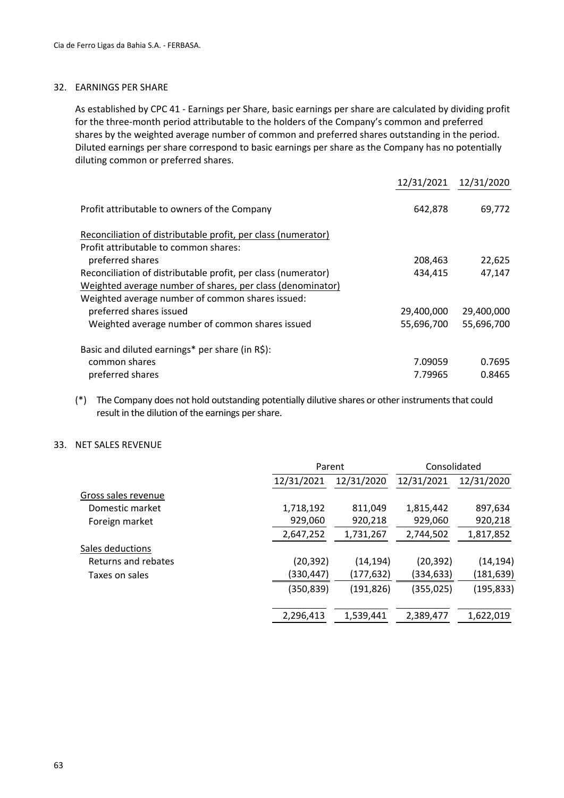#### 32. EARNINGS PER SHARE

As established by CPC 41 ‐ Earnings per Share, basic earnings per share are calculated by dividing profit for the three‐month period attributable to the holders of the Company's common and preferred shares by the weighted average number of common and preferred shares outstanding in the period. Diluted earnings per share correspond to basic earnings per share as the Company has no potentially diluting common or preferred shares.

|                                                               | 12/31/2021 | 12/31/2020 |
|---------------------------------------------------------------|------------|------------|
| Profit attributable to owners of the Company                  | 642,878    | 69,772     |
| Reconciliation of distributable profit, per class (numerator) |            |            |
| Profit attributable to common shares:                         |            |            |
| preferred shares                                              | 208,463    | 22,625     |
| Reconciliation of distributable profit, per class (numerator) | 434,415    | 47,147     |
| Weighted average number of shares, per class (denominator)    |            |            |
| Weighted average number of common shares issued:              |            |            |
| preferred shares issued                                       | 29,400,000 | 29,400,000 |
| Weighted average number of common shares issued               | 55,696,700 | 55,696,700 |
| Basic and diluted earnings* per share (in R\$):               |            |            |
| common shares                                                 | 7.09059    | 0.7695     |
| preferred shares                                              | 7.79965    | 0.8465     |

(\*) The Company does not hold outstanding potentially dilutive shares or other instruments that could result in the dilution of the earnings per share.

#### 33. NET SALES REVENUE

|                     | Parent     |            | Consolidated |            |  |
|---------------------|------------|------------|--------------|------------|--|
|                     | 12/31/2021 | 12/31/2020 | 12/31/2021   | 12/31/2020 |  |
| Gross sales revenue |            |            |              |            |  |
| Domestic market     | 1,718,192  | 811,049    | 1,815,442    | 897,634    |  |
| Foreign market      | 929,060    | 920,218    | 929,060      | 920,218    |  |
|                     | 2,647,252  | 1,731,267  | 2,744,502    | 1,817,852  |  |
| Sales deductions    |            |            |              |            |  |
| Returns and rebates | (20, 392)  | (14, 194)  | (20, 392)    | (14, 194)  |  |
| Taxes on sales      | (330,447)  | (177,632)  | (334,633)    | (181, 639) |  |
|                     | (350, 839) | (191, 826) | (355, 025)   | (195, 833) |  |
|                     | 2,296,413  | 1,539,441  | 2,389,477    | 1,622,019  |  |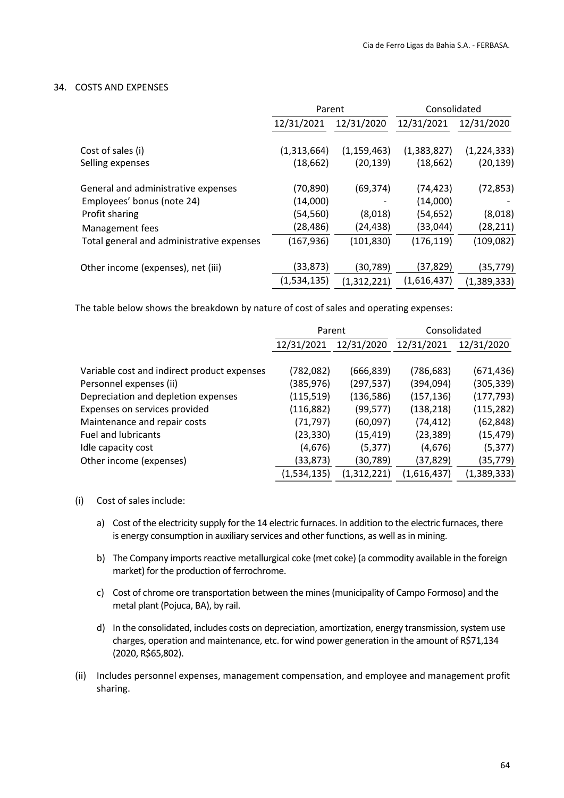#### 34. COSTS AND EXPENSES

|                                           | Parent      |               | Consolidated |             |  |
|-------------------------------------------|-------------|---------------|--------------|-------------|--|
|                                           | 12/31/2021  | 12/31/2020    | 12/31/2021   | 12/31/2020  |  |
|                                           |             |               |              |             |  |
| Cost of sales (i)                         | (1,313,664) | (1, 159, 463) | (1,383,827)  | (1,224,333) |  |
| Selling expenses                          | (18, 662)   | (20, 139)     | (18, 662)    | (20, 139)   |  |
| General and administrative expenses       | (70, 890)   | (69,374)      | (74, 423)    | (72, 853)   |  |
| Employees' bonus (note 24)                | (14,000)    |               | (14,000)     |             |  |
| Profit sharing                            | (54, 560)   | (8,018)       | (54, 652)    | (8,018)     |  |
| Management fees                           | (28, 486)   | (24,438)      | (33,044)     | (28,211)    |  |
| Total general and administrative expenses | (167,936)   | (101, 830)    | (176, 119)   | (109, 082)  |  |
|                                           | (33,873)    |               | (37,829)     |             |  |
| Other income (expenses), net (iii)        |             | (30,789)      |              | (35, 779)   |  |
|                                           | (1,534,135) | (1,312,221)   | (1,616,437)  | (1,389,333) |  |

The table below shows the breakdown by nature of cost of sales and operating expenses:

|                                             | Parent      |             | Consolidated |             |  |
|---------------------------------------------|-------------|-------------|--------------|-------------|--|
|                                             | 12/31/2021  | 12/31/2020  | 12/31/2021   | 12/31/2020  |  |
|                                             |             |             |              |             |  |
| Variable cost and indirect product expenses | (782,082)   | (666,839)   | (786, 683)   | (671, 436)  |  |
| Personnel expenses (ii)                     | (385,976)   | (297,537)   | (394,094)    | (305,339)   |  |
| Depreciation and depletion expenses         | (115, 519)  | (136,586)   | (157, 136)   | (177, 793)  |  |
| Expenses on services provided               | (116,882)   | (99,577)    | (138, 218)   | (115, 282)  |  |
| Maintenance and repair costs                | (71, 797)   | (60,097)    | (74, 412)    | (62, 848)   |  |
| <b>Fuel and lubricants</b>                  | (23, 330)   | (15, 419)   | (23, 389)    | (15, 479)   |  |
| Idle capacity cost                          | (4,676)     | (5, 377)    | (4,676)      | (5, 377)    |  |
| Other income (expenses)                     | (33,873)    | (30, 789)   | (37,829)     | (35,779)    |  |
|                                             | (1,534,135) | (1,312,221) | (1,616,437)  | (1,389,333) |  |

- (i) Cost of sales include:
	- a) Cost of the electricity supply for the 14 electric furnaces. In addition to the electric furnaces, there is energy consumption in auxiliary services and other functions, as well as in mining.
	- b) The Company imports reactive metallurgical coke (met coke) (a commodity available in the foreign market) for the production of ferrochrome.
	- c) Cost of chrome ore transportation between the mines(municipality of Campo Formoso) and the metal plant (Pojuca, BA), by rail.
	- d) In the consolidated, includes costs on depreciation, amortization, energy transmission, system use charges, operation and maintenance, etc. for wind power generation in the amount of R\$71,134 (2020, R\$65,802).
- (ii) Includes personnel expenses, management compensation, and employee and management profit sharing.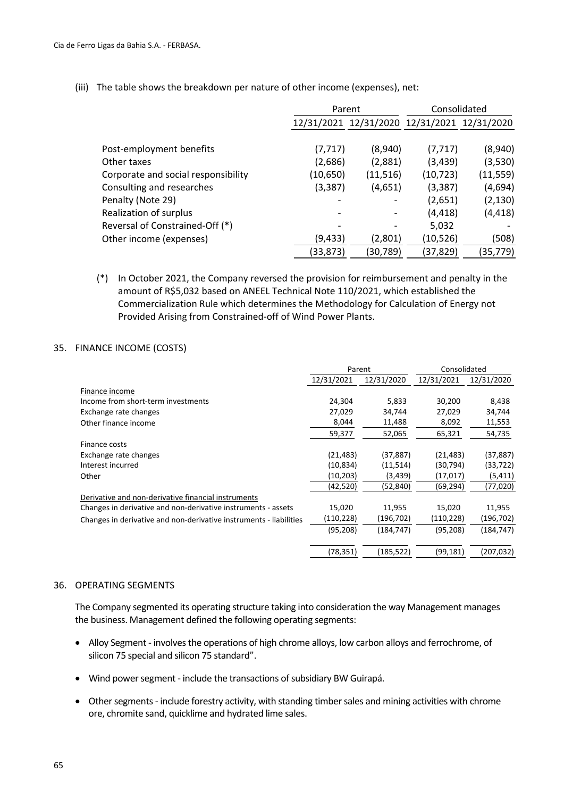|                                     | Parent    |           | Consolidated                                |           |  |
|-------------------------------------|-----------|-----------|---------------------------------------------|-----------|--|
|                                     |           |           | 12/31/2021 12/31/2020 12/31/2021 12/31/2020 |           |  |
|                                     |           |           |                                             |           |  |
| Post-employment benefits            | (7, 717)  | (8,940)   | (7, 717)                                    | (8,940)   |  |
| Other taxes                         | (2,686)   | (2,881)   | (3, 439)                                    | (3,530)   |  |
| Corporate and social responsibility | (10, 650) | (11, 516) | (10, 723)                                   | (11, 559) |  |
| Consulting and researches           | (3, 387)  | (4,651)   | (3, 387)                                    | (4,694)   |  |
| Penalty (Note 29)                   |           |           | (2,651)                                     | (2, 130)  |  |
| Realization of surplus              |           |           | (4, 418)                                    | (4, 418)  |  |
| Reversal of Constrained-Off (*)     |           |           | 5,032                                       |           |  |
| Other income (expenses)             | (9,433)   | (2,801)   | (10,526)                                    | (508)     |  |
|                                     | (33, 873) | (30, 789) | (37,829)                                    | (35, 779) |  |

(iii) The table shows the breakdown per nature of other income (expenses), net:

(\*) In October 2021, the Company reversed the provision for reimbursement and penalty in the amount of R\$5,032 based on ANEEL Technical Note 110/2021, which established the Commercialization Rule which determines the Methodology for Calculation of Energy not Provided Arising from Constrained‐off of Wind Power Plants.

#### 35. FINANCE INCOME (COSTS)

|                                                                    | Parent     |            | Consolidated |            |
|--------------------------------------------------------------------|------------|------------|--------------|------------|
|                                                                    | 12/31/2021 | 12/31/2020 | 12/31/2021   | 12/31/2020 |
| Finance income                                                     |            |            |              |            |
| Income from short-term investments                                 | 24,304     | 5,833      | 30,200       | 8,438      |
| Exchange rate changes                                              | 27,029     | 34,744     | 27,029       | 34,744     |
| Other finance income                                               | 8,044      | 11,488     | 8,092        | 11,553     |
|                                                                    | 59,377     | 52,065     | 65,321       | 54,735     |
| Finance costs                                                      |            |            |              |            |
| Exchange rate changes                                              | (21, 483)  | (37, 887)  | (21, 483)    | (37, 887)  |
| Interest incurred                                                  | (10,834)   | (11,514)   | (30,794)     | (33,722)   |
| Other                                                              | (10,203)   | (3,439)    | (17, 017)    | (5, 411)   |
|                                                                    | (42,520)   | (52,840)   | (69, 294)    | (77,020)   |
| Derivative and non-derivative financial instruments                |            |            |              |            |
| Changes in derivative and non-derivative instruments - assets      | 15,020     | 11,955     | 15,020       | 11,955     |
| Changes in derivative and non-derivative instruments - liabilities | (110,228)  | (196,702)  | (110, 228)   | (196, 702) |
|                                                                    | (95, 208)  | (184,747)  | (95, 208)    | (184, 747) |
|                                                                    | (78,351)   | (185,522)  | (99, 181)    | (207, 032) |
|                                                                    |            |            |              |            |

#### 36. OPERATING SEGMENTS

The Company segmented its operating structure taking into consideration the way Management manages the business. Management defined the following operating segments:

- Alloy Segment involves the operations of high chrome alloys, low carbon alloys and ferrochrome, of silicon 75 special and silicon 75 standard".
- Wind power segment include the transactions of subsidiary BW Guirapá.
- Other segments include forestry activity, with standing timber sales and mining activities with chrome ore, chromite sand, quicklime and hydrated lime sales.